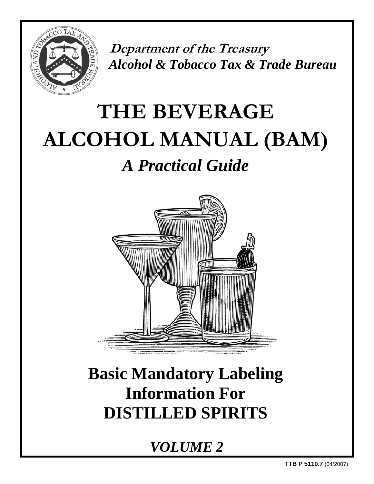

 **Department of the Treasury**  *Alcohol & Tobacco Tax & Trade Bureau*

# **THE BEVERAGE ALCOHOL MANUAL (BAM)**  *A Practical Guide*



# **Basic Mandatory Labeling Information For DISTILLED SPIRITS**

*VOLUME 2*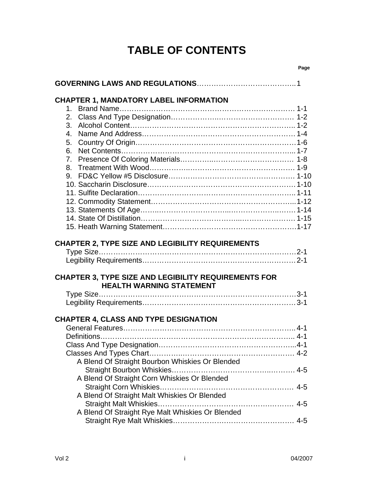# **TABLE OF CONTENTS**

| <b>CHAPTER 1, MANDATORY LABEL INFORMATION</b><br>2.<br>3.<br>4.<br>5.<br>6.<br>7.<br>8. |  |
|-----------------------------------------------------------------------------------------|--|
| CHAPTER 2, TYPE SIZE AND LEGIBILITY REQUIREMENTS                                        |  |
|                                                                                         |  |
| <b>CHAPTER 3, TYPE SIZE AND LEGIBILITY REQUIREMENTS FOR</b>                             |  |
| <b>HEALTH WARNING STATEMENT</b>                                                         |  |
|                                                                                         |  |
| <b>CHAPTER 4, CLASS AND TYPE DESIGNATION</b>                                            |  |
|                                                                                         |  |
|                                                                                         |  |
| A Blend Of Straight Bourbon Whiskies Or Blended                                         |  |
|                                                                                         |  |
| A Blend Of Straight Corn Whiskies Or Blended                                            |  |
| A Blend Of Straight Malt Whiskies Or Blended                                            |  |
| A Blend Of Straight Rye Malt Whiskies Or Blended                                        |  |
|                                                                                         |  |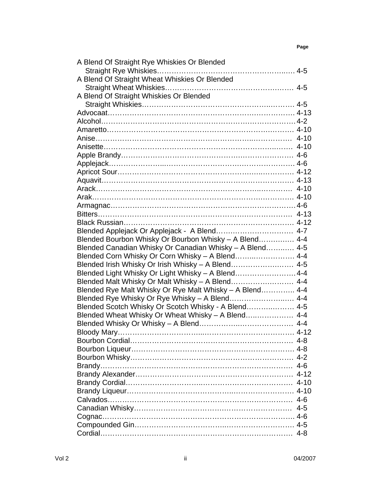| A Blend Of Straight Rye Whiskies Or Blended              |  |
|----------------------------------------------------------|--|
|                                                          |  |
| A Blend Of Straight Wheat Whiskies Or Blended            |  |
|                                                          |  |
| A Blend Of Straight Whiskies Or Blended                  |  |
|                                                          |  |
|                                                          |  |
|                                                          |  |
|                                                          |  |
|                                                          |  |
|                                                          |  |
|                                                          |  |
|                                                          |  |
|                                                          |  |
|                                                          |  |
|                                                          |  |
|                                                          |  |
|                                                          |  |
|                                                          |  |
|                                                          |  |
| Blended Applejack Or Applejack - A Blend 4-7             |  |
| Blended Bourbon Whisky Or Bourbon Whisky - A Blend 4-4   |  |
| Blended Canadian Whisky Or Canadian Whisky - A Blend 4-5 |  |
| Blended Corn Whisky Or Corn Whisky - A Blend 4-4         |  |
| Blended Irish Whisky Or Irish Whisky - A Blend 4-5       |  |
| Blended Light Whisky Or Light Whisky - A Blend 4-4       |  |
| Blended Malt Whisky Or Malt Whisky - A Blend 4-4         |  |
| Blended Rye Malt Whisky Or Rye Malt Whisky - A Blend 4-4 |  |
| Blended Rye Whisky Or Rye Whisky - A Blend 4-4           |  |
| Blended Scotch Whisky Or Scotch Whisky - A Blend 4-5     |  |
| Blended Wheat Whisky Or Wheat Whisky - A Blend 4-4       |  |
|                                                          |  |
| Bloody Mary                                              |  |
|                                                          |  |
|                                                          |  |
|                                                          |  |
|                                                          |  |
|                                                          |  |
|                                                          |  |
|                                                          |  |
|                                                          |  |
|                                                          |  |
|                                                          |  |
|                                                          |  |
|                                                          |  |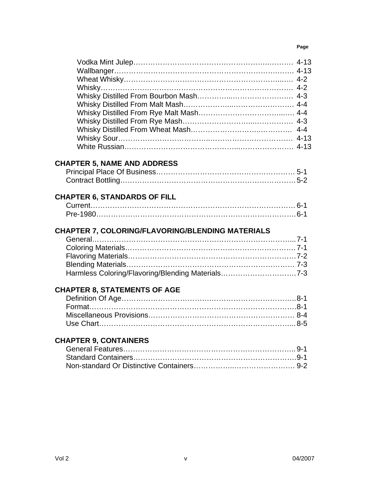#### **Page**

#### **CHAPTER 5, NAME AND ADDRESS**

### **CHAPTER 6, STANDARDS OF FILL**

#### **CHAPTER 7, COLORING/FLAVORING/BLENDING MATERIALS**

### **CHAPTER 8, STATEMENTS OF AGE**

### **CHAPTER 9, CONTAINERS**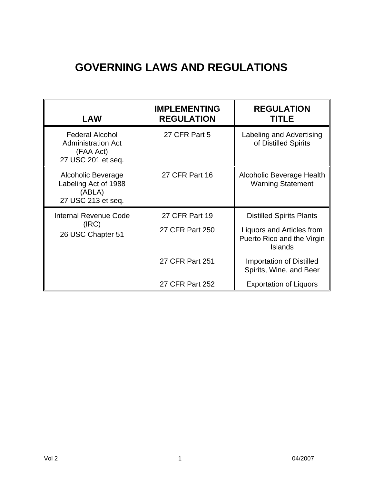# **GOVERNING LAWS AND REGULATIONS**

| <b>LAW</b>                                                                             | <b>IMPLEMENTING</b><br><b>REGULATION</b> | <b>REGULATION</b><br>TITLE                                         |
|----------------------------------------------------------------------------------------|------------------------------------------|--------------------------------------------------------------------|
| <b>Federal Alcohol</b><br><b>Administration Act</b><br>(FAA Act)<br>27 USC 201 et seq. | 27 CFR Part 5                            | Labeling and Advertising<br>of Distilled Spirits                   |
| Alcoholic Beverage<br>Labeling Act of 1988<br>(ABLA)<br>27 USC 213 et seq.             | 27 CFR Part 16                           | Alcoholic Beverage Health<br><b>Warning Statement</b>              |
| Internal Revenue Code                                                                  | <b>27 CFR Part 19</b>                    | <b>Distilled Spirits Plants</b>                                    |
| (IRC)<br>26 USC Chapter 51                                                             | 27 CFR Part 250                          | Liquors and Articles from<br>Puerto Rico and the Virgin<br>Islands |
|                                                                                        | 27 CFR Part 251                          | <b>Importation of Distilled</b><br>Spirits, Wine, and Beer         |
|                                                                                        | 27 CFR Part 252                          | <b>Exportation of Liquors</b>                                      |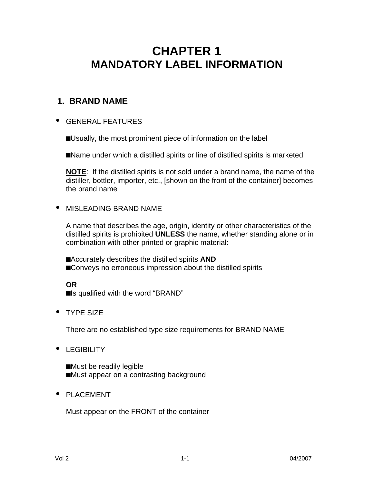# **CHAPTER 1 MANDATORY LABEL INFORMATION**

# **1. BRAND NAME**

#### **·** GENERAL FEATURES

■Usually, the most prominent piece of information on the label

■Name under which a distilled spirits or line of distilled spirits is marketed

**NOTE**: If the distilled spirits is not sold under a brand name, the name of the distiller, bottler, importer, etc., [shown on the front of the container] becomes the brand name

#### **·** MISLEADING BRAND NAME

A name that describes the age, origin, identity or other characteristics of the distilled spirits is prohibited **UNLESS** the name, whether standing alone or in combination with other printed or graphic material:

**n**Accurately describes the distilled spirits **AND** ■Conveys no erroneous impression about the distilled spirits

### **OR**

■Is qualified with the word "BRAND"

**·** TYPE SIZE

There are no established type size requirements for BRAND NAME

**·** LEGIBILITY

■Must be readily legible ■Must appear on a contrasting background

**·** PLACEMENT

Must appear on the FRONT of the container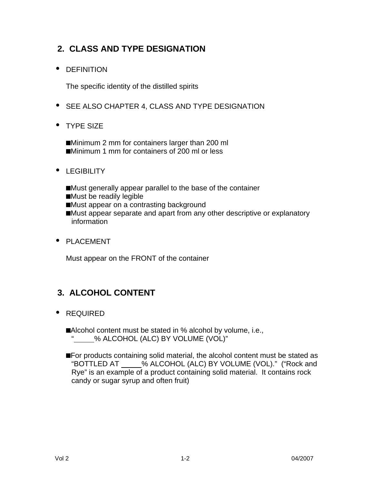# **2. CLASS AND TYPE DESIGNATION**

**·** DEFINITION

The specific identity of the distilled spirits

- **·** SEE ALSO CHAPTER 4, CLASS AND TYPE DESIGNATION
- **·** TYPE SIZE

**n**Minimum 2 mm for containers larger than 200 ml ■Minimum 1 mm for containers of 200 ml or less

- **·** LEGIBILITY
	- **n**Must generally appear parallel to the base of the container
	- **n**Must be readily legible
	- ■Must appear on a contrasting background
	- ■Must appear separate and apart from any other descriptive or explanatory information
- **·** PLACEMENT

Must appear on the FRONT of the container

# **3. ALCOHOL CONTENT**

**·** REQUIRED

■Alcohol content must be stated in % alcohol by volume, i.e., " % ALCOHOL (ALC) BY VOLUME (VOL)"

■For products containing solid material, the alcohol content must be stated as "BOTTLED AT % ALCOHOL (ALC) BY VOLUME (VOL)." ("Rock and Rye" is an example of a product containing solid material. It contains rock candy or sugar syrup and often fruit)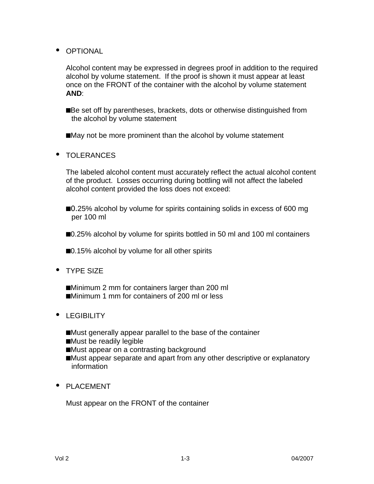**·** OPTIONAL

Alcohol content may be expressed in degrees proof in addition to the required alcohol by volume statement. If the proof is shown it must appear at least once on the FRONT of the container with the alcohol by volume statement **AND**:

■Be set off by parentheses, brackets, dots or otherwise distinguished from the alcohol by volume statement

■May not be more prominent than the alcohol by volume statement

**·** TOLERANCES

The labeled alcohol content must accurately reflect the actual alcohol content of the product. Losses occurring during bottling will not affect the labeled alcohol content provided the loss does not exceed:

■0.25% alcohol by volume for spirits containing solids in excess of 600 mg per 100 ml

**n**0.25% alcohol by volume for spirits bottled in 50 ml and 100 ml containers

■0.15% alcohol by volume for all other spirits

**·** TYPE SIZE

**n**Minimum 2 mm for containers larger than 200 ml ■Minimum 1 mm for containers of 200 ml or less

- **·** LEGIBILITY
	- ■Must generally appear parallel to the base of the container
	- **n**Must be readily legible

■Must appear on a contrasting background

- ■Must appear separate and apart from any other descriptive or explanatory information
- **·** PLACEMENT

Must appear on the FRONT of the container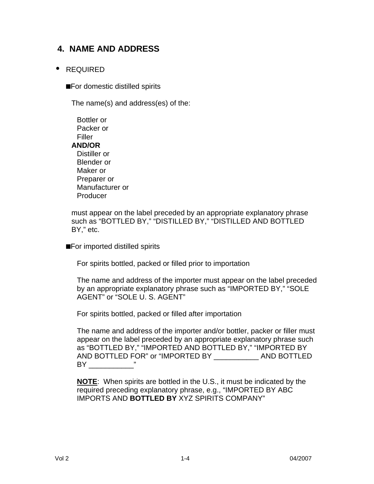# **4. NAME AND ADDRESS**

#### **·** REQUIRED

■For domestic distilled spirits

The name(s) and address(es) of the:

| Bottler or      |
|-----------------|
| Packer or       |
| Filler          |
| <b>AND/OR</b>   |
| Distiller or    |
| Blender or      |
| Maker or        |
| Preparer or     |
| Manufacturer or |
| Producer        |

must appear on the label preceded by an appropriate explanatory phrase such as "BOTTLED BY," "DISTILLED BY," "DISTILLED AND BOTTLED BY," etc.

■For imported distilled spirits

For spirits bottled, packed or filled prior to importation

The name and address of the importer must appear on the label preceded by an appropriate explanatory phrase such as "IMPORTED BY," "SOLE AGENT" or "SOLE U. S. AGENT"

For spirits bottled, packed or filled after importation

The name and address of the importer and/or bottler, packer or filler must appear on the label preceded by an appropriate explanatory phrase such as "BOTTLED BY," "IMPORTED AND BOTTLED BY," "IMPORTED BY AND BOTTLED FOR" or "IMPORTED BY \_\_\_\_\_\_\_\_\_\_\_ AND BOTTLED  $BY$  "

**NOTE**: When spirits are bottled in the U.S., it must be indicated by the required preceding explanatory phrase, e.g., "IMPORTED BY ABC IMPORTS AND **BOTTLED BY** XYZ SPIRITS COMPANY"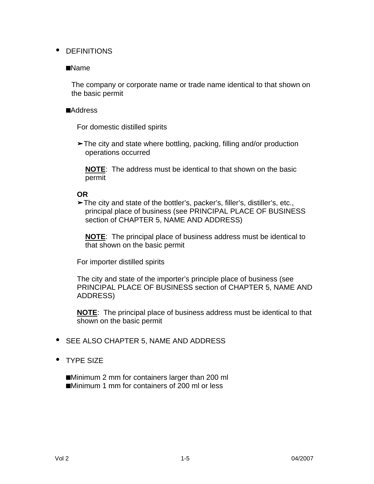#### **·** DEFINITIONS

#### **n**Name

The company or corporate name or trade name identical to that shown on the basic permit

#### **n**Address

For domestic distilled spirits

**‰**The city and state where bottling, packing, filling and/or production operations occurred

**NOTE**: The address must be identical to that shown on the basic permit

#### **OR**

**‰**The city and state of the bottler's, packer's, filler's, distiller's, etc., principal place of business (see PRINCIPAL PLACE OF BUSINESS section of CHAPTER 5, NAME AND ADDRESS)

**NOTE**: The principal place of business address must be identical to that shown on the basic permit

For importer distilled spirits

The city and state of the importer's principle place of business (see PRINCIPAL PLACE OF BUSINESS section of CHAPTER 5, NAME AND ADDRESS)

**NOTE**: The principal place of business address must be identical to that shown on the basic permit

- **·** SEE ALSO CHAPTER 5, NAME AND ADDRESS
- **·** TYPE SIZE

■Minimum 2 mm for containers larger than 200 ml ■Minimum 1 mm for containers of 200 ml or less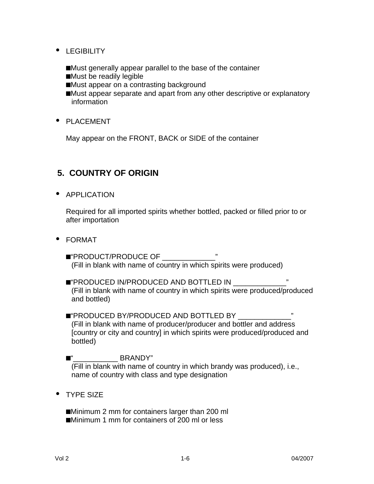- **·** LEGIBILITY
	- ■Must generally appear parallel to the base of the container
	- ■Must be readily legible
	- ■Must appear on a contrasting background
	- ■Must appear separate and apart from any other descriptive or explanatory information
- **·** PLACEMENT

May appear on the FRONT, BACK or SIDE of the container

# **5. COUNTRY OF ORIGIN**

**·** APPLICATION

Required for all imported spirits whether bottled, packed or filled prior to or after importation

- **·** FORMAT
	- **n**"PRODUCT/PRODUCE OF \_\_\_\_\_\_\_\_\_\_\_\_\_" (Fill in blank with name of country in which spirits were produced)
	- **n**"PRODUCED IN/PRODUCED AND BOTTLED IN \_\_\_\_\_\_\_\_\_\_\_\_\_" (Fill in blank with name of country in which spirits were produced/produced and bottled)
	- **n**"PRODUCED BY/PRODUCED AND BOTTLED BY \_\_\_\_\_\_\_\_\_\_\_\_\_" (Fill in blank with name of producer/producer and bottler and address [country or city and country] in which spirits were produced/produced and bottled)

**n**"\_\_\_\_\_\_\_\_\_\_\_ BRANDY" (Fill in blank with name of country in which brandy was produced), i.e., name of country with class and type designation

**·** TYPE SIZE

**n**Minimum 2 mm for containers larger than 200 ml ■Minimum 1 mm for containers of 200 ml or less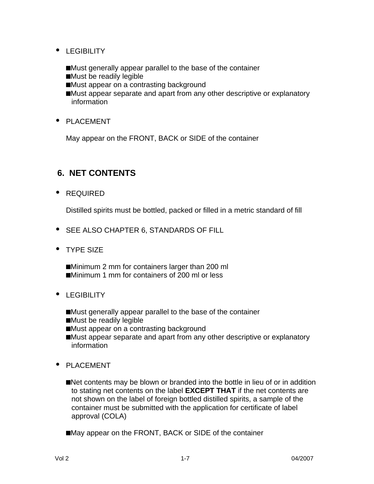- **·** LEGIBILITY
	- ■Must generally appear parallel to the base of the container
	- ■Must be readily legible
	- ■Must appear on a contrasting background
	- **n**Must appear separate and apart from any other descriptive or explanatory information
- **·** PLACEMENT

May appear on the FRONT, BACK or SIDE of the container

# **6. NET CONTENTS**

**·** REQUIRED

Distilled spirits must be bottled, packed or filled in a metric standard of fill

- **·** SEE ALSO CHAPTER 6, STANDARDS OF FILL
- **·** TYPE SIZE

**n**Minimum 2 mm for containers larger than 200 ml ■Minimum 1 mm for containers of 200 ml or less

- **·** LEGIBILITY
	- ■Must generally appear parallel to the base of the container
	- ■Must be readily legible
	- ■Must appear on a contrasting background
	- ■Must appear separate and apart from any other descriptive or explanatory information
- **·** PLACEMENT
	- **n**Net contents may be blown or branded into the bottle in lieu of or in addition to stating net contents on the label **EXCEPT THAT** if the net contents are not shown on the label of foreign bottled distilled spirits, a sample of the container must be submitted with the application for certificate of label approval (COLA)

■May appear on the FRONT, BACK or SIDE of the container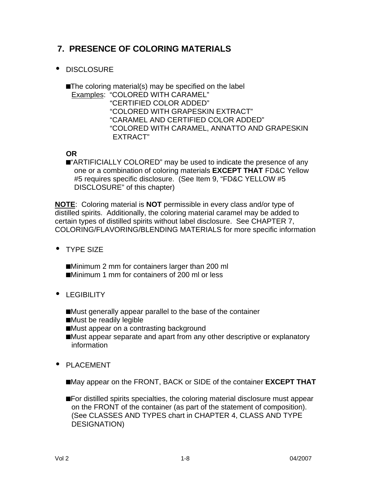# **7. PRESENCE OF COLORING MATERIALS**

**·** DISCLOSURE

**n**The coloring material(s) may be specified on the label Examples: "COLORED WITH CARAMEL" "CERTIFIED COLOR ADDED" "COLORED WITH GRAPESKIN EXTRACT" "CARAMEL AND CERTIFIED COLOR ADDED" "COLORED WITH CARAMEL, ANNATTO AND GRAPESKIN EXTRACT"

#### **OR**

**n**"ARTIFICIALLY COLORED" may be used to indicate the presence of any one or a combination of coloring materials **EXCEPT THAT** FD&C Yellow #5 requires specific disclosure. (See Item 9, "FD&C YELLOW #5 DISCLOSURE" of this chapter)

**NOTE**: Coloring material is **NOT** permissible in every class and/or type of distilled spirits. Additionally, the coloring material caramel may be added to certain types of distilled spirits without label disclosure. See CHAPTER 7, COLORING/FLAVORING/BLENDING MATERIALS for more specific information

**·** TYPE SIZE

■Minimum 2 mm for containers larger than 200 ml ■Minimum 1 mm for containers of 200 ml or less

- **·** LEGIBILITY
	- ■Must generally appear parallel to the base of the container
	- ■Must be readily legible
	- ■Must appear on a contrasting background
	- ■Must appear separate and apart from any other descriptive or explanatory information
- **·** PLACEMENT

■May appear on the FRONT, BACK or SIDE of the container **EXCEPT THAT** 

**n**For distilled spirits specialties, the coloring material disclosure must appear on the FRONT of the container (as part of the statement of composition). (See CLASSES AND TYPES chart in CHAPTER 4, CLASS AND TYPE DESIGNATION)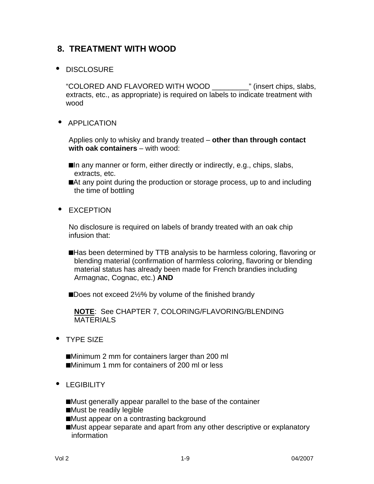# **8. TREATMENT WITH WOOD**

#### **·** DISCLOSURE

"COLORED AND FLAVORED WITH WOOD \_\_\_\_\_\_\_\_\_" (insert chips, slabs, extracts, etc., as appropriate) is required on labels to indicate treatment with wood

**·** APPLICATION

Applies only to whisky and brandy treated – **other than through contact with oak containers** – with wood:

- ■In any manner or form, either directly or indirectly, e.g., chips, slabs, extracts, etc.
- ■At any point during the production or storage process, up to and including the time of bottling
- **·** EXCEPTION

No disclosure is required on labels of brandy treated with an oak chip infusion that:

**n**Has been determined by TTB analysis to be harmless coloring, flavoring or blending material (confirmation of harmless coloring, flavoring or blending material status has already been made for French brandies including Armagnac, Cognac, etc.) **AND**

■Does not exceed 2½% by volume of the finished brandy

**NOTE**: See CHAPTER 7, COLORING/FLAVORING/BLENDING **MATERIALS** 

**·** TYPE SIZE

**n**Minimum 2 mm for containers larger than 200 ml ■Minimum 1 mm for containers of 200 ml or less

**·** LEGIBILITY

■Must generally appear parallel to the base of the container

- **n**Must be readily legible
- ■Must appear on a contrasting background
- ■Must appear separate and apart from any other descriptive or explanatory information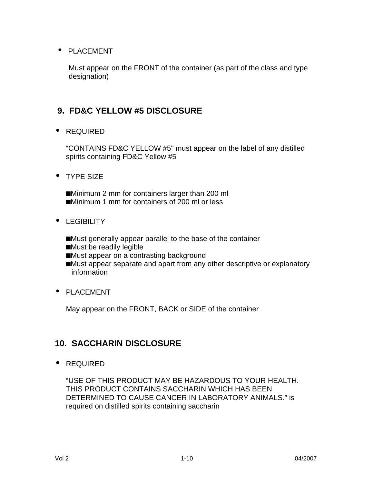#### **·** PLACEMENT

Must appear on the FRONT of the container (as part of the class and type designation)

# **9. FD&C YELLOW #5 DISCLOSURE**

**·** REQUIRED

"CONTAINS FD&C YELLOW #5" must appear on the label of any distilled spirits containing FD&C Yellow #5

**·** TYPE SIZE

■Minimum 2 mm for containers larger than 200 ml ■Minimum 1 mm for containers of 200 ml or less

**·** LEGIBILITY

■Must generally appear parallel to the base of the container **n**Must be readily legible ■Must appear on a contrasting background ■Must appear separate and apart from any other descriptive or explanatory information

**·** PLACEMENT

May appear on the FRONT, BACK or SIDE of the container

# **10. SACCHARIN DISCLOSURE**

**·** REQUIRED

"USE OF THIS PRODUCT MAY BE HAZARDOUS TO YOUR HEALTH. THIS PRODUCT CONTAINS SACCHARIN WHICH HAS BEEN DETERMINED TO CAUSE CANCER IN LABORATORY ANIMALS." is required on distilled spirits containing saccharin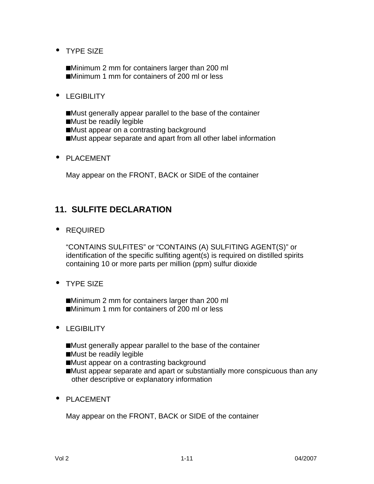**·** TYPE SIZE

■Minimum 2 mm for containers larger than 200 ml **n**Minimum 1 mm for containers of 200 ml or less

**·** LEGIBILITY

■Must generally appear parallel to the base of the container

- **n**Must be readily legible
- ■Must appear on a contrasting background
- ■Must appear separate and apart from all other label information
- **·** PLACEMENT

May appear on the FRONT, BACK or SIDE of the container

## **11. SULFITE DECLARATION**

**·** REQUIRED

"CONTAINS SULFITES" or "CONTAINS (A) SULFITING AGENT(S)" or identification of the specific sulfiting agent(s) is required on distilled spirits containing 10 or more parts per million (ppm) sulfur dioxide

**·** TYPE SIZE

**n**Minimum 2 mm for containers larger than 200 ml ■Minimum 1 mm for containers of 200 ml or less

- **·** LEGIBILITY
	- ■Must generally appear parallel to the base of the container
	- ■Must be readily legible
	- ■Must appear on a contrasting background
	- **n**Must appear separate and apart or substantially more conspicuous than any other descriptive or explanatory information
- **·** PLACEMENT

May appear on the FRONT, BACK or SIDE of the container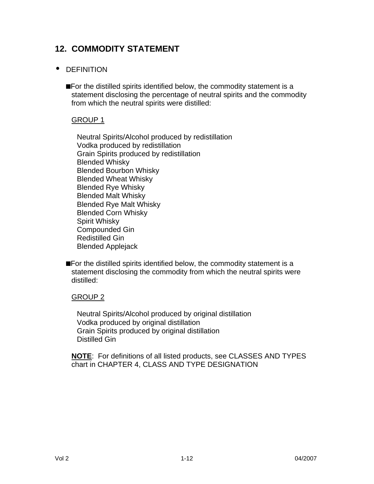# **12. COMMODITY STATEMENT**

#### **·** DEFINITION

**n**For the distilled spirits identified below, the commodity statement is a statement disclosing the percentage of neutral spirits and the commodity from which the neutral spirits were distilled:

#### GROUP 1

Neutral Spirits/Alcohol produced by redistillation Vodka produced by redistillation Grain Spirits produced by redistillation Blended Whisky Blended Bourbon Whisky Blended Wheat Whisky Blended Rye Whisky Blended Malt Whisky Blended Rye Malt Whisky Blended Corn Whisky Spirit Whisky Compounded Gin Redistilled Gin Blended Applejack

**n**For the distilled spirits identified below, the commodity statement is a statement disclosing the commodity from which the neutral spirits were distilled:

#### GROUP 2

Neutral Spirits/Alcohol produced by original distillation Vodka produced by original distillation Grain Spirits produced by original distillation Distilled Gin

**NOTE**: For definitions of all listed products, see CLASSES AND TYPES chart in CHAPTER 4, CLASS AND TYPE DESIGNATION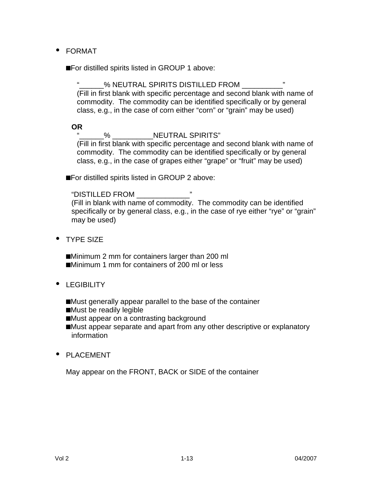**·** FORMAT

■For distilled spirits listed in GROUP 1 above:

% NEUTRAL SPIRITS DISTILLED FROM (Fill in first blank with specific percentage and second blank with name of commodity. The commodity can be identified specifically or by general class, e.g., in the case of corn either "corn" or "grain" may be used)

**OR**

% NEUTRAL SPIRITS"

(Fill in first blank with specific percentage and second blank with name of commodity. The commodity can be identified specifically or by general class, e.g., in the case of grapes either "grape" or "fruit" may be used)

■For distilled spirits listed in GROUP 2 above:

"DISTILLED FROM \_\_\_\_\_\_\_\_\_\_\_\_\_" (Fill in blank with name of commodity. The commodity can be identified specifically or by general class, e.g., in the case of rye either "rye" or "grain" may be used)

**·** TYPE SIZE

**n**Minimum 2 mm for containers larger than 200 ml ■Minimum 1 mm for containers of 200 ml or less

- **·** LEGIBILITY
	- ■Must generally appear parallel to the base of the container
	- ■Must be readily legible
	- ■Must appear on a contrasting background
	- ■Must appear separate and apart from any other descriptive or explanatory information
- **·** PLACEMENT

May appear on the FRONT, BACK or SIDE of the container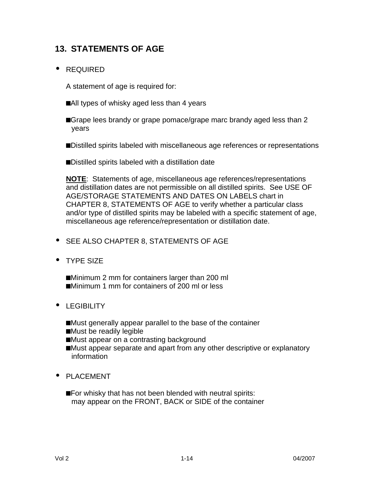# **13. STATEMENTS OF AGE**

#### **·** REQUIRED

A statement of age is required for:

- ■All types of whisky aged less than 4 years
- **nabigible** lees brandy or grape pomace/grape marc brandy aged less than 2 years
- **n**Distilled spirits labeled with miscellaneous age references or representations
- **n**Distilled spirits labeled with a distillation date

**NOTE**: Statements of age, miscellaneous age references/representations and distillation dates are not permissible on all distilled spirits. See USE OF AGE/STORAGE STATEMENTS AND DATES ON LABELS chart in CHAPTER 8, STATEMENTS OF AGE to verify whether a particular class and/or type of distilled spirits may be labeled with a specific statement of age, miscellaneous age reference/representation or distillation date.

- **·** SEE ALSO CHAPTER 8, STATEMENTS OF AGE
- **·** TYPE SIZE

■Minimum 2 mm for containers larger than 200 ml ■Minimum 1 mm for containers of 200 ml or less

- **·** LEGIBILITY
	- ■Must generally appear parallel to the base of the container
	- ■Must be readily legible
	- ■Must appear on a contrasting background
	- **n**Must appear separate and apart from any other descriptive or explanatory information
- **·** PLACEMENT
	- **n**For whisky that has not been blended with neutral spirits: may appear on the FRONT, BACK or SIDE of the container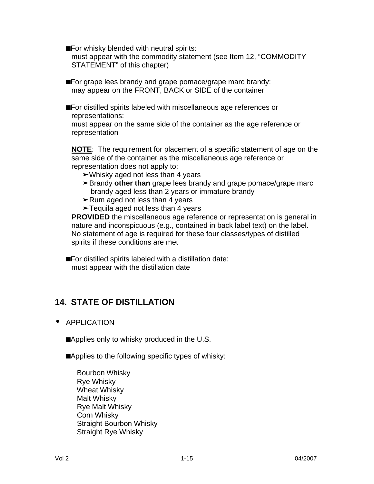**n**For whisky blended with neutral spirits: must appear with the commodity statement (see Item 12, "COMMODITY STATEMENT" of this chapter)

**For grape lees brandy and grape pomace/grape marc brandy:** may appear on the FRONT, BACK or SIDE of the container

**n**For distilled spirits labeled with miscellaneous age references or representations:

must appear on the same side of the container as the age reference or representation

**NOTE**: The requirement for placement of a specific statement of age on the same side of the container as the miscellaneous age reference or representation does not apply to:

- **‰**Whisky aged not less than 4 years
- ► Brandy other than grape lees brandy and grape pomace/grape marc brandy aged less than 2 years or immature brandy
- **‰**Rum aged not less than 4 years
- **‰**Tequila aged not less than 4 years

**PROVIDED** the miscellaneous age reference or representation is general in nature and inconspicuous (e.g., contained in back label text) on the label. No statement of age is required for these four classes/types of distilled spirits if these conditions are met

**n**For distilled spirits labeled with a distillation date: must appear with the distillation date

# **14. STATE OF DISTILLATION**

**·** APPLICATION

■Applies only to whisky produced in the U.S.

**n**Applies to the following specific types of whisky:

Bourbon Whisky Rye Whisky Wheat Whisky Malt Whisky Rye Malt Whisky Corn Whisky Straight Bourbon Whisky Straight Rye Whisky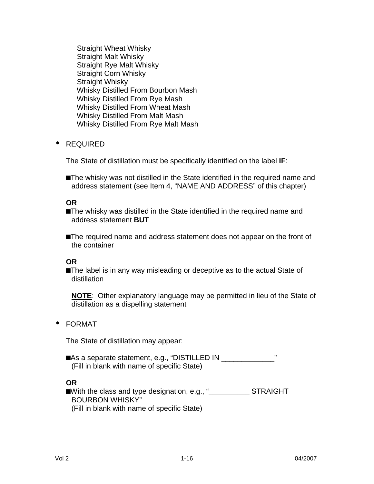Straight Wheat Whisky Straight Malt Whisky Straight Rye Malt Whisky Straight Corn Whisky Straight Whisky Whisky Distilled From Bourbon Mash Whisky Distilled From Rye Mash Whisky Distilled From Wheat Mash Whisky Distilled From Malt Mash Whisky Distilled From Rye Malt Mash

**·** REQUIRED

The State of distillation must be specifically identified on the label **IF**:

**n**The whisky was not distilled in the State identified in the required name and address statement (see Item 4, "NAME AND ADDRESS" of this chapter)

**OR**

**n**The whisky was distilled in the State identified in the required name and address statement **BUT**

**n**The required name and address statement does not appear on the front of the container

**OR**

**n**The label is in any way misleading or deceptive as to the actual State of distillation

**NOTE**: Other explanatory language may be permitted in lieu of the State of distillation as a dispelling statement

#### **·** FORMAT

The State of distillation may appear:

■As a separate statement, e.g., "DISTILLED IN \_\_\_\_\_\_\_\_\_\_\_\_\_\_\_\_" (Fill in blank with name of specific State)

#### **OR**

**n**With the class and type designation, e.g., "\_\_\_\_\_\_\_\_\_\_ STRAIGHT BOURBON WHISKY" (Fill in blank with name of specific State)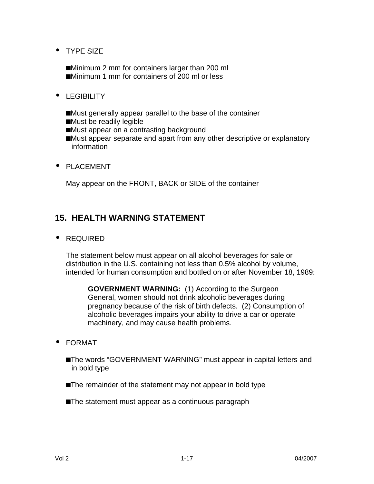**·** TYPE SIZE

■Minimum 2 mm for containers larger than 200 ml **n**Minimum 1 mm for containers of 200 ml or less

- **·** LEGIBILITY
	- ■Must generally appear parallel to the base of the container
	- **n**Must be readily legible
	- ■Must appear on a contrasting background
	- ■Must appear separate and apart from any other descriptive or explanatory information
- **·** PLACEMENT

May appear on the FRONT, BACK or SIDE of the container

### **15. HEALTH WARNING STATEMENT**

**·** REQUIRED

The statement below must appear on all alcohol beverages for sale or distribution in the U.S. containing not less than 0.5% alcohol by volume, intended for human consumption and bottled on or after November 18, 1989:

**GOVERNMENT WARNING:** (1) According to the Surgeon General, women should not drink alcoholic beverages during pregnancy because of the risk of birth defects. (2) Consumption of alcoholic beverages impairs your ability to drive a car or operate machinery, and may cause health problems.

- **·** FORMAT
	- **n**The words "GOVERNMENT WARNING" must appear in capital letters and in bold type
	- **n**The remainder of the statement may not appear in bold type
	- **n**The statement must appear as a continuous paragraph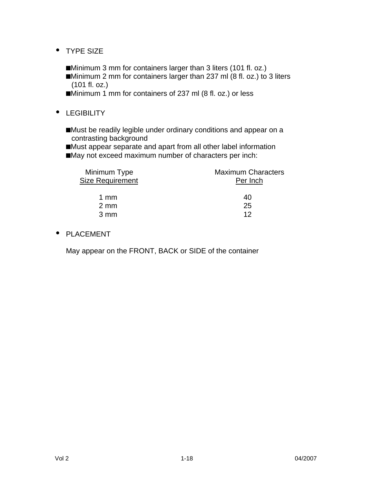- **·** TYPE SIZE
	- ■Minimum 3 mm for containers larger than 3 liters (101 fl. oz.) ■Minimum 2 mm for containers larger than 237 ml (8 fl. oz.) to 3 liters (101 fl. oz.)
	- ■Minimum 1 mm for containers of 237 ml (8 fl. oz.) or less
- **·** LEGIBILITY
	- **n**Must be readily legible under ordinary conditions and appear on a contrasting background
	- **n**Must appear separate and apart from all other label information ■May not exceed maximum number of characters per inch:

| Minimum Type            | <b>Maximum Characters</b> |  |  |
|-------------------------|---------------------------|--|--|
| <b>Size Requirement</b> | Per Inch                  |  |  |
| 1 $mm$                  | 40                        |  |  |
| $2 \text{ mm}$          | 25                        |  |  |
| $3 \, \text{mm}$        | 12                        |  |  |

#### **·** PLACEMENT

May appear on the FRONT, BACK or SIDE of the container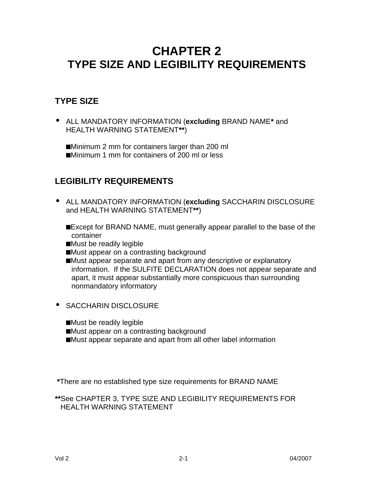# **CHAPTER 2 TYPE SIZE AND LEGIBILITY REQUIREMENTS**

# **TYPE SIZE**

**·** ALL MANDATORY INFORMATION (**excluding** BRAND NAME**\*** and HEALTH WARNING STATEMENT**\*\***)

■Minimum 2 mm for containers larger than 200 ml ■Minimum 1 mm for containers of 200 ml or less

# **LEGIBILITY REQUIREMENTS**

- **·** ALL MANDATORY INFORMATION (**excluding** SACCHARIN DISCLOSURE and HEALTH WARNING STATEMENT**\*\***)
	- **n**Except for BRAND NAME, must generally appear parallel to the base of the container
	- ■Must be readily legible
	- ■Must appear on a contrasting background
	- ■Must appear separate and apart from any descriptive or explanatory information. If the SULFITE DECLARATION does not appear separate and apart, it must appear substantially more conspicuous than surrounding nonmandatory informatory
- **·** SACCHARIN DISCLOSURE
	- ■Must be readily legible
	- ■Must appear on a contrasting background
	- ■Must appear separate and apart from all other label information

 **\***There are no established type size requirements for BRAND NAME

**\*\***See CHAPTER 3, TYPE SIZE AND LEGIBILITY REQUIREMENTS FOR HEALTH WARNING STATEMENT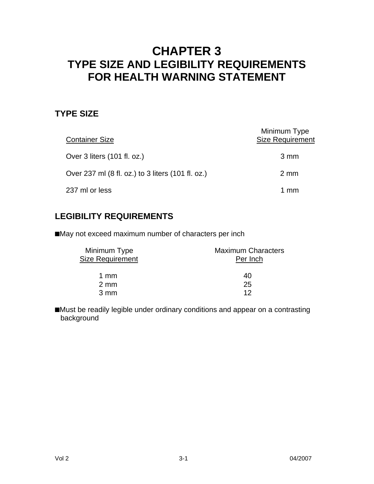# **CHAPTER 3 TYPE SIZE AND LEGIBILITY REQUIREMENTS FOR HEALTH WARNING STATEMENT**

# **TYPE SIZE**

| <b>Container Size</b>                             | Minimum Type<br><b>Size Requirement</b> |
|---------------------------------------------------|-----------------------------------------|
| Over 3 liters (101 fl. oz.)                       | 3 mm                                    |
| Over 237 ml (8 fl. oz.) to 3 liters (101 fl. oz.) | $2 \text{ mm}$                          |
| 237 ml or less                                    | 1 mm                                    |

# **LEGIBILITY REQUIREMENTS**

**n**May not exceed maximum number of characters per inch

| Minimum Type            | <b>Maximum Characters</b> |
|-------------------------|---------------------------|
| <b>Size Requirement</b> | Per Inch                  |
| 1 $mm$                  | 40                        |
| $2 \text{ mm}$          | 25                        |
| $3 \text{ mm}$          | イク                        |

■Must be readily legible under ordinary conditions and appear on a contrasting background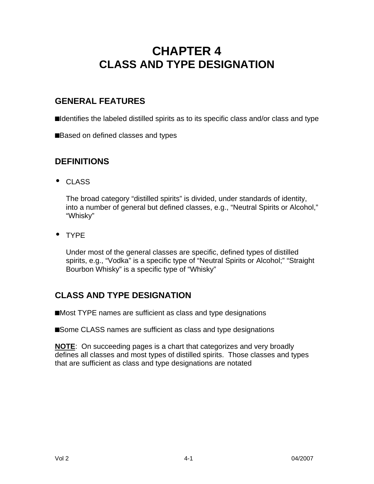# **CHAPTER 4 CLASS AND TYPE DESIGNATION**

# **GENERAL FEATURES**

**n**Identifies the labeled distilled spirits as to its specific class and/or class and type

**Based on defined classes and types** 

# **DEFINITIONS**

**·** CLASS

The broad category "distilled spirits" is divided, under standards of identity, into a number of general but defined classes, e.g., "Neutral Spirits or Alcohol," "Whisky"

**·** TYPE

Under most of the general classes are specific, defined types of distilled spirits, e.g., "Vodka" is a specific type of "Neutral Spirits or Alcohol;" "Straight Bourbon Whisky" is a specific type of "Whisky"

# **CLASS AND TYPE DESIGNATION**

■Most TYPE names are sufficient as class and type designations

■Some CLASS names are sufficient as class and type designations

**NOTE**: On succeeding pages is a chart that categorizes and very broadly defines all classes and most types of distilled spirits. Those classes and types that are sufficient as class and type designations are notated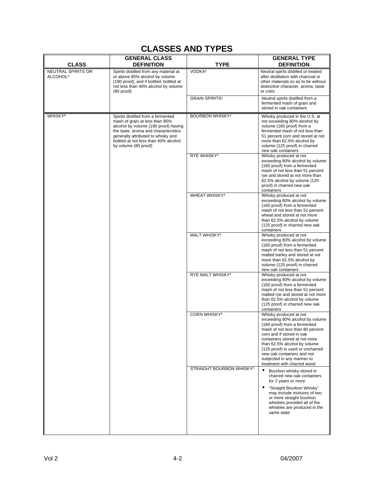# **CLASSES AND TYPES**

| <b>CLASS</b>                               | <b>GENERAL CLASS</b><br><b>DEFINITION</b>                                                                                                                                                                                                                  | <b>TYPE</b>                                                                                                                                                                                                                                                                                                                                                | <b>GENERAL TYPE</b><br><b>DEFINITION</b>                                                                                                                                                                                                                 |
|--------------------------------------------|------------------------------------------------------------------------------------------------------------------------------------------------------------------------------------------------------------------------------------------------------------|------------------------------------------------------------------------------------------------------------------------------------------------------------------------------------------------------------------------------------------------------------------------------------------------------------------------------------------------------------|----------------------------------------------------------------------------------------------------------------------------------------------------------------------------------------------------------------------------------------------------------|
| NEUTRAL SPIRITS OR<br>ALCOHOL <sup>1</sup> | Spirits distilled from any material at<br>or above 95% alcohol by volume<br>(190 proof), and if bottled, bottled at<br>not less than 40% alcohol by volume<br>$(80$ proof)                                                                                 | VODKA <sup>1</sup>                                                                                                                                                                                                                                                                                                                                         | Neutral spirits distilled or treated<br>after distillation with charcoal or<br>other materials so as to be without<br>distinctive character, aroma, taste<br>or color                                                                                    |
|                                            |                                                                                                                                                                                                                                                            | <b>GRAIN SPIRITS1</b>                                                                                                                                                                                                                                                                                                                                      | Neutral spirits distilled from a<br>fermented mash of grain and<br>stored in oak containers                                                                                                                                                              |
| WHISKY <sup>2</sup>                        | Spirits distilled from a fermented<br>mash of grain at less than 95%<br>alcohol by volume (190 proof) having<br>the taste, aroma and characteristics<br>generally attributed to whisky and<br>bottled at not less than 40% alcohol<br>by volume (80 proof) | <b>BOURBON WHISKY1</b>                                                                                                                                                                                                                                                                                                                                     | Whisky produced in the U.S. at<br>not exceeding 80% alcohol by<br>volume (160 proof) from a<br>fermented mash of not less than<br>51 percent corn and stored at not<br>more than 62.5% alcohol by<br>volume (125 proof) in charred<br>new oak containers |
|                                            |                                                                                                                                                                                                                                                            | RYE WHISKY <sup>3</sup>                                                                                                                                                                                                                                                                                                                                    | Whisky produced at not<br>exceeding 80% alcohol by volume<br>(160 proof) from a fermented<br>mash of not less than 51 percent<br>rye and stored at not more than<br>62.5% alcohol by volume (125<br>proof) in charred new oak<br>containers              |
|                                            |                                                                                                                                                                                                                                                            | <b>WHEAT WHISKY3</b>                                                                                                                                                                                                                                                                                                                                       | Whisky produced at not<br>exceeding 80% alcohol by volume<br>(160 proof) from a fermented<br>mash of not less than 51 percent<br>wheat and stored at not more<br>than 62.5% alcohol by volume<br>(125 proof) in charred new oak<br>containers            |
|                                            |                                                                                                                                                                                                                                                            | MALT WHISKY <sup>3</sup>                                                                                                                                                                                                                                                                                                                                   | Whisky produced at not<br>exceeding 80% alcohol by volume<br>(160 proof) from a fermented<br>mash of not less than 51 percent<br>malted barley and stored at not<br>more than 62.5% alcohol by<br>volume (125 proof) in charred<br>new oak containers    |
|                                            |                                                                                                                                                                                                                                                            | RYE MALT WHISKY <sup>3</sup>                                                                                                                                                                                                                                                                                                                               | Whisky produced at not<br>exceeding 80% alcohol by volume<br>(160 proof) from a fermented<br>mash of not less than 51 percent<br>malted rye and stored at not more<br>than 62.5% alcohol by volume<br>(125 proof) in charred new oak<br>containers       |
|                                            | <b>CORN WHISKY3</b>                                                                                                                                                                                                                                        | Whisky produced at not<br>exceeding 80% alcohol by volume<br>(160 proof) from a fermented<br>mash of not less than 80 percent<br>corn and if stored in oak<br>containers stored at not more<br>than 62.5% alcohol by volume<br>(125 proof) in used or uncharred<br>new oak containers and not<br>subjected in any manner to<br>treatment with charred wood |                                                                                                                                                                                                                                                          |
|                                            |                                                                                                                                                                                                                                                            | <b>STRAIGHT BOURBON WHISKY1</b>                                                                                                                                                                                                                                                                                                                            | Bourbon whisky stored in<br>charred new oak containers<br>for 2 years or more<br>"Straight Bourbon Whisky"<br>may include mixtures of two<br>or more straight bourbon<br>whiskies provided all of the<br>whiskies are produced in the<br>same state      |
|                                            |                                                                                                                                                                                                                                                            |                                                                                                                                                                                                                                                                                                                                                            |                                                                                                                                                                                                                                                          |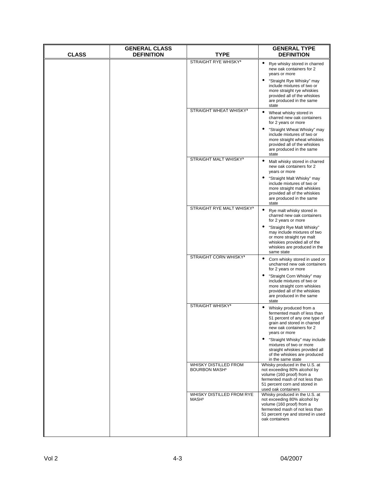| <b>CLASS</b> | <b>GENERAL CLASS</b><br><b>DEFINITION</b> | TYPE                                                     | <b>GENERAL TYPE</b><br><b>DEFINITION</b>                                                                                                                                                                                                                                                         |
|--------------|-------------------------------------------|----------------------------------------------------------|--------------------------------------------------------------------------------------------------------------------------------------------------------------------------------------------------------------------------------------------------------------------------------------------------|
|              |                                           | <b>STRAIGHT RYE WHISKY3</b>                              | Rye whisky stored in charred<br>$\bullet$<br>new oak containers for 2<br>years or more<br>"Straight Rye Whisky" may<br>include mixtures of two or<br>more straight rye whiskies<br>provided all of the whiskies<br>are produced in the same<br>state                                             |
|              |                                           | STRAIGHT WHEAT WHISKY <sup>3</sup>                       | Wheat whisky stored in<br>charred new oak containers<br>for 2 years or more<br>"Straight Wheat Whisky" may<br>$\bullet$<br>include mixtures of two or<br>more straight wheat whiskies<br>provided all of the whiskies<br>are produced in the same<br>state                                       |
|              |                                           | <b>STRAIGHT MALT WHISKY3</b>                             | Malt whisky stored in charred<br>new oak containers for 2<br>years or more<br>"Straight Malt Whisky" may<br>$\bullet$<br>include mixtures of two or<br>more straight malt whiskies<br>provided all of the whiskies<br>are produced in the same<br>state                                          |
|              |                                           | STRAIGHT RYE MALT WHISKY <sup>3</sup>                    | Rye malt whisky stored in<br>$\bullet$<br>charred new oak containers<br>for 2 years or more<br>"Straight Rye Malt Whisky"<br>may include mixtures of two<br>or more straight rye malt<br>whiskies provided all of the<br>whiskies are produced in the<br>same state                              |
|              |                                           | STRAIGHT CORN WHISKY <sup>3</sup>                        | Corn whisky stored in used or<br>$\bullet$<br>uncharred new oak containers<br>for 2 years or more<br>"Straight Corn Whisky" may<br>$\bullet$<br>include mixtures of two or<br>more straight corn whiskies<br>provided all of the whiskies<br>are produced in the same<br>state                   |
|              |                                           | <b>STRAIGHT WHISKY3</b>                                  | Whisky produced from a<br>fermented mash of less than<br>51 percent of any one type of<br>grain and stored in charred<br>new oak containers for 2<br>years or more<br>"Straight Whisky" may include<br>mixtures of two or more<br>straight whiskies provided all<br>of the whiskies are produced |
|              |                                           | WHISKY DISTILLED FROM<br><b>BOURBON MASH<sup>1</sup></b> | in the same state<br>Whisky produced in the U.S. at<br>not exceeding 80% alcohol by<br>volume (160 proof) from a<br>fermented mash of not less than<br>51 percent corn and stored in<br>used oak containers                                                                                      |
|              |                                           | WHISKY DISTILLED FROM RYE<br>MASH <sup>1</sup>           | Whisky produced in the U.S. at<br>not exceeding 80% alcohol by<br>volume (160 proof) from a<br>fermented mash of not less than<br>51 percent rye and stored in used<br>oak containers                                                                                                            |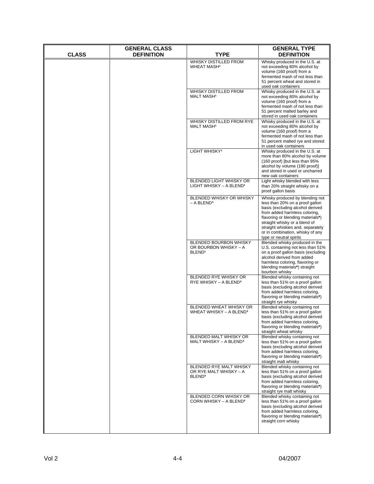| <b>CLASS</b> | <b>GENERAL CLASS</b><br><b>DEFINITION</b> | TYPE                                                                         | <b>GENERAL TYPE</b><br><b>DEFINITION</b>                                                                                                                                                                                                                                                                          |
|--------------|-------------------------------------------|------------------------------------------------------------------------------|-------------------------------------------------------------------------------------------------------------------------------------------------------------------------------------------------------------------------------------------------------------------------------------------------------------------|
|              |                                           | <b>WHISKY DISTILLED FROM</b><br><b>WHEAT MASH<sup>1</sup></b>                | Whisky produced in the U.S. at<br>not exceeding 80% alcohol by<br>volume (160 proof) from a<br>fermented mash of not less than<br>51 percent wheat and stored in<br>used oak containers                                                                                                                           |
|              |                                           | WHISKY DISTILLED FROM<br><b>MALT MASH1</b>                                   | Whisky produced in the U.S. at<br>not exceeding 80% alcohol by<br>volume (160 proof) from a<br>fermented mash of not less than<br>51 percent malted barley and<br>stored in used oak containers                                                                                                                   |
|              |                                           | WHISKY DISTILLED FROM RYE<br><b>MALT MASH1</b>                               | Whisky produced in the U.S. at<br>not exceeding 80% alcohol by<br>volume (160 proof) from a<br>fermented mash of not less than<br>51 percent malted rye and stored<br>in used oak containers                                                                                                                      |
|              |                                           | LIGHT WHISKY <sup>1</sup>                                                    | Whisky produced in the U.S. at<br>more than 80% alcohol by volume<br>(160 proof) [but less than 95%<br>alcohol by volume (190 proof)]<br>and stored in used or uncharred<br>new oak containers                                                                                                                    |
|              |                                           | BLENDED LIGHT WHISKY OR<br>LIGHT WHISKY - A BLEND <sup>1</sup>               | Light whisky blended with less<br>than 20% straight whisky on a<br>proof gallon basis                                                                                                                                                                                                                             |
|              |                                           | BLENDED WHISKY OR WHISKY<br>$-$ A BLEND <sup>3</sup>                         | Whisky produced by blending not<br>less than 20% on a proof gallon<br>basis (excluding alcohol derived<br>from added harmless coloring,<br>flavoring or blending materials*)<br>straight whisky or a blend of<br>straight whiskies and, separately<br>or in combination, whisky of any<br>type or neutral spirits |
|              |                                           | <b>BLENDED BOURBON WHISKY</b><br>OR BOURBON WHISKY - A<br>BLEND <sup>1</sup> | Blended whisky produced in the<br>U.S. containing not less than 51%<br>on a proof gallon basis (excluding<br>alcohol derived from added<br>harmless coloring, flavoring or<br>blending materials*) straight<br>bourbon whisky                                                                                     |
|              |                                           | BLENDED RYE WHISKY OR<br>RYE WHISKY - A BLEND <sup>3</sup>                   | Blended whisky containing not<br>less than 51% on a proof gallon<br>basis (excluding alcohol derived<br>from added harmless coloring,<br>flavoring or blending materials*)<br>straight rye whisky                                                                                                                 |
|              |                                           | BLENDED WHEAT WHISKY OR<br>WHEAT WHISKY - A BLEND <sup>3</sup>               | Blended whisky containing not<br>less than 51% on a proof gallon<br>basis (excluding alcohol derived<br>from added harmless coloring,<br>flavoring or blending materials*)<br>straight wheat whisky                                                                                                               |
|              |                                           | BLENDED MALT WHISKY OR<br>MALT WHISKY - A BLEND <sup>3</sup>                 | Blended whisky containing not<br>less than 51% on a proof gallon<br>basis (excluding alcohol derived<br>from added harmless coloring,<br>flavoring or blending materials*)<br>straight malt whisky                                                                                                                |
|              |                                           | BLENDED RYE MALT WHISKY<br>OR RYE MALT WHISKY - A<br>BLEND <sup>3</sup>      | Blended whisky containing not<br>less than 51% on a proof gallon<br>basis (excluding alcohol derived<br>from added harmless coloring,<br>flavoring or blending materials*)<br>straight rye malt whisky                                                                                                            |
|              |                                           | BLENDED CORN WHISKY OR<br>CORN WHISKY - A BLEND <sup>3</sup>                 | Blended whisky containing not<br>less than 51% on a proof gallon<br>basis (excluding alcohol derived<br>from added harmless coloring,<br>flavoring or blending materials*)<br>straight corn whisky                                                                                                                |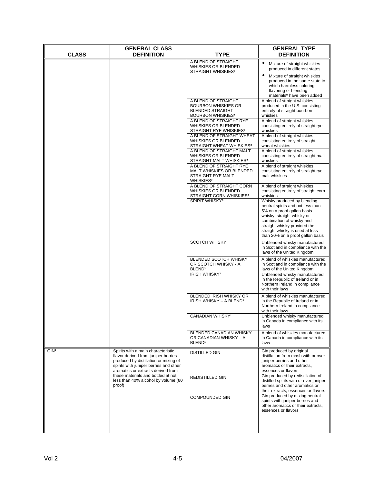| <b>CLASS</b>     | <b>GENERAL CLASS</b>                                                                                                                                                                               |                                                                                                          | <b>GENERAL TYPE</b>                                                                                                                                                                                                                                              |
|------------------|----------------------------------------------------------------------------------------------------------------------------------------------------------------------------------------------------|----------------------------------------------------------------------------------------------------------|------------------------------------------------------------------------------------------------------------------------------------------------------------------------------------------------------------------------------------------------------------------|
|                  | <b>DEFINITION</b>                                                                                                                                                                                  | TYPE                                                                                                     | <b>DEFINITION</b>                                                                                                                                                                                                                                                |
|                  |                                                                                                                                                                                                    | A BLEND OF STRAIGHT<br>WHISKIES OR BLENDED<br><b>STRAIGHT WHISKIES3</b>                                  | Mixture of straight whiskies<br>$\bullet$<br>produced in different states<br>Mixture of straight whiskies<br>produced in the same state to<br>which harmless coloring,<br>flavoring or blending                                                                  |
|                  |                                                                                                                                                                                                    | A BLEND OF STRAIGHT<br><b>BOURBON WHISKIES OR</b><br><b>BLENDED STRAIGHT</b><br><b>BOURBON WHISKIES1</b> | materials* have been added<br>A blend of straight whiskies<br>produced in the U.S. consisting<br>entirely of straight bourbon<br>whiskies                                                                                                                        |
|                  |                                                                                                                                                                                                    | A BLEND OF STRAIGHT RYE<br><b>WHISKIES OR BLENDED</b><br><b>STRAIGHT RYE WHISKIES3</b>                   | A blend of straight whiskies<br>consisting entirely of straight rye<br>whiskies                                                                                                                                                                                  |
|                  |                                                                                                                                                                                                    | A BLEND OF STRAIGHT WHEAT<br><b>WHISKIES OR BLENDED</b><br>STRAIGHT WHEAT WHISKIES <sup>3</sup>          | A blend of straight whiskies<br>consisting entirely of straight<br>wheat whiskies                                                                                                                                                                                |
|                  |                                                                                                                                                                                                    | A BLEND OF STRAIGHT MALT<br><b>WHISKIES OR BLENDED</b><br>STRAIGHT MALT WHISKIES <sup>3</sup>            | A blend of straight whiskies<br>consisting entirely of straight malt<br>whiskies                                                                                                                                                                                 |
|                  |                                                                                                                                                                                                    | A BLEND OF STRAIGHT RYE<br>MALT WHISKIES OR BLENDED<br>STRAIGHT RYE MALT<br><b>WHISKIES<sup>3</sup></b>  | A blend of straight whiskies<br>consisting entirely of straight rye<br>malt whiskies                                                                                                                                                                             |
|                  |                                                                                                                                                                                                    | A BLEND OF STRAIGHT CORN<br><b>WHISKIES OR BLENDED</b><br>STRAIGHT CORN WHISKIES <sup>3</sup>            | A blend of straight whiskies<br>consisting entirely of straight corn<br>whiskies                                                                                                                                                                                 |
|                  |                                                                                                                                                                                                    | SPIRIT WHISKY <sup>3</sup>                                                                               | Whisky produced by blending<br>neutral spirits and not less than<br>5% on a proof gallon basis<br>whisky, straight whisky or<br>combination of whisky and<br>straight whisky provided the<br>straight whisky is used at less<br>than 20% on a proof gallon basis |
|                  |                                                                                                                                                                                                    | <b>SCOTCH WHISKY<sup>1</sup></b>                                                                         | Unblended whisky manufactured<br>in Scotland in compliance with the<br>laws of the United Kingdom                                                                                                                                                                |
|                  |                                                                                                                                                                                                    | <b>BLENDED SCOTCH WHISKY</b><br>OR SCOTCH WHISKY - A<br>BLEND <sup>1</sup><br>IRISH WHISKY <sup>1</sup>  | A blend of whiskies manufactured<br>in Scotland in compliance with the<br>laws of the United Kingdom<br>Unblended whisky manufactured                                                                                                                            |
|                  |                                                                                                                                                                                                    |                                                                                                          | in the Republic of Ireland or in<br>Northern Ireland in compliance<br>with their laws                                                                                                                                                                            |
|                  |                                                                                                                                                                                                    | BLENDED IRISH WHISKY OR<br>IRISH WHISKY - A BLEND <sup>1</sup>                                           | A blend of whiskies manufactured<br>in the Republic of Ireland or in<br>Northern Ireland in compliance<br>with their laws                                                                                                                                        |
|                  |                                                                                                                                                                                                    | <b>CANADIAN WHISKY1</b>                                                                                  | Unblended whisky manufactured<br>in Canada in compliance with its<br>laws                                                                                                                                                                                        |
|                  |                                                                                                                                                                                                    | BLENDED CANADIAN WHISKY<br>OR CANADIAN WHISKY - A<br>BLEND <sup>1</sup>                                  | A blend of whiskies manufactured<br>in Canada in compliance with its<br>laws                                                                                                                                                                                     |
| GIN <sup>1</sup> | Spirits with a main characteristic<br>flavor derived from juniper berries<br>produced by distillation or mixing of<br>spirits with juniper berries and other<br>aromatics or extracts derived from | <b>DISTILLED GIN</b>                                                                                     | Gin produced by original<br>distillation from mash with or over<br>juniper berries and other<br>aromatics or their extracts,<br>essences or flavors                                                                                                              |
|                  | these materials and bottled at not<br>less than 40% alcohol by volume (80<br>proof)                                                                                                                | <b>REDISTILLED GIN</b>                                                                                   | Gin produced by redistillation of<br>distilled spirits with or over juniper<br>berries and other aromatics or<br>their extracts, essences or flavors                                                                                                             |
|                  |                                                                                                                                                                                                    | <b>COMPOUNDED GIN</b>                                                                                    | Gin produced by mixing neutral<br>spirits with juniper berries and<br>other aromatics or their extracts,<br>essences or flavors                                                                                                                                  |
|                  |                                                                                                                                                                                                    |                                                                                                          |                                                                                                                                                                                                                                                                  |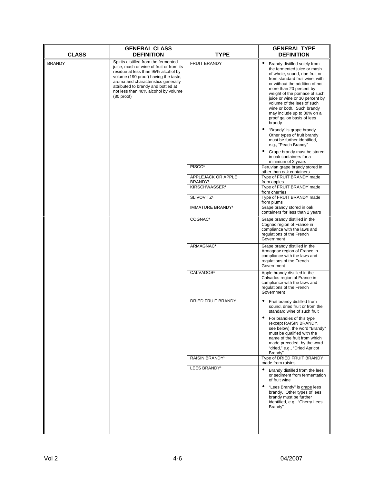| <b>CLASS</b>                                                                                                                                                                                                                                                                                                          | <b>GENERAL CLASS</b><br><b>DEFINITION</b> | TYPE                                                                                                                                                                                                                                                                                                                                                                                                         | <b>GENERAL TYPE</b><br><b>DEFINITION</b>                                                                                                                                                                                    |
|-----------------------------------------------------------------------------------------------------------------------------------------------------------------------------------------------------------------------------------------------------------------------------------------------------------------------|-------------------------------------------|--------------------------------------------------------------------------------------------------------------------------------------------------------------------------------------------------------------------------------------------------------------------------------------------------------------------------------------------------------------------------------------------------------------|-----------------------------------------------------------------------------------------------------------------------------------------------------------------------------------------------------------------------------|
| Spirits distilled from the fermented<br><b>BRANDY</b><br>juice, mash or wine of fruit or from its<br>residue at less than 95% alcohol by<br>volume (190 proof) having the taste,<br>aroma and characteristics generally<br>attributed to brandy and bottled at<br>not less than 40% alcohol by volume<br>$(80$ proof) | <b>FRUIT BRANDY</b>                       | $\bullet$<br>Brandy distilled solely from<br>the fermented juice or mash<br>of whole, sound, ripe fruit or<br>from standard fruit wine, with<br>or without the addition of not<br>more than 20 percent by<br>weight of the pomace of such<br>juice or wine or 30 percent by<br>volume of the lees of such<br>wine or both. Such brandy<br>may include up to 30% on a<br>proof gallon basis of lees<br>brandy |                                                                                                                                                                                                                             |
|                                                                                                                                                                                                                                                                                                                       |                                           |                                                                                                                                                                                                                                                                                                                                                                                                              | "Brandy" is grape brandy.<br>Other types of fruit brandy<br>must be further identified,<br>e.g., "Peach Brandy"<br>Grape brandy must be stored<br>in oak containers for a                                                   |
|                                                                                                                                                                                                                                                                                                                       |                                           | PISCO <sup>1</sup>                                                                                                                                                                                                                                                                                                                                                                                           | minimum of 2 years<br>Peruvian grape brandy stored in                                                                                                                                                                       |
|                                                                                                                                                                                                                                                                                                                       |                                           | APPLEJACK OR APPLE                                                                                                                                                                                                                                                                                                                                                                                           | other than oak containers<br>Type of FRUIT BRANDY made                                                                                                                                                                      |
|                                                                                                                                                                                                                                                                                                                       |                                           | BRANDY <sup>1</sup><br>KIRSCHWASSER <sup>1</sup>                                                                                                                                                                                                                                                                                                                                                             | from apples<br>Type of FRUIT BRANDY made                                                                                                                                                                                    |
|                                                                                                                                                                                                                                                                                                                       |                                           | SLIVOVITZ <sup>1</sup>                                                                                                                                                                                                                                                                                                                                                                                       | from cherries<br>Type of FRUIT BRANDY made                                                                                                                                                                                  |
|                                                                                                                                                                                                                                                                                                                       |                                           | <b>IMMATURE BRANDY<sup>1</sup></b>                                                                                                                                                                                                                                                                                                                                                                           | from plums<br>Grape brandy stored in oak                                                                                                                                                                                    |
|                                                                                                                                                                                                                                                                                                                       |                                           |                                                                                                                                                                                                                                                                                                                                                                                                              | containers for less than 2 years                                                                                                                                                                                            |
|                                                                                                                                                                                                                                                                                                                       |                                           | COGNAC <sup>1</sup>                                                                                                                                                                                                                                                                                                                                                                                          | Grape brandy distilled in the<br>Cognac region of France in<br>compliance with the laws and<br>regulations of the French<br>Government                                                                                      |
|                                                                                                                                                                                                                                                                                                                       |                                           | ARMAGNAC <sup>1</sup>                                                                                                                                                                                                                                                                                                                                                                                        | Grape brandy distilled in the<br>Armagnac region of France in<br>compliance with the laws and<br>regulations of the French<br>Government                                                                                    |
|                                                                                                                                                                                                                                                                                                                       |                                           | CALVADOS <sup>1</sup>                                                                                                                                                                                                                                                                                                                                                                                        | Apple brandy distilled in the<br>Calvados region of France in<br>compliance with the laws and<br>regulations of the French<br>Government                                                                                    |
|                                                                                                                                                                                                                                                                                                                       |                                           | DRIED FRUIT BRANDY                                                                                                                                                                                                                                                                                                                                                                                           | Fruit brandy distilled from<br>sound, dried fruit or from the<br>standard wine of such fruit                                                                                                                                |
|                                                                                                                                                                                                                                                                                                                       |                                           |                                                                                                                                                                                                                                                                                                                                                                                                              | For brandies of this type<br>(except RAISIN BRANDY,<br>see below), the word "Brandy"<br>must be qualified with the<br>name of the fruit from which<br>made preceded by the word<br>"dried," e.g., "Dried Apricot<br>Brandy" |
|                                                                                                                                                                                                                                                                                                                       |                                           | RAISIN BRANDY <sup>1</sup>                                                                                                                                                                                                                                                                                                                                                                                   | Type of DRIED FRUIT BRANDY<br>made from raisins                                                                                                                                                                             |
|                                                                                                                                                                                                                                                                                                                       |                                           | LEES BRANDY <sup>1</sup>                                                                                                                                                                                                                                                                                                                                                                                     | Brandy distilled from the lees<br>or sediment from fermentation<br>of fruit wine                                                                                                                                            |
|                                                                                                                                                                                                                                                                                                                       |                                           |                                                                                                                                                                                                                                                                                                                                                                                                              | "Lees Brandy" is grape lees<br>brandy. Other types of lees<br>brandy must be further<br>identified, e.g., "Cherry Lees<br>Brandy"                                                                                           |
|                                                                                                                                                                                                                                                                                                                       |                                           |                                                                                                                                                                                                                                                                                                                                                                                                              |                                                                                                                                                                                                                             |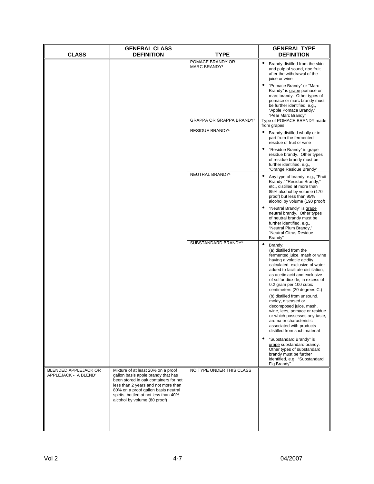| <b>CLASS</b>                                             | <b>GENERAL CLASS</b><br><b>DEFINITION</b>                                                                                                                                                                                                                                | TYPE                                         | <b>GENERAL TYPE</b><br><b>DEFINITION</b>                                                                                                                                                                                                                                                                                                                                                                                                                                                                                                                 |
|----------------------------------------------------------|--------------------------------------------------------------------------------------------------------------------------------------------------------------------------------------------------------------------------------------------------------------------------|----------------------------------------------|----------------------------------------------------------------------------------------------------------------------------------------------------------------------------------------------------------------------------------------------------------------------------------------------------------------------------------------------------------------------------------------------------------------------------------------------------------------------------------------------------------------------------------------------------------|
|                                                          |                                                                                                                                                                                                                                                                          | POMACE BRANDY OR<br>MARC BRANDY <sup>1</sup> | $\bullet$<br>Brandy distilled from the skin<br>and pulp of sound, ripe fruit<br>after the withdrawal of the<br>juice or wine                                                                                                                                                                                                                                                                                                                                                                                                                             |
|                                                          |                                                                                                                                                                                                                                                                          |                                              | $\bullet$<br>"Pomace Brandy" or "Marc<br>Brandy" is grape pomace or<br>marc brandy. Other types of<br>pomace or marc brandy must<br>be further identified, e.g.,<br>"Apple Pomace Brandy,"<br>"Pear Marc Brandy"                                                                                                                                                                                                                                                                                                                                         |
|                                                          |                                                                                                                                                                                                                                                                          | GRAPPA OR GRAPPA BRANDY <sup>1</sup>         | Type of POMACE BRANDY made<br>from grapes                                                                                                                                                                                                                                                                                                                                                                                                                                                                                                                |
|                                                          |                                                                                                                                                                                                                                                                          | RESIDUE BRANDY <sup>1</sup>                  | $\bullet$<br>Brandy distilled wholly or in<br>part from the fermented<br>residue of fruit or wine                                                                                                                                                                                                                                                                                                                                                                                                                                                        |
|                                                          |                                                                                                                                                                                                                                                                          |                                              | "Residue Brandy" is grape<br>residue brandy. Other types<br>of residue brandy must be<br>further identified, e.g.,<br>"Orange Residue Brandy"                                                                                                                                                                                                                                                                                                                                                                                                            |
|                                                          |                                                                                                                                                                                                                                                                          | NEUTRAL BRANDY <sup>1</sup>                  | Any type of brandy, e.g., "Fruit<br>$\bullet$<br>Brandy," "Residue Brandy,"<br>etc., distilled at more than<br>85% alcohol by volume (170<br>proof) but less than 95%<br>alcohol by volume (190 proof)                                                                                                                                                                                                                                                                                                                                                   |
|                                                          |                                                                                                                                                                                                                                                                          |                                              | "Neutral Brandy" is grape<br>neutral brandy. Other types<br>of neutral brandy must be<br>further identified, e.g.,<br>"Neutral Plum Brandy,"<br>"Neutral Citrus Residue<br>Brandy"                                                                                                                                                                                                                                                                                                                                                                       |
|                                                          |                                                                                                                                                                                                                                                                          | SUBSTANDARD BRANDY <sup>1</sup>              | $\bullet$<br>Brandy:<br>(a) distilled from the<br>fermented juice, mash or wine<br>having a volatile acidity<br>calculated, exclusive of water<br>added to facilitate distillation,<br>as acetic acid and exclusive<br>of sulfur dioxide, in excess of<br>0.2 gram per 100 cubic<br>centimeters (20 degrees C.)<br>(b) distilled from unsound,<br>moldy, diseased or<br>decomposed juice, mash,<br>wine, lees, pomace or residue<br>or which possesses any taste,<br>aroma or characteristic<br>associated with products<br>distilled from such material |
|                                                          |                                                                                                                                                                                                                                                                          |                                              | "Substandard Brandy" is<br>$\bullet$<br>grape substandard brandy.<br>Other types of substandard<br>brandy must be further<br>identified, e.g., "Substandard<br>Fig Brandy"                                                                                                                                                                                                                                                                                                                                                                               |
| BLENDED APPLEJACK OR<br>APPLEJACK - A BLEND <sup>1</sup> | Mixture of at least 20% on a proof<br>gallon basis apple brandy that has<br>been stored in oak containers for not<br>less than 2 years and not more than<br>80% on a proof gallon basis neutral<br>spirits, bottled at not less than 40%<br>alcohol by volume (80 proof) | NO TYPE UNDER THIS CLASS                     |                                                                                                                                                                                                                                                                                                                                                                                                                                                                                                                                                          |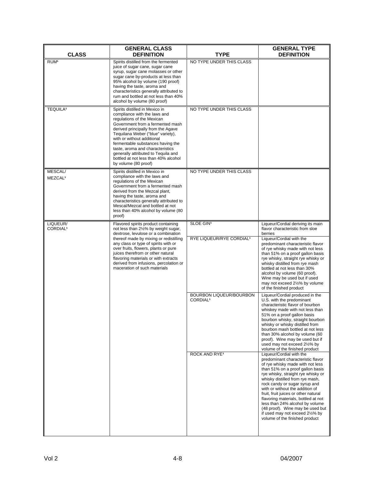| <b>CLASS</b>                     | <b>GENERAL CLASS</b><br><b>DEFINITION</b>                                                                                                                                                                                                                                                                                                                                                                                 | TYPE                                              | <b>GENERAL TYPE</b><br><b>DEFINITION</b>                                                                                                                                                                                                                                                                                                                                                                                                                                                                      |
|----------------------------------|---------------------------------------------------------------------------------------------------------------------------------------------------------------------------------------------------------------------------------------------------------------------------------------------------------------------------------------------------------------------------------------------------------------------------|---------------------------------------------------|---------------------------------------------------------------------------------------------------------------------------------------------------------------------------------------------------------------------------------------------------------------------------------------------------------------------------------------------------------------------------------------------------------------------------------------------------------------------------------------------------------------|
| RUM <sup>1</sup>                 | Spirits distilled from the fermented<br>juice of sugar cane, sugar cane<br>syrup, sugar cane molasses or other<br>sugar cane by-products at less than<br>95% alcohol by volume (190 proof)<br>having the taste, aroma and<br>characteristics generally attributed to<br>rum and bottled at not less than 40%<br>alcohol by volume (80 proof)                                                                              | NO TYPE UNDER THIS CLASS                          |                                                                                                                                                                                                                                                                                                                                                                                                                                                                                                               |
| <b>TEQUILA1</b>                  | Spirits distilled in Mexico in<br>compliance with the laws and<br>regulations of the Mexican<br>Government from a fermented mash<br>derived principally from the Agave<br>Tequilana Weber ("blue" variety),<br>with or without additional<br>fermentable substances having the<br>taste, aroma and characteristics<br>generally attributed to Tequila and<br>bottled at not less than 40% alcohol<br>by volume (80 proof) | NO TYPE UNDER THIS CLASS                          |                                                                                                                                                                                                                                                                                                                                                                                                                                                                                                               |
| MESCAL/<br>MEZCAL <sup>1</sup>   | Spirits distilled in Mexico in<br>compliance with the laws and<br>regulations of the Mexican<br>Government from a fermented mash<br>derived from the Mezcal plant,<br>having the taste, aroma and<br>characteristics generally attributed to<br>Mescal/Mezcal and bottled at not<br>less than 40% alcohol by volume (80<br>proof)                                                                                         | NO TYPE UNDER THIS CLASS                          |                                                                                                                                                                                                                                                                                                                                                                                                                                                                                                               |
| LIQUEUR/<br>CORDIAL <sup>1</sup> | Flavored spirits product containing<br>not less than 21/2% by weight sugar,<br>dextrose, levulose or a combination<br>thereof made by mixing or redistilling<br>any class or type of spirits with or<br>over fruits, flowers, plants or pure<br>juices therefrom or other natural<br>flavoring materials or with extracts<br>derived from infusions, percolation or<br>maceration of such materials                       | SLOE GIN1<br>RYE LIQUEUR/RYE CORDIAL <sup>1</sup> | Liqueur/Cordial deriving its main<br>flavor characteristic from sloe<br>berries<br>Liqueur/Cordial with the<br>predominant characteristic flavor<br>of rye whisky made with not less<br>than 51% on a proof gallon basis<br>rye whisky, straight rye whisky or<br>whisky distilled from rye mash<br>bottled at not less than 30%<br>alcohol by volume (60 proof).<br>Wine may be used but if used<br>may not exceed 21/2% by volume<br>of the finished product                                                |
|                                  |                                                                                                                                                                                                                                                                                                                                                                                                                           | BOURBON LIQUEUR/BOURBON<br>CORDIAL <sup>1</sup>   | Liqueur/Cordial produced in the<br>U.S. with the predominant<br>characteristic flavor of bourbon<br>whiskey made with not less than<br>51% on a proof gallon basis<br>bourbon whisky, straight bourbon<br>whisky or whisky distilled from<br>bourbon mash bottled at not less<br>than 30% alcohol by volume (60<br>proof). Wine may be used but if<br>used may not exceed 21/2% by<br>volume of the finished product                                                                                          |
|                                  |                                                                                                                                                                                                                                                                                                                                                                                                                           | ROCK AND RYE <sup>1</sup>                         | Liqueur/Cordial with the<br>predominant characteristic flavor<br>of rye whisky made with not less<br>than 51% on a proof gallon basis<br>rye whisky, straight rye whisky or<br>whisky distilled from rye mash,<br>rock candy or sugar syrup and<br>with or without the addition of<br>fruit, fruit juices or other natural<br>flavoring materials, bottled at not<br>less than 24% alcohol by volume<br>(48 proof). Wine may be used but<br>if used may not exceed 21/2% by<br>volume of the finished product |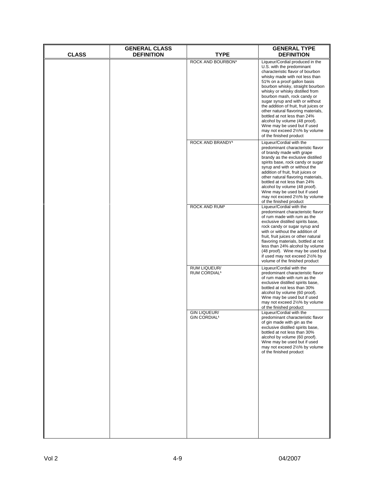| <b>CLASS</b> | <b>GENERAL CLASS</b><br><b>DEFINITION</b> | <b>TYPE</b>                                           | <b>GENERAL TYPE</b><br><b>DEFINITION</b>                                                                                                                                                                                                                                                                                                                                                                                                                                                                                                                 |
|--------------|-------------------------------------------|-------------------------------------------------------|----------------------------------------------------------------------------------------------------------------------------------------------------------------------------------------------------------------------------------------------------------------------------------------------------------------------------------------------------------------------------------------------------------------------------------------------------------------------------------------------------------------------------------------------------------|
|              |                                           | ROCK AND BOURBON <sup>1</sup>                         | Liqueur/Cordial produced in the<br>U.S. with the predominant<br>characteristic flavor of bourbon<br>whisky made with not less than<br>51% on a proof gallon basis<br>bourbon whisky, straight bourbon<br>whisky or whisky distilled from<br>bourbon mash, rock candy or<br>sugar syrup and with or without<br>the addition of fruit, fruit juices or<br>other natural flavoring materials,<br>bottled at not less than 24%<br>alcohol by volume (48 proof).<br>Wine may be used but if used<br>may not exceed 21/2% by volume<br>of the finished product |
|              |                                           | ROCK AND BRANDY <sup>1</sup>                          | Liqueur/Cordial with the<br>predominant characteristic flavor<br>of brandy made with grape<br>brandy as the exclusive distilled<br>spirits base, rock candy or sugar<br>syrup and with or without the<br>addition of fruit, fruit juices or<br>other natural flavoring materials,<br>bottled at not less than 24%<br>alcohol by volume (48 proof).<br>Wine may be used but if used<br>may not exceed 21/2% by volume<br>of the finished product                                                                                                          |
|              |                                           | <b>ROCK AND RUM<sup>1</sup></b>                       | Liqueur/Cordial with the<br>predominant characteristic flavor<br>of rum made with rum as the<br>exclusive distilled spirits base,<br>rock candy or sugar syrup and<br>with or without the addition of<br>fruit, fruit juices or other natural<br>flavoring materials, bottled at not<br>less than 24% alcohol by volume<br>(48 proof). Wine may be used but<br>if used may not exceed 21/2% by<br>volume of the finished product                                                                                                                         |
|              |                                           | RUM LIQUEUR/<br>RUM CORDIAL <sup>1</sup>              | Liqueur/Cordial with the<br>predominant characteristic flavor<br>of rum made with rum as the<br>exclusive distilled spirits base,<br>bottled at not less than 30%<br>alcohol by volume (60 proof).<br>Wine may be used but if used<br>may not exceed 21/2% by volume<br>of the finished product                                                                                                                                                                                                                                                          |
|              |                                           | <b>GIN LIQUEUR/</b><br><b>GIN CORDIAL<sup>1</sup></b> | Liqueur/Cordial with the<br>predominant characteristic flavor<br>of gin made with gin as the<br>exclusive distilled spirits base,<br>bottled at not less than 30%<br>alcohol by volume (60 proof).<br>Wine may be used but if used<br>may not exceed 21/2% by volume<br>of the finished product                                                                                                                                                                                                                                                          |
|              |                                           |                                                       |                                                                                                                                                                                                                                                                                                                                                                                                                                                                                                                                                          |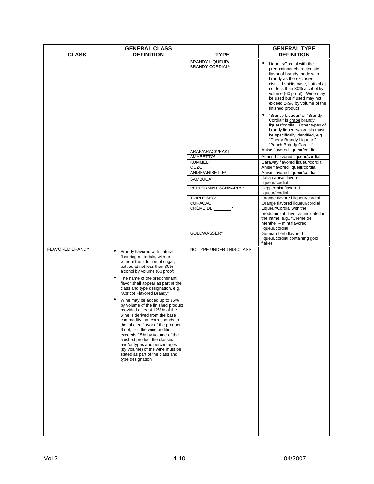|                              | <b>GENERAL CLASS</b>                                                                                                                                                                                                                                                                                                                                                                                                                                                                                                                                                                                                                                                                                                                                                                     |                                                                                                                                                                                                                                                                                                                                                                      | <b>GENERAL TYPE</b>                                                                                                                                                                                                                                                                                                                                                                                                                                                                                                                                                                                                                                                                                                                                                                                                                                                                                                                                                                                                                                                                              |
|------------------------------|------------------------------------------------------------------------------------------------------------------------------------------------------------------------------------------------------------------------------------------------------------------------------------------------------------------------------------------------------------------------------------------------------------------------------------------------------------------------------------------------------------------------------------------------------------------------------------------------------------------------------------------------------------------------------------------------------------------------------------------------------------------------------------------|----------------------------------------------------------------------------------------------------------------------------------------------------------------------------------------------------------------------------------------------------------------------------------------------------------------------------------------------------------------------|--------------------------------------------------------------------------------------------------------------------------------------------------------------------------------------------------------------------------------------------------------------------------------------------------------------------------------------------------------------------------------------------------------------------------------------------------------------------------------------------------------------------------------------------------------------------------------------------------------------------------------------------------------------------------------------------------------------------------------------------------------------------------------------------------------------------------------------------------------------------------------------------------------------------------------------------------------------------------------------------------------------------------------------------------------------------------------------------------|
| <b>CLASS</b>                 | <b>DEFINITION</b>                                                                                                                                                                                                                                                                                                                                                                                                                                                                                                                                                                                                                                                                                                                                                                        | TYPE<br><b>BRANDY LIQUEUR/</b><br><b>BRANDY CORDIAL<sup>1</sup></b><br>ARAK/ARACK/RAKI<br>AMARETTO <sup>1</sup><br>KUMMEL <sup>1</sup><br>OUZO <sup>1</sup><br>ANISE/ANISETTE <sup>1</sup><br>SAMBUCA <sup>1</sup><br>PEPPERMINT SCHNAPPS <sup>1</sup><br>TRIPLE SEC <sup>1</sup><br>CURACAO <sup>1</sup><br>$\overline{11}$<br>CRÈME DE<br>GOLDWASSER <sup>12</sup> | <b>DEFINITION</b><br>$\bullet$<br>Liqueur/Cordial with the<br>predominant characteristic<br>flavor of brandy made with<br>brandy as the exclusive<br>distilled spirits base, bottled at<br>not less than 30% alcohol by<br>volume (60 proof). Wine may<br>be used but if used may not<br>exceed 21/2% by volume of the<br>finished product<br>"Brandy Liqueur" or "Brandy<br>$\bullet$<br>Cordial" is grape brandy<br>liqueur/cordial. Other types of<br>brandy liqueurs/cordials must<br>be specifically identified, e.g.,<br>"Cherry Brandy Liqueur,"<br>"Peach Brandy Cordial"<br>Anise flavored liqueur/cordial<br>Almond flavored liqueur/cordial<br>Caraway flavored liqueur/cordial<br>Anise flavored liqueur/cordial<br>Anise flavored liqueur/cordial<br>Italian anise flavored<br>liqueur/cordial<br>Peppermint flavored<br>liqueur/cordial<br>Orange flavored liqueur/cordial<br>Orange flavored liqueur/cordial<br>Liqueur/Cordial with the<br>predominant flavor as indicated in<br>the name, e.g., "Crème de<br>Menthe" - mint flavored<br>liqueur/cordial<br>German herb flavored |
| FLAVORED BRANDY <sup>1</sup> | Brandy flavored with natural<br>$\bullet$<br>flavoring materials, with or<br>without the addition of sugar,<br>bottled at not less than 30%<br>alcohol by volume (60 proof)<br>The name of the predominant<br>$\bullet$<br>flavor shall appear as part of the<br>class and type designation, e.g.,<br>"Apricot Flavored Brandy"<br>Wine may be added up to 15%<br>$\bullet$<br>by volume of the finished product<br>provided at least 121/2% of the<br>wine is derived from the base<br>commodity that corresponds to<br>the labeled flavor of the product.<br>If not, or if the wine addition<br>exceeds 15% by volume of the<br>finished product the classes<br>and/or types and percentages<br>(by volume) of the wine must be<br>stated as part of the class and<br>type designation | NO TYPE UNDER THIS CLASS                                                                                                                                                                                                                                                                                                                                             | liqueur/cordial containing gold<br>flakes                                                                                                                                                                                                                                                                                                                                                                                                                                                                                                                                                                                                                                                                                                                                                                                                                                                                                                                                                                                                                                                        |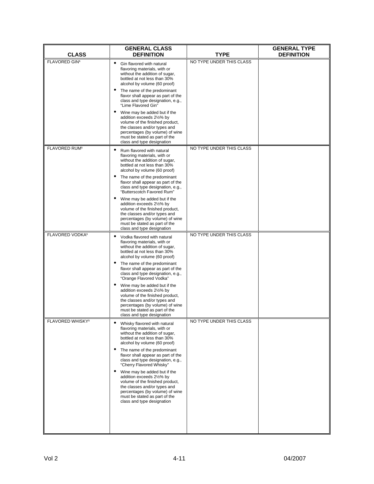| <b>CLASS</b>                | <b>GENERAL CLASS</b><br><b>DEFINITION</b>                                                                                                                                                                                                   | <b>TYPE</b>              | <b>GENERAL TYPE</b><br><b>DEFINITION</b> |
|-----------------------------|---------------------------------------------------------------------------------------------------------------------------------------------------------------------------------------------------------------------------------------------|--------------------------|------------------------------------------|
| FLAVORED GIN1               | Gin flavored with natural<br>flavoring materials, with or<br>without the addition of sugar,<br>bottled at not less than 30%<br>alcohol by volume (60 proof)                                                                                 | NO TYPE UNDER THIS CLASS |                                          |
|                             | The name of the predominant<br>flavor shall appear as part of the<br>class and type designation, e.g.,<br>"Lime Flavored Gin"                                                                                                               |                          |                                          |
|                             | Wine may be added but if the<br>$\bullet$<br>addition exceeds 21/2% by<br>volume of the finished product,<br>the classes and/or types and<br>percentages (by volume) of wine<br>must be stated as part of the<br>class and type designation |                          |                                          |
| FLAVORED RUM <sup>1</sup>   | Rum flavored with natural<br>flavoring materials, with or<br>without the addition of sugar,<br>bottled at not less than 30%<br>alcohol by volume (60 proof)                                                                                 | NO TYPE UNDER THIS CLASS |                                          |
|                             | The name of the predominant<br>flavor shall appear as part of the<br>class and type designation, e.g.,<br>"Butterscotch Favored Rum"                                                                                                        |                          |                                          |
|                             | Wine may be added but if the<br>addition exceeds 21/2% by<br>volume of the finished product,<br>the classes and/or types and<br>percentages (by volume) of wine<br>must be stated as part of the<br>class and type designation              |                          |                                          |
| FLAVORED VODKA <sup>1</sup> | Vodka flavored with natural<br>flavoring materials, with or<br>without the addition of sugar,<br>bottled at not less than 30%<br>alcohol by volume (60 proof)                                                                               | NO TYPE UNDER THIS CLASS |                                          |
|                             | The name of the predominant<br>$\bullet$<br>flavor shall appear as part of the<br>class and type designation, e.g.,<br>"Orange Flavored Vodka"                                                                                              |                          |                                          |
|                             | Wine may be added but if the<br>$\bullet$<br>addition exceeds 21/2% by<br>volume of the finished product,<br>the classes and/or types and<br>percentages (by volume) of wine<br>must be stated as part of the<br>class and type designation |                          |                                          |
| <b>FLAVORED WHISKY1</b>     | Whisky flavored with natural<br>flavoring materials, with or<br>without the addition of sugar,<br>bottled at not less than 30%<br>alcohol by volume (60 proof)                                                                              | NO TYPE UNDER THIS CLASS |                                          |
|                             | The name of the predominant<br>flavor shall appear as part of the<br>class and type designation, e.g.,<br>"Cherry Flavored Whisky"                                                                                                          |                          |                                          |
|                             | Wine may be added but if the<br>addition exceeds 21/2% by<br>volume of the finished product,<br>the classes and/or types and<br>percentages (by volume) of wine<br>must be stated as part of the<br>class and type designation              |                          |                                          |
|                             |                                                                                                                                                                                                                                             |                          |                                          |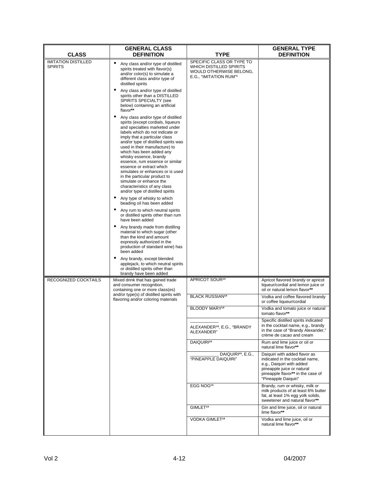|                                              | <b>GENERAL CLASS</b>                                                                                                                                                                                                                                                                                                                                                                                                                                                                                                                                                                                                                                                       |                                                                                                                       | <b>GENERAL TYPE</b>                                                                                                                                                                      |  |  |
|----------------------------------------------|----------------------------------------------------------------------------------------------------------------------------------------------------------------------------------------------------------------------------------------------------------------------------------------------------------------------------------------------------------------------------------------------------------------------------------------------------------------------------------------------------------------------------------------------------------------------------------------------------------------------------------------------------------------------------|-----------------------------------------------------------------------------------------------------------------------|------------------------------------------------------------------------------------------------------------------------------------------------------------------------------------------|--|--|
| <b>CLASS</b>                                 | <b>DEFINITION</b>                                                                                                                                                                                                                                                                                                                                                                                                                                                                                                                                                                                                                                                          | TYPE                                                                                                                  | <b>DEFINITION</b>                                                                                                                                                                        |  |  |
| <b>IMITATION DISTILLED</b><br><b>SPIRITS</b> | $\bullet$<br>Any class and/or type of distilled<br>spirits treated with flavor(s)<br>and/or color(s) to simulate a<br>different class and/or type of<br>distilled spirits                                                                                                                                                                                                                                                                                                                                                                                                                                                                                                  | SPECIFIC CLASS OR TYPE TO<br>WHICH DISTILLED SPIRITS<br>WOULD OTHERWISE BELONG,<br>E.G., "IMITATION RUM" <sup>1</sup> |                                                                                                                                                                                          |  |  |
|                                              | Any class and/or type of distilled<br>spirits other than a DISTILLED<br>SPIRITS SPECIALTY (see<br>below) containing an artificial<br>flavor**                                                                                                                                                                                                                                                                                                                                                                                                                                                                                                                              |                                                                                                                       |                                                                                                                                                                                          |  |  |
|                                              | Any class and/or type of distilled<br>spirits (except cordials, liqueurs<br>and specialties marketed under<br>labels which do not indicate or<br>imply that a particular class<br>and/or type of distilled spirits was<br>used in their manufacture) to<br>which has been added any<br>whisky essence, brandy<br>essence, rum essence or similar<br>essence or extract which<br>simulates or enhances or is used<br>in the particular product to<br>simulate or enhance the<br>characteristics of any class<br>and/or type of distilled spirits<br>Any type of whisky to which<br>$\bullet$<br>beading oil has been added<br>Any rum to which neutral spirits<br>$\bullet$ |                                                                                                                       |                                                                                                                                                                                          |  |  |
|                                              | or distilled spirits other than rum<br>have been added<br>Any brandy made from distilling<br>material to which sugar (other<br>than the kind and amount<br>expressly authorized in the<br>production of standard wine) has<br>been added                                                                                                                                                                                                                                                                                                                                                                                                                                   |                                                                                                                       |                                                                                                                                                                                          |  |  |
|                                              | Any brandy, except blended<br>$\bullet$<br>applejack, to which neutral spirits<br>or distilled spirits other than<br>brandy have been added                                                                                                                                                                                                                                                                                                                                                                                                                                                                                                                                |                                                                                                                       |                                                                                                                                                                                          |  |  |
| RECOGNIZED COCKTAILS                         | Mixed drink that has gained trade<br>and consumer recognition,<br>containing one or more class(es)                                                                                                                                                                                                                                                                                                                                                                                                                                                                                                                                                                         | APRICOT SOUR <sup>13</sup>                                                                                            | Apricot flavored brandy or apricot<br>liqueur/cordial and lemon juice or<br>oil or natural lemon flavor**                                                                                |  |  |
|                                              | and/or type(s) of distilled spirits with<br>flavoring and/or coloring materials                                                                                                                                                                                                                                                                                                                                                                                                                                                                                                                                                                                            | <b>BLACK RUSSIAN<sup>13</sup></b><br>BLOODY MARY <sup>13</sup>                                                        | Vodka and coffee flavored brandy<br>or coffee liqueur/cordial<br>Vodka and tomato juice or natural                                                                                       |  |  |
|                                              |                                                                                                                                                                                                                                                                                                                                                                                                                                                                                                                                                                                                                                                                            |                                                                                                                       | tomato flavor**                                                                                                                                                                          |  |  |
|                                              |                                                                                                                                                                                                                                                                                                                                                                                                                                                                                                                                                                                                                                                                            | ALEXANDER <sup>13</sup> , E.G., "BRANDY<br>ALEXANDER"                                                                 | Specific distilled spirits indicated<br>in the cocktail name, e.g., brandy<br>in the case of "Brandy Alexander,"<br>crème de cacao and cream                                             |  |  |
|                                              |                                                                                                                                                                                                                                                                                                                                                                                                                                                                                                                                                                                                                                                                            | DAIQUIRI <sup>13</sup>                                                                                                | Rum and lime juice or oil or<br>natural lime flavor**                                                                                                                                    |  |  |
|                                              |                                                                                                                                                                                                                                                                                                                                                                                                                                                                                                                                                                                                                                                                            | DAIQUIRI <sup>13</sup> , E.G.,<br>"PINEAPPLE DAIQUIRI"                                                                | Daiquiri with added flavor as<br>indicated in the cocktail name,<br>e.g., Daiquiri with added<br>pineapple juice or natural<br>pineapple flavor** in the case of<br>"Pineapple Daiquiri" |  |  |
|                                              |                                                                                                                                                                                                                                                                                                                                                                                                                                                                                                                                                                                                                                                                            | EGG NOG <sup>13</sup>                                                                                                 | Brandy, rum or whisky, milk or<br>milk products of at least 6% butter<br>fat, at least 1% egg yolk solids,<br>sweetener and natural flavor**                                             |  |  |
|                                              |                                                                                                                                                                                                                                                                                                                                                                                                                                                                                                                                                                                                                                                                            | GIMLET <sup>13</sup>                                                                                                  | Gin and lime juice, oil or natural<br>lime flavor**                                                                                                                                      |  |  |
|                                              |                                                                                                                                                                                                                                                                                                                                                                                                                                                                                                                                                                                                                                                                            | VODKA GIMLET <sup>13</sup>                                                                                            | Vodka and lime juice, oil or<br>natural lime flavor**                                                                                                                                    |  |  |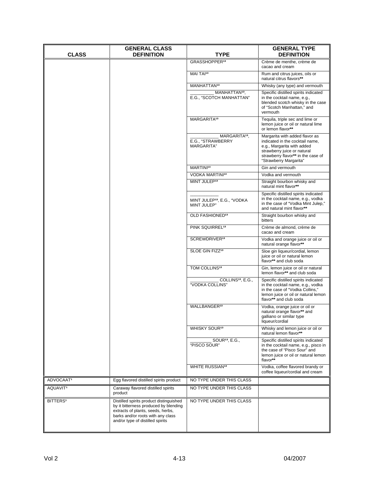| <b>CLASS</b>          | <b>GENERAL CLASS</b><br><b>DEFINITION</b>                                                                                                                                                      | TYPE                                                         | <b>GENERAL TYPE</b><br><b>DEFINITION</b>                                                                                                                                                       |
|-----------------------|------------------------------------------------------------------------------------------------------------------------------------------------------------------------------------------------|--------------------------------------------------------------|------------------------------------------------------------------------------------------------------------------------------------------------------------------------------------------------|
|                       |                                                                                                                                                                                                | GRASSHOPPER <sup>13</sup>                                    | Crème de menthe, crème de<br>cacao and cream                                                                                                                                                   |
|                       |                                                                                                                                                                                                | MAI TAI <sup>13</sup>                                        | Rum and citrus juices, oils or<br>natural citrus flavors**                                                                                                                                     |
|                       |                                                                                                                                                                                                | MANHATTAN <sup>13</sup>                                      | Whisky (any type) and vermouth                                                                                                                                                                 |
|                       |                                                                                                                                                                                                | MANHATTAN <sup>13</sup> ,<br>E.G., "SCOTCH MANHATTAN"        | Specific distilled spirits indicated<br>in the cocktail name, e.g.,<br>blended scotch whisky in the case<br>of "Scotch Manhattan," and<br>vermouth                                             |
|                       |                                                                                                                                                                                                | MARGARITA <sup>13</sup>                                      | Tequila, triple sec and lime or<br>lemon juice or oil or natural lime<br>or lemon flavor**                                                                                                     |
|                       |                                                                                                                                                                                                | MARGARITA <sup>13</sup> .<br>E.G., "STRAWBERRY<br>MARGARITA" | Margarita with added flavor as<br>indicated in the cocktail name,<br>e.g., Margarita with added<br>strawberry juice or natural<br>strawberry flavor** in the case of<br>"Strawberry Margarita" |
|                       |                                                                                                                                                                                                | MARTINI <sup>13</sup>                                        | Gin and vermouth                                                                                                                                                                               |
|                       |                                                                                                                                                                                                | <b>VODKA MARTINI13</b>                                       | Vodka and vermouth                                                                                                                                                                             |
|                       |                                                                                                                                                                                                | MINT JULEP <sup>13</sup>                                     | Straight bourbon whisky and<br>natural mint flavor**                                                                                                                                           |
|                       |                                                                                                                                                                                                | MINT JULEP <sup>13</sup> , E.G., "VODKA<br>MINT JULEP"       | Specific distilled spirits indicated<br>in the cocktail name, e.g., vodka<br>in the case of "Vodka Mint Julep,"<br>and natural mint flavor**                                                   |
|                       |                                                                                                                                                                                                | OLD FASHIONED <sup>13</sup>                                  | Straight bourbon whisky and<br>bitters                                                                                                                                                         |
|                       |                                                                                                                                                                                                | PINK SQUIRREL <sup>13</sup>                                  | Crème de almond, crème de<br>cacao and cream                                                                                                                                                   |
|                       |                                                                                                                                                                                                | SCREWDRIVER <sup>13</sup>                                    | Vodka and orange juice or oil or<br>natural orange flavor**                                                                                                                                    |
|                       |                                                                                                                                                                                                | SLOE GIN FIZZ <sup>13</sup>                                  | Sloe gin liqueur/cordial, lemon<br>juice or oil or natural lemon<br>flavor** and club soda                                                                                                     |
|                       |                                                                                                                                                                                                | TOM COLLINS <sup>13</sup>                                    | Gin, lemon juice or oil or natural<br>lemon flavor** and club soda                                                                                                                             |
|                       |                                                                                                                                                                                                | COLLINS <sup>13</sup> , E.G.,<br>"VODKA COLLINS"             | Specific distilled spirits indicated<br>in the cocktail name, e.g., vodka<br>in the case of "Vodka Collins,"<br>lemon juice or oil or natural lemon<br>flavor** and club soda                  |
|                       |                                                                                                                                                                                                | WALLBANGER <sup>13</sup>                                     | Vodka, orange juice or oil or<br>natural orange flavor** and<br>galliano or similar type<br>liqueur/cordial                                                                                    |
|                       |                                                                                                                                                                                                | WHISKY SOUR <sup>13</sup>                                    | Whisky and lemon juice or oil or<br>natural lemon flavor**                                                                                                                                     |
|                       |                                                                                                                                                                                                | SOUR <sup>13</sup> , E.G.,<br>"PISCO SOUR"                   | Specific distilled spirits indicated<br>in the cocktail name, e.g., pisco in<br>the case of "Pisco Sour" and<br>lemon juice or oil or natural lemon<br>flavor**                                |
|                       |                                                                                                                                                                                                | WHITE RUSSIAN <sup>13</sup>                                  | Vodka, coffee flavored brandy or<br>coffee liqueur/cordial and cream                                                                                                                           |
| ADVOCAAT <sup>1</sup> | Egg flavored distilled spirits product                                                                                                                                                         | NO TYPE UNDER THIS CLASS                                     |                                                                                                                                                                                                |
| AQUAVIT <sup>1</sup>  | Caraway flavored distilled spirits<br>product                                                                                                                                                  | NO TYPE UNDER THIS CLASS                                     |                                                                                                                                                                                                |
| BITTERS <sup>1</sup>  | Distilled spirits product distinguished<br>by it bitterness produced by blending<br>extracts of plants, seeds, herbs,<br>barks and/or roots with any class<br>and/or type of distilled spirits | NO TYPE UNDER THIS CLASS                                     |                                                                                                                                                                                                |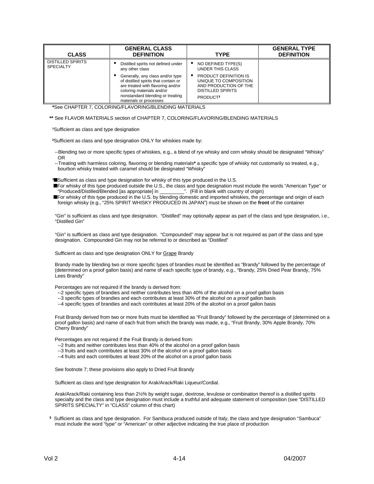| <b>CLASS</b>                                 | <b>GENERAL CLASS</b><br><b>DEFINITION</b>                                                                                                                                                                | <b>TYPE</b>                                                                                                                      | <b>GENERAL TYPE</b><br><b>DEFINITION</b> |
|----------------------------------------------|----------------------------------------------------------------------------------------------------------------------------------------------------------------------------------------------------------|----------------------------------------------------------------------------------------------------------------------------------|------------------------------------------|
| <b>DISTILLED SPIRITS</b><br><b>SPECIALTY</b> | Distilled spirits not defined under<br>any other class                                                                                                                                                   | NO DEFINED TYPE(S)<br>٠<br>UNDER THIS CLASS                                                                                      |                                          |
|                                              | Generally, any class and/or type<br>of distilled spirits that contain or<br>are treated with flavoring and/or<br>coloring materials and/or<br>nonstandard blending or treating<br>materials or processes | PRODUCT DEFINITION IS<br>٠<br>UNIQUE TO COMPOSITION<br>AND PRODUCTION OF THE<br><b>DISTILLED SPIRITS</b><br>PRODUCT <sup>1</sup> |                                          |

**\***See CHAPTER 7, COLORING/FLAVORING/BLENDING MATERIALS

#### **\*\*** See FLAVOR MATERIALS section of CHAPTER 7, COLORING/FLAVORING/BLENDING MATERIALS

<sup>1</sup>Sufficient as class and type designation

**²**Sufficient as class and type designation ONLY for whiskies made by:

--Blending two or more specific types of whiskies, e.g., a blend of rye whisky and corn whisky should be designated "Whisky" OR

--Treating with harmless coloring, flavoring or blending materials**\*** a specific type of whisky not customarily so treated, e.g., bourbon whisky treated with caramel should be designated "Whisky"

**<sup>3</sup>**Sufficient as class and type designation for whisky of this type produced in the U.S.

**n**For whisky of this type produced outside the U.S., the class and type designation must include the words "American Type" or "Produced/Distilled/Blended [as appropriate] in \_\_\_\_\_\_\_\_\_". (Fill in blank with country of origin)

**n**For whisky of this type produced in the U.S. by blending domestic and imported whiskies, the percentage and origin of each foreign whisky (e.g., "25% SPIRIT WHISKY PRODUCED IN JAPAN") must be shown on the **front** of the container

"Gin" is sufficient as class and type designation. "Distilled" may optionally appear as part of the class and type designation, i.e., "Distilled Gin"

 "Gin" is sufficient as class and type designation. "Compounded" may appear but is not required as part of the class and type designation. Compounded Gin may not be referred to or described as "Distilled"

Sufficient as class and type designation ONLY for Grape Brandy

Brandy made by blending two or more specific types of brandies must be identified as "Brandy" followed by the percentage of (determined on a proof gallon basis) and name of each specific type of brandy, e.g., "Brandy, 25% Dried Pear Brandy, 75% Lees Brandy"

Percentages are not required if the brandy is derived from:

- --2 specific types of brandies and neither contributes less than 40% of the alcohol on a proof gallon basis
- --3 specific types of brandies and each contributes at least 30% of the alcohol on a proof gallon basis
- --4 specific types of brandies and each contributes at least 20% of the alcohol on a proof gallon basis

 Fruit Brandy derived from two or more fruits must be identified as "Fruit Brandy" followed by the percentage of (determined on a proof gallon basis) and name of each fruit from which the brandy was made, e.g., "Fruit Brandy, 30% Apple Brandy, 70% Cherry Brandy"

Percentages are not required if the Fruit Brandy is derived from:

--2 fruits and neither contributes less than 40% of the alcohol on a proof gallon basis

--3 fruits and each contributes at least 30% of the alcohol on a proof gallon basis

--4 fruits and each contributes at least 20% of the alcohol on a proof gallon basis

See footnote 7; these provisions also apply to Dried Fruit Brandy

Sufficient as class and type designation for Arak/Arack/Raki Liqueur/Cordial.

Arak/Arack/Raki containing less than 2½% by weight sugar, dextrose, levulose or combination thereof is a distilled spirits specialty and the class and type designation must include a truthful and adequate statement of composition (see "DISTILLED SPIRITS SPECIALTY" in "CLASS" column of this chart)

**¹** Sufficient as class and type designation. For Sambuca produced outside of Italy, the class and type designation "Sambuca" must include the word "type" or "American" or other adjective indicating the true place of production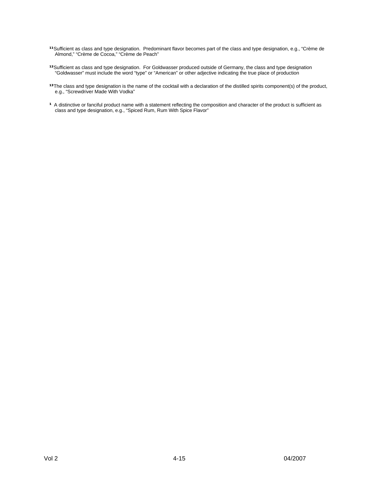- **<sup>11</sup>Sufficient as class and type designation. Predominant flavor becomes part of the class and type designation, e.g., "Crème de** Almond," "Crème de Cocoa," "Crème de Peach"
- <sup>12</sup>Sufficient as class and type designation. For Goldwasser produced outside of Germany, the class and type designation "Goldwasser" must include the word "type" or "American" or other adjective indicating the true place of production
- <sup>13</sup>The class and type designation is the name of the cocktail with a declaration of the distilled spirits component(s) of the product, e.g., "Screwdriver Made With Vodka"
- **1** A distinctive or fanciful product name with a statement reflecting the composition and character of the product is sufficient as class and type designation, e.g., "Spiced Rum, Rum With Spice Flavor"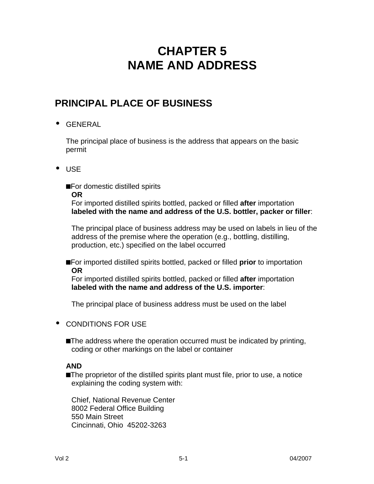# **CHAPTER 5 NAME AND ADDRESS**

## **PRINCIPAL PLACE OF BUSINESS**

**·** GENERAL

The principal place of business is the address that appears on the basic permit

**·** USE

■For domestic distilled spirits

**OR**

For imported distilled spirits bottled, packed or filled **after** importation **labeled with the name and address of the U.S. bottler, packer or filler**:

The principal place of business address may be used on labels in lieu of the address of the premise where the operation (e.g., bottling, distilling, production, etc.) specified on the label occurred

■For imported distilled spirits bottled, packed or filled **prior** to importation **OR**

For imported distilled spirits bottled, packed or filled **after** importation **labeled with the name and address of the U.S. importer**:

The principal place of business address must be used on the label

- **·** CONDITIONS FOR USE
	- **The address where the operation occurred must be indicated by printing,** coding or other markings on the label or container

#### **AND**

■The proprietor of the distilled spirits plant must file, prior to use, a notice explaining the coding system with:

Chief, National Revenue Center 8002 Federal Office Building 550 Main Street Cincinnati, Ohio 45202-3263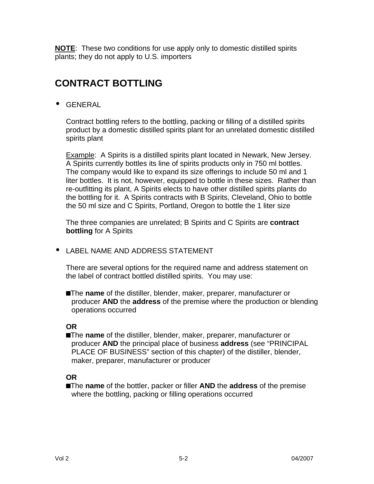**NOTE**: These two conditions for use apply only to domestic distilled spirits plants; they do not apply to U.S. importers

## **CONTRACT BOTTLING**

**·** GENERAL

Contract bottling refers to the bottling, packing or filling of a distilled spirits product by a domestic distilled spirits plant for an unrelated domestic distilled spirits plant

Example: A Spirits is a distilled spirits plant located in Newark, New Jersey. A Spirits currently bottles its line of spirits products only in 750 ml bottles. The company would like to expand its size offerings to include 50 ml and 1 liter bottles. It is not, however, equipped to bottle in these sizes. Rather than re-outfitting its plant, A Spirits elects to have other distilled spirits plants do the bottling for it. A Spirits contracts with B Spirits, Cleveland, Ohio to bottle the 50 ml size and C Spirits, Portland, Oregon to bottle the 1 liter size

The three companies are unrelated; B Spirits and C Spirits are **contract bottling** for A Spirits

**·** LABEL NAME AND ADDRESS STATEMENT

There are several options for the required name and address statement on the label of contract bottled distilled spirits. You may use:

**n**The **name** of the distiller, blender, maker, preparer, manufacturer or producer **AND** the **address** of the premise where the production or blending operations occurred

#### **OR**

**n**The **name** of the distiller, blender, maker, preparer, manufacturer or producer **AND** the principal place of business **address** (see "PRINCIPAL PLACE OF BUSINESS" section of this chapter) of the distiller, blender, maker, preparer, manufacturer or producer

#### **OR**

**n**The **name** of the bottler, packer or filler **AND** the **address** of the premise where the bottling, packing or filling operations occurred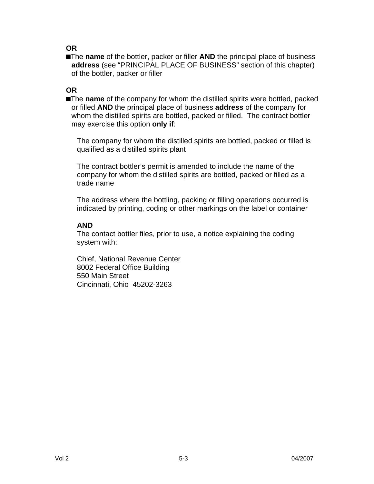**OR**

■The **name** of the bottler, packer or filler **AND** the principal place of business **address** (see "PRINCIPAL PLACE OF BUSINESS" section of this chapter) of the bottler, packer or filler

## **OR**

**number 1** The **name** of the company for whom the distilled spirits were bottled, packed or filled **AND** the principal place of business **address** of the company for whom the distilled spirits are bottled, packed or filled. The contract bottler may exercise this option **only if**:

The company for whom the distilled spirits are bottled, packed or filled is qualified as a distilled spirits plant

The contract bottler's permit is amended to include the name of the company for whom the distilled spirits are bottled, packed or filled as a trade name

The address where the bottling, packing or filling operations occurred is indicated by printing, coding or other markings on the label or container

#### **AND**

The contact bottler files, prior to use, a notice explaining the coding system with:

Chief, National Revenue Center 8002 Federal Office Building 550 Main Street Cincinnati, Ohio 45202-3263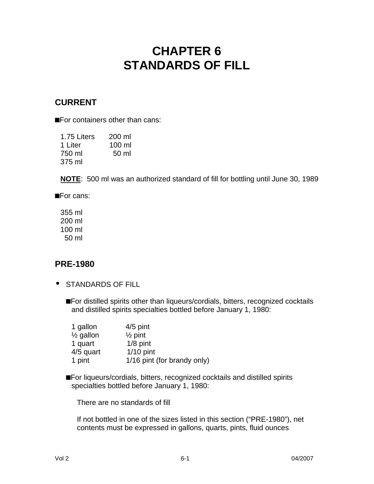# **CHAPTER 6 STANDARDS OF FILL**

## **CURRENT**

■For containers other than cans:

| 1.75 Liters | 200 ml   |
|-------------|----------|
| 1 Liter     | $100$ ml |
| 750 ml      | 50 ml    |
| 375 ml      |          |

**NOTE**: 500 ml was an authorized standard of fill for bottling until June 30, 1989

■For cans:

355 ml 200 ml 100 ml 50 ml

## **PRE-1980**

- **·** STANDARDS OF FILL
	- ■For distilled spirits other than liqueurs/cordials, bitters, recognized cocktails and distilled spirits specialties bottled before January 1, 1980:

| 1 gallon             | $4/5$ pint                  |
|----------------------|-----------------------------|
| $\frac{1}{2}$ gallon | $\frac{1}{2}$ pint          |
| 1 quart              | $1/8$ pint                  |
| 4/5 quart            | $1/10$ pint                 |
| 1 pint               | 1/16 pint (for brandy only) |

**n**For liqueurs/cordials, bitters, recognized cocktails and distilled spirits specialties bottled before January 1, 1980:

There are no standards of fill

If not bottled in one of the sizes listed in this section ("PRE-1980"), net contents must be expressed in gallons, quarts, pints, fluid ounces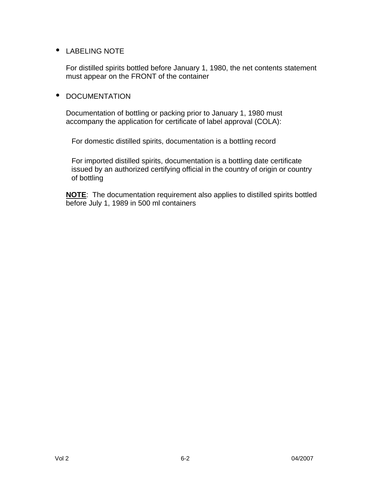#### **·** LABELING NOTE

For distilled spirits bottled before January 1, 1980, the net contents statement must appear on the FRONT of the container

#### **·** DOCUMENTATION

Documentation of bottling or packing prior to January 1, 1980 must accompany the application for certificate of label approval (COLA):

For domestic distilled spirits, documentation is a bottling record

For imported distilled spirits, documentation is a bottling date certificate issued by an authorized certifying official in the country of origin or country of bottling

**NOTE**: The documentation requirement also applies to distilled spirits bottled before July 1, 1989 in 500 ml containers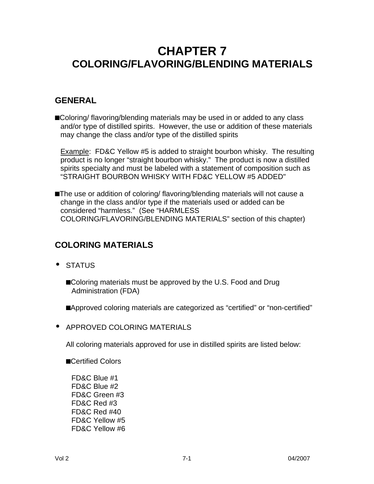# **CHAPTER 7 COLORING/FLAVORING/BLENDING MATERIALS**

## **GENERAL**

**n**Coloring/ flavoring/blending materials may be used in or added to any class and/or type of distilled spirits. However, the use or addition of these materials may change the class and/or type of the distilled spirits

**Example: FD&C Yellow #5 is added to straight bourbon whisky. The resulting** product is no longer "straight bourbon whisky." The product is now a distilled spirits specialty and must be labeled with a statement of composition such as "STRAIGHT BOURBON WHISKY WITH FD&C YELLOW #5 ADDED"

**n**The use or addition of coloring/ flavoring/blending materials will not cause a change in the class and/or type if the materials used or added can be considered "harmless." (See "HARMLESS COLORING/FLAVORING/BLENDING MATERIALS" section of this chapter)

## **COLORING MATERIALS**

- **·** STATUS
	- ■Coloring materials must be approved by the U.S. Food and Drug Administration (FDA)

**n**Approved coloring materials are categorized as "certified" or "non-certified"

**·** APPROVED COLORING MATERIALS

All coloring materials approved for use in distilled spirits are listed below:

**n**Certified Colors

FD&C Blue #1 FD&C Blue #2 FD&C Green #3 FD&C Red #3 FD&C Red #40 FD&C Yellow #5 FD&C Yellow #6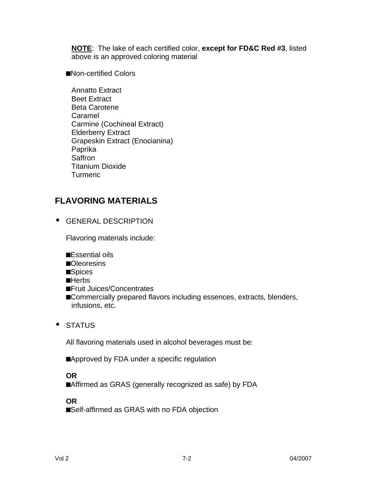**NOTE**: The lake of each certified color, **except for FD&C Red #3**, listed above is an approved coloring material

■Non-certified Colors

Annatto Extract Beet Extract Beta Carotene Caramel Carmine (Cochineal Extract) Elderberry Extract Grapeskin Extract (Enocianina) Paprika **Saffron** Titanium Dioxide **Turmeric** 

## **FLAVORING MATERIALS**

**·** GENERAL DESCRIPTION

Flavoring materials include:

- **n**Essential oils
- ■Oleoresins
- ■Spices
- **n**Herbs
- **n**Fruit Juices/Concentrates
- **n**Commercially prepared flavors including essences, extracts, blenders, infusions, etc.
- **·** STATUS

All flavoring materials used in alcohol beverages must be:

■Approved by FDA under a specific regulation

**OR**

**n**Affirmed as GRAS (generally recognized as safe) by FDA

**OR**

■Self-affirmed as GRAS with no FDA objection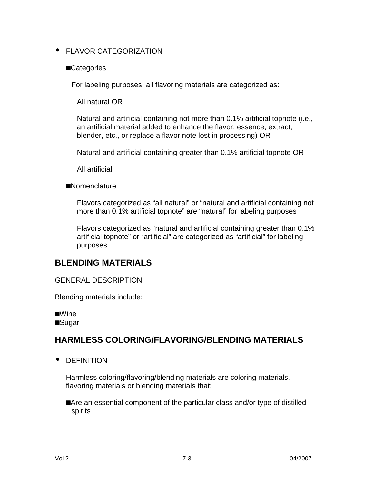#### **·** FLAVOR CATEGORIZATION

#### **n**Categories

For labeling purposes, all flavoring materials are categorized as:

All natural OR

Natural and artificial containing not more than 0.1% artificial topnote (i.e., an artificial material added to enhance the flavor, essence, extract, blender, etc., or replace a flavor note lost in processing) OR

Natural and artificial containing greater than 0.1% artificial topnote OR

All artificial

**n**Nomenclature

Flavors categorized as "all natural" or "natural and artificial containing not more than 0.1% artificial topnote" are "natural" for labeling purposes

Flavors categorized as "natural and artificial containing greater than 0.1% artificial topnote" or "artificial" are categorized as "artificial" for labeling purposes

## **BLENDING MATERIALS**

GENERAL DESCRIPTION

Blending materials include:

■Wine **n**Sugar

## **HARMLESS COLORING/FLAVORING/BLENDING MATERIALS**

**·** DEFINITION

Harmless coloring/flavoring/blending materials are coloring materials, flavoring materials or blending materials that:

■Are an essential component of the particular class and/or type of distilled spirits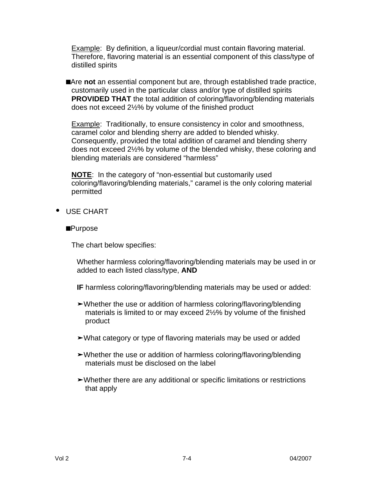Example: By definition, a liqueur/cordial must contain flavoring material. Therefore, flavoring material is an essential component of this class/type of distilled spirits

■Are not an essential component but are, through established trade practice, customarily used in the particular class and/or type of distilled spirits **PROVIDED THAT** the total addition of coloring/flavoring/blending materials does not exceed 2½% by volume of the finished product

Example: Traditionally, to ensure consistency in color and smoothness, caramel color and blending sherry are added to blended whisky. Consequently, provided the total addition of caramel and blending sherry does not exceed 2½% by volume of the blended whisky, these coloring and blending materials are considered "harmless"

**NOTE**: In the category of "non-essential but customarily used coloring/flavoring/blending materials," caramel is the only coloring material permitted

- **·** USE CHART
	- **n**Purpose

The chart below specifies:

Whether harmless coloring/flavoring/blending materials may be used in or added to each listed class/type, **AND**

**IF** harmless coloring/flavoring/blending materials may be used or added:

- **‰**Whether the use or addition of harmless coloring/flavoring/blending materials is limited to or may exceed 2½% by volume of the finished product
- ► What category or type of flavoring materials may be used or added
- **‰**Whether the use or addition of harmless coloring/flavoring/blending materials must be disclosed on the label
- **‰**Whether there are any additional or specific limitations or restrictions that apply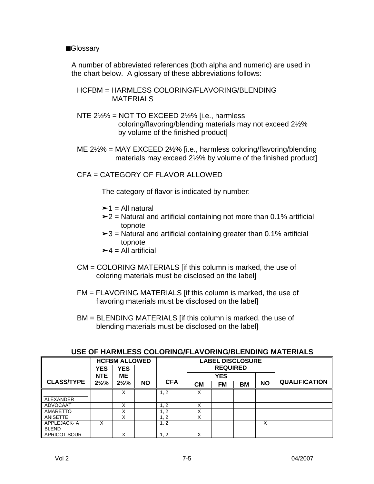#### ■**Glossary**

A number of abbreviated references (both alpha and numeric) are used in the chart below. A glossary of these abbreviations follows:

#### HCFBM = HARMLESS COLORING/FLAVORING/BLENDING MATERIALS

- NTE 2½% = NOT TO EXCEED 2½% [i.e., harmless coloring/flavoring/blending materials may not exceed 2½% by volume of the finished product]
- ME 2½% = MAY EXCEED 2½% [i.e., harmless coloring/flavoring/blending materials may exceed 2½% by volume of the finished product]

CFA = CATEGORY OF FLAVOR ALLOWED

The category of flavor is indicated by number:

- $\geq 1$  = All natural
- **‰**2 = Natural and artificial containing not more than 0.1% artificial topnote
- **‰**3 = Natural and artificial containing greater than 0.1% artificial topnote
- $\geq 4$  = All artificial
- CM = COLORING MATERIALS [if this column is marked, the use of coloring materials must be disclosed on the label]
- FM = FLAVORING MATERIALS [if this column is marked, the use of flavoring materials must be disclosed on the label]
- BM = BLENDING MATERIALS [if this column is marked, the use of blending materials must be disclosed on the label]

|                     | <b>YES</b>       | <b>HCFBM ALLOWED</b><br><b>YES</b> |           |            | <b>LABEL DISCLOSURE</b><br><b>REQUIRED</b> |            |    |           |                      |
|---------------------|------------------|------------------------------------|-----------|------------|--------------------------------------------|------------|----|-----------|----------------------|
|                     | <b>NTE</b>       | <b>ME</b>                          |           |            |                                            | <b>YES</b> |    |           |                      |
| <b>CLASS/TYPE</b>   | $2\frac{1}{2}\%$ | $2\frac{1}{2}\%$                   | <b>NO</b> | <b>CFA</b> | <b>CM</b>                                  | <b>FM</b>  | BM | <b>NO</b> | <b>QUALIFICATION</b> |
|                     |                  | x                                  |           | 1, 2       | X                                          |            |    |           |                      |
| ALEXANDER           |                  |                                    |           |            |                                            |            |    |           |                      |
| ADVOCAAT            |                  | Χ                                  |           | 1, 2       | X                                          |            |    |           |                      |
| AMARETTO            |                  | X                                  |           | 1, 2       | Χ                                          |            |    |           |                      |
| ANISETTE            |                  | x                                  |           | 1, 2       | X                                          |            |    |           |                      |
| APPLEJACK-A         | X                |                                    |           | 1, 2       |                                            |            |    | X         |                      |
| <b>BLEND</b>        |                  |                                    |           |            |                                            |            |    |           |                      |
| <b>APRICOT SOUR</b> |                  | ⋏                                  |           | 1, 2       | Χ                                          |            |    |           |                      |

#### **USE OF HARMLESS COLORING/FLAVORING/BLENDING MATERIALS**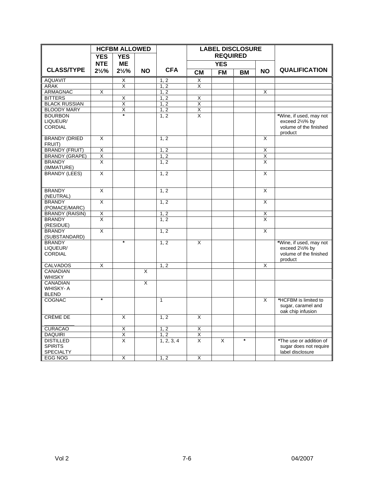|                                                        |                         | <b>HCFBM ALLOWED</b>    |                         |                   |                         | <b>LABEL DISCLOSURE</b> |           |                         |                                                                                 |
|--------------------------------------------------------|-------------------------|-------------------------|-------------------------|-------------------|-------------------------|-------------------------|-----------|-------------------------|---------------------------------------------------------------------------------|
|                                                        | <b>YES</b>              | <b>YES</b>              |                         |                   |                         | <b>REQUIRED</b>         |           |                         |                                                                                 |
|                                                        | <b>NTE</b>              | <b>ME</b>               |                         |                   |                         | <b>YES</b>              |           |                         |                                                                                 |
| <b>CLASS/TYPE</b>                                      | $2\frac{1}{2}\%$        | $2\frac{1}{2}\%$        | <b>NO</b>               | <b>CFA</b>        | <b>CM</b>               | <b>FM</b>               | <b>BM</b> | <b>NO</b>               | <b>QUALIFICATION</b>                                                            |
| <b>AQUAVIT</b>                                         |                         | $\overline{\mathsf{X}}$ |                         | 1, 2              | X                       |                         |           |                         |                                                                                 |
| <b>ARAK</b>                                            |                         | X                       |                         | $1, \overline{2}$ | X                       |                         |           |                         |                                                                                 |
| <b>ARMAGNAC</b>                                        | X                       |                         |                         | 1, 2              |                         |                         |           | $\overline{\mathsf{x}}$ |                                                                                 |
| <b>BITTERS</b>                                         |                         | X                       |                         | 1, 2              | X                       |                         |           |                         |                                                                                 |
| <b>BLACK RUSSIAN</b>                                   |                         | Χ                       |                         | 1, 2              | $\overline{\mathsf{x}}$ |                         |           |                         |                                                                                 |
| <b>BLOODY MARY</b>                                     |                         | X                       |                         | 1, 2              | X                       |                         |           |                         |                                                                                 |
| <b>BOURBON</b><br>LIQUEUR/<br><b>CORDIAL</b>           |                         |                         |                         | 1, 2              | X                       |                         |           |                         | *Wine, if used, may not<br>exceed 21/2% by<br>volume of the finished<br>product |
| <b>BRANDY (DRIED</b><br>FRUIT)                         | $\overline{\mathsf{x}}$ |                         |                         | 1, 2              |                         |                         |           | $\overline{\mathsf{x}}$ |                                                                                 |
| <b>BRANDY (FRUIT)</b>                                  | $\overline{\mathsf{x}}$ |                         |                         | 1, 2              |                         |                         |           | X                       |                                                                                 |
| <b>BRANDY (GRAPE)</b>                                  | $\overline{\mathsf{x}}$ |                         |                         | 1, 2              |                         |                         |           | X                       |                                                                                 |
| <b>BRANDY</b><br>(IMMATURE)                            | X                       |                         |                         | 1, 2              |                         |                         |           | X                       |                                                                                 |
| <b>BRANDY (LEES)</b>                                   | X                       |                         |                         | 1, 2              |                         |                         |           | X                       |                                                                                 |
| <b>BRANDY</b><br>(NEUTRAL)                             | X                       |                         |                         | 1, 2              |                         |                         |           | X                       |                                                                                 |
| <b>BRANDY</b><br>(POMACE/MARC)                         | $\overline{X}$          |                         |                         | 1, 2              |                         |                         |           | $\overline{\mathsf{x}}$ |                                                                                 |
| <b>BRANDY (RAISIN)</b>                                 | $\overline{\mathsf{X}}$ |                         |                         | 1, 2              |                         |                         |           | X                       |                                                                                 |
| <b>BRANDY</b><br>(RESIDUE)                             | $\overline{\mathsf{x}}$ |                         |                         | 1, 2              |                         |                         |           | $\overline{\mathsf{x}}$ |                                                                                 |
| <b>BRANDY</b><br>(SUBSTANDARD)                         | $\overline{\mathsf{x}}$ |                         |                         | 1, 2              |                         |                         |           | $\overline{\mathsf{x}}$ |                                                                                 |
| <b>BRANDY</b><br>LIQUEUR/<br><b>CORDIAL</b>            |                         | $\star$                 |                         | 1, 2              | X                       |                         |           |                         | *Wine, if used, may not<br>exceed 21/2% by<br>volume of the finished<br>product |
| <b>CALVADOS</b>                                        | $\overline{\mathsf{x}}$ |                         |                         | 1, 2              |                         |                         |           | $\overline{\mathsf{x}}$ |                                                                                 |
| <b>CANADIAN</b><br><b>WHISKY</b>                       |                         |                         | $\overline{\mathsf{x}}$ |                   |                         |                         |           |                         |                                                                                 |
| <b>CANADIAN</b><br><b>WHISKY-A</b><br><b>BLEND</b>     |                         |                         | X                       |                   |                         |                         |           |                         |                                                                                 |
| COGNAC                                                 | $\star$                 |                         |                         | $\mathbf{1}$      |                         |                         |           | X                       | *HCFBM is limited to<br>sugar, caramel and<br>oak chip infusion                 |
| CRÈME DE                                               |                         | X                       |                         | 1, 2              | X                       |                         |           |                         |                                                                                 |
| <b>CURACAO</b>                                         |                         | $\overline{\mathsf{X}}$ |                         | 1, 2              | Χ                       |                         |           |                         |                                                                                 |
| <b>DAQUIRI</b>                                         |                         | X                       |                         | 1, 2              | X                       |                         |           |                         |                                                                                 |
| <b>DISTILLED</b><br><b>SPIRITS</b><br><b>SPECIALTY</b> |                         | $\overline{\mathsf{x}}$ |                         | 1, 2, 3, 4        | X                       | X                       | $\star$   |                         | *The use or addition of<br>sugar does not require<br>label disclosure           |
| <b>EGG NOG</b>                                         |                         | X                       |                         | 1, 2              | X                       |                         |           |                         |                                                                                 |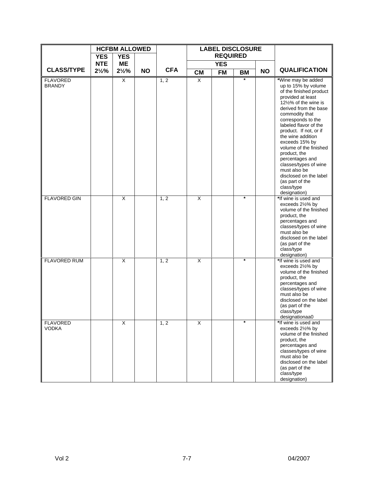|                                  |                  | <b>HCFBM ALLOWED</b>  |           |            |                         | <b>LABEL DISCLOSURE</b> |           |           |                                                                                                                                                                                                                                                                                                                                                                                                             |
|----------------------------------|------------------|-----------------------|-----------|------------|-------------------------|-------------------------|-----------|-----------|-------------------------------------------------------------------------------------------------------------------------------------------------------------------------------------------------------------------------------------------------------------------------------------------------------------------------------------------------------------------------------------------------------------|
|                                  | <b>YES</b>       | <b>YES</b>            |           |            |                         | <b>REQUIRED</b>         |           |           |                                                                                                                                                                                                                                                                                                                                                                                                             |
| <b>CLASS/TYPE</b>                | <b>NTE</b>       | <b>ME</b>             |           | <b>CFA</b> |                         | <b>YES</b>              |           |           | <b>QUALIFICATION</b>                                                                                                                                                                                                                                                                                                                                                                                        |
| <b>FLAVORED</b><br><b>BRANDY</b> | $2\frac{1}{2}\%$ | $2\frac{1}{2}\%$<br>X | <b>NO</b> | 1, 2       | <b>CM</b><br>X          | <b>FM</b>               | <b>BM</b> | <b>NO</b> | *Wine may be added<br>up to 15% by volume<br>of the finished product<br>provided at least<br>12½% of the wine is<br>derived from the base<br>commodity that<br>corresponds to the<br>labeled flavor of the<br>product. If not, or if<br>the wine addition<br>exceeds 15% by<br>volume of the finished<br>product, the<br>percentages and<br>classes/types of wine<br>must also be<br>disclosed on the label |
| <b>FLAVORED GIN</b>              |                  | X                     |           | 1, 2       | $\overline{\mathsf{x}}$ |                         | $\star$   |           | (as part of the<br>class/type<br>designation)<br>*If wine is used and<br>exceeds 21/2% by<br>volume of the finished<br>product, the<br>percentages and<br>classes/types of wine<br>must also be<br>disclosed on the label<br>(as part of the<br>class/type<br>designation)                                                                                                                                  |
| <b>FLAVORED RUM</b>              |                  | X                     |           | 1, 2       | $\overline{\mathsf{x}}$ |                         | $\ast$    |           | *If wine is used and<br>exceeds 21/2% by<br>volume of the finished<br>product, the<br>percentages and<br>classes/types of wine<br>must also be<br>disclosed on the label<br>(as part of the<br>class/type<br>designationaa0                                                                                                                                                                                 |
| <b>FLAVORED</b><br><b>VODKA</b>  |                  | X                     |           | 1, 2       | $\overline{\mathsf{x}}$ |                         | $\star$   |           | *If wine is used and<br>exceeds 21/2% by<br>volume of the finished<br>product, the<br>percentages and<br>classes/types of wine<br>must also be<br>disclosed on the label<br>(as part of the<br>class/type<br>designation)                                                                                                                                                                                   |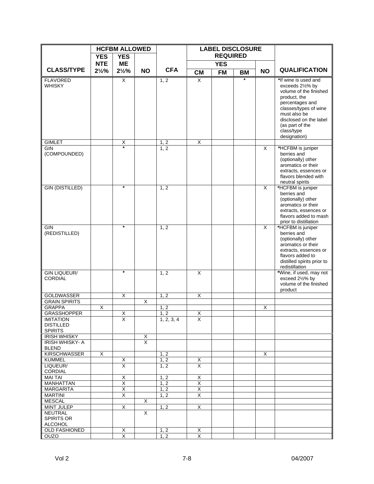|                                                        |                  | <b>HCFBM ALLOWED</b>    |                              |              |                              | <b>LABEL DISCLOSURE</b> |           |           |                                                                                                                                                                                                                           |
|--------------------------------------------------------|------------------|-------------------------|------------------------------|--------------|------------------------------|-------------------------|-----------|-----------|---------------------------------------------------------------------------------------------------------------------------------------------------------------------------------------------------------------------------|
|                                                        | <b>YES</b>       | <b>YES</b>              |                              |              |                              | <b>REQUIRED</b>         |           |           |                                                                                                                                                                                                                           |
|                                                        | <b>NTE</b>       | <b>ME</b>               |                              |              |                              | <b>YES</b>              |           |           |                                                                                                                                                                                                                           |
| <b>CLASS/TYPE</b>                                      | $2\frac{1}{2}\%$ | $2\frac{1}{2}\%$        | <b>NO</b>                    | <b>CFA</b>   | <b>CM</b>                    | <b>FM</b>               | <b>BM</b> | <b>NO</b> | <b>QUALIFICATION</b>                                                                                                                                                                                                      |
| <b>FLAVORED</b><br><b>WHISKY</b>                       |                  | $\overline{X}$          |                              | 1, 2         | X                            |                         | $\star$   |           | *If wine is used and<br>exceeds 21/2% by<br>volume of the finished<br>product, the<br>percentages and<br>classes/types of wine<br>must also be<br>disclosed on the label<br>(as part of the<br>class/type<br>designation) |
| <b>GIMLET</b>                                          |                  | Χ<br>÷                  |                              | 1, 2         | X                            |                         |           |           |                                                                                                                                                                                                                           |
| GIN<br>(COMPOUNDED)                                    |                  |                         |                              | 1, 2         |                              |                         |           | X         | *HCFBM is juniper<br>berries and<br>(optionally) other<br>aromatics or their<br>extracts, essences or<br>flavors blended with<br>neutral spirits                                                                          |
| <b>GIN (DISTILLED)</b>                                 |                  | $\star$                 |                              | 1, 2         |                              |                         |           | X.        | *HCFBM is juniper<br>berries and<br>(optionally) other<br>aromatics or their<br>extracts, essences or<br>flavors added to mash<br>prior to distillation                                                                   |
| GIN<br>(REDISTILLED)                                   |                  | $\star$                 |                              | 1, 2         |                              |                         |           | X         | *HCFBM is juniper<br>berries and<br>(optionally) other<br>aromatics or their<br>extracts, essences or<br>flavors added to<br>distilled spirits prior to<br>redistillation                                                 |
| <b>GIN LIQUEUR/</b><br><b>CORDIAL</b>                  |                  | $\star$                 |                              | 1, 2         | $\overline{\mathsf{x}}$      |                         |           |           | *Wine, if used, may not<br>exceed 21/2% by<br>volume of the finished<br>product                                                                                                                                           |
| <b>GOLDWASSER</b>                                      |                  | X                       |                              | 1, 2         | X                            |                         |           |           |                                                                                                                                                                                                                           |
| <b>GRAIN SPIRITS</b>                                   |                  |                         | $\overline{\mathsf{x}}$      |              |                              |                         |           |           |                                                                                                                                                                                                                           |
| <b>GRAPPA</b><br><b>GRASSHOPPER</b>                    | X                | $\overline{\mathsf{x}}$ |                              | 1, 2<br>1, 2 | $\overline{X}$               |                         |           | X         |                                                                                                                                                                                                                           |
| <b>IMITATION</b><br><b>DISTILLED</b><br><b>SPIRITS</b> |                  | х                       |                              | 1, 2, 3, 4   | X.                           |                         |           |           |                                                                                                                                                                                                                           |
| <b>IRISH WHISKY</b><br><b>IRISH WHISKY-A</b>           |                  |                         | X<br>$\overline{\mathsf{x}}$ |              |                              |                         |           |           |                                                                                                                                                                                                                           |
| <b>BLEND</b>                                           |                  |                         |                              |              |                              |                         |           |           |                                                                                                                                                                                                                           |
| <b>KIRSCHWASSER</b>                                    | X                |                         |                              | 1, 2         |                              |                         |           | X         |                                                                                                                                                                                                                           |
| <b>KUMMEL</b><br>LIQUEUR/                              |                  | Χ<br>$\overline{X}$     |                              | 1, 2<br>1, 2 | Χ<br>$\overline{\mathsf{x}}$ |                         |           |           |                                                                                                                                                                                                                           |
| CORDIAL                                                |                  |                         |                              |              |                              |                         |           |           |                                                                                                                                                                                                                           |
| <b>MAI TAI</b>                                         |                  | X                       |                              | 1, 2         | X                            |                         |           |           |                                                                                                                                                                                                                           |
| <b>MANHATTAN</b>                                       |                  | X                       |                              | 1, 2         | X                            |                         |           |           |                                                                                                                                                                                                                           |
| <b>MARGARITA</b>                                       |                  | X                       |                              | 1, 2         | X                            |                         |           |           |                                                                                                                                                                                                                           |
| <b>MARTINI</b>                                         |                  | X                       |                              | 1, 2         | $\overline{\mathsf{x}}$      |                         |           |           |                                                                                                                                                                                                                           |
| <b>MESCAL</b><br><b>MINT JULEP</b>                     |                  | Χ                       | X                            | 1, 2         | X                            |                         |           |           |                                                                                                                                                                                                                           |
| <b>NEUTRAL</b><br><b>SPIRITS OR</b><br><b>ALCOHOL</b>  |                  |                         | X                            |              |                              |                         |           |           |                                                                                                                                                                                                                           |
| <b>OLD FASHIONED</b>                                   |                  | X                       |                              | 1, 2         | X                            |                         |           |           |                                                                                                                                                                                                                           |
| <b>OUZO</b>                                            |                  | X                       |                              | 1, 2         | X                            |                         |           |           |                                                                                                                                                                                                                           |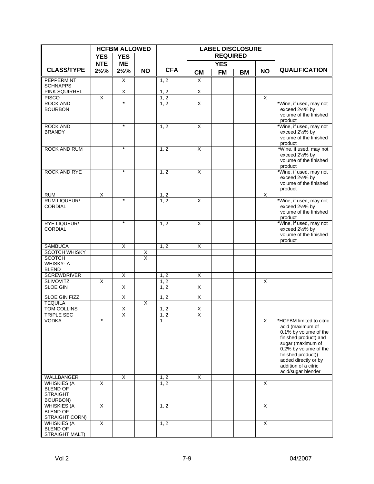|                                         |                  | <b>HCFBM ALLOWED</b>    |           |              | <b>LABEL DISCLOSURE</b> |                 |           |           |                                                |
|-----------------------------------------|------------------|-------------------------|-----------|--------------|-------------------------|-----------------|-----------|-----------|------------------------------------------------|
|                                         | <b>YES</b>       | <b>YES</b>              |           |              |                         | <b>REQUIRED</b> |           |           |                                                |
|                                         | <b>NTE</b>       | <b>ME</b>               |           |              |                         | <b>YES</b>      |           |           |                                                |
| <b>CLASS/TYPE</b>                       | $2\frac{1}{2}\%$ | $2\frac{1}{2}\%$        | <b>NO</b> | <b>CFA</b>   | <b>CM</b>               | <b>FM</b>       | <b>BM</b> | <b>NO</b> | <b>QUALIFICATION</b>                           |
| PEPPERMINT                              |                  | X                       |           | 1, 2         | X                       |                 |           |           |                                                |
| <b>SCHNAPPS</b><br><b>PINK SQUIRREL</b> |                  | $\overline{\mathsf{x}}$ |           | 1, 2         | $\overline{X}$          |                 |           |           |                                                |
| <b>PISCO</b>                            | X                |                         |           | 1, 2         |                         |                 |           | X         |                                                |
| <b>ROCK AND</b>                         |                  | $\star$                 |           | 1, 2         | X                       |                 |           |           | *Wine, if used, may not                        |
| <b>BOURBON</b>                          |                  |                         |           |              |                         |                 |           |           | exceed 21/2% by                                |
|                                         |                  |                         |           |              |                         |                 |           |           | volume of the finished                         |
|                                         |                  |                         |           |              |                         |                 |           |           | product                                        |
| <b>ROCK AND</b>                         |                  | $\star$                 |           | 1, 2         | $\overline{\mathsf{x}}$ |                 |           |           | *Wine, if used, may not                        |
| <b>BRANDY</b>                           |                  |                         |           |              |                         |                 |           |           | exceed 21/2% by<br>volume of the finished      |
|                                         |                  |                         |           |              |                         |                 |           |           | product                                        |
| ROCK AND RUM                            |                  | $\star$                 |           | 1, 2         | $\overline{\mathsf{x}}$ |                 |           |           | *Wine, if used, may not                        |
|                                         |                  |                         |           |              |                         |                 |           |           | exceed 21/2% by                                |
|                                         |                  |                         |           |              |                         |                 |           |           | volume of the finished                         |
|                                         |                  | $\star$                 |           |              |                         |                 |           |           | product                                        |
| <b>ROCK AND RYE</b>                     |                  |                         |           | 1, 2         | $\overline{\mathsf{x}}$ |                 |           |           | *Wine, if used, may not                        |
|                                         |                  |                         |           |              |                         |                 |           |           | exceed 21/2% by<br>volume of the finished      |
|                                         |                  |                         |           |              |                         |                 |           |           | product                                        |
| <b>RUM</b>                              | X                |                         |           | 1, 2         |                         |                 |           | X         |                                                |
| <b>RUM LIQUEUR/</b>                     |                  |                         |           | 1, 2         | X                       |                 |           |           | *Wine, if used, may not                        |
| <b>CORDIAL</b>                          |                  |                         |           |              |                         |                 |           |           | exceed 21/2% by                                |
|                                         |                  |                         |           |              |                         |                 |           |           | volume of the finished                         |
| <b>RYE LIQUEUR/</b>                     |                  | $\star$                 |           | 1, 2         | $\overline{\mathsf{x}}$ |                 |           |           | product<br>*Wine, if used, may not             |
| <b>CORDIAL</b>                          |                  |                         |           |              |                         |                 |           |           | exceed 21/2% by                                |
|                                         |                  |                         |           |              |                         |                 |           |           | volume of the finished                         |
|                                         |                  |                         |           |              |                         |                 |           |           | product                                        |
| <b>SAMBUCA</b>                          |                  | X                       |           | 1, 2         | $\overline{X}$          |                 |           |           |                                                |
| <b>SCOTCH WHISKY</b>                    |                  |                         | X         |              |                         |                 |           |           |                                                |
| <b>SCOTCH</b><br>WHISKY-A               |                  |                         | X         |              |                         |                 |           |           |                                                |
| <b>BLEND</b>                            |                  |                         |           |              |                         |                 |           |           |                                                |
| <b>SCREWDRIVER</b>                      |                  | $\overline{\mathsf{x}}$ |           | 1, 2         | $\overline{\mathsf{x}}$ |                 |           |           |                                                |
| <b>SLIVOVITZ</b>                        | X                |                         |           | 1, 2         |                         |                 |           | X         |                                                |
| <b>SLOE GIN</b>                         |                  | $\overline{X}$          |           | 1, 2         | X                       |                 |           |           |                                                |
| <b>SLOE GIN FIZZ</b>                    |                  | X                       |           | 1, 2         | $\overline{\mathsf{x}}$ |                 |           |           |                                                |
| <b>TEQUILA</b>                          |                  |                         | X         |              |                         |                 |           |           |                                                |
| <b>TOM COLLINS</b>                      |                  | X                       |           | 1, 2         | $\overline{X}$          |                 |           |           |                                                |
| <b>TRIPLE SEC</b>                       |                  | $\overline{\mathsf{x}}$ |           | 1, 2         | Χ                       |                 |           |           |                                                |
| <b>VODKA</b>                            |                  |                         |           | $\mathbf{1}$ |                         |                 |           | X         | *HCFBM limited to citric                       |
|                                         |                  |                         |           |              |                         |                 |           |           | acid (maximum of                               |
|                                         |                  |                         |           |              |                         |                 |           |           | 0.1% by volume of the<br>finished product) and |
|                                         |                  |                         |           |              |                         |                 |           |           | sugar (maximum of                              |
|                                         |                  |                         |           |              |                         |                 |           |           | 0.2% by volume of the                          |
|                                         |                  |                         |           |              |                         |                 |           |           | finished product))                             |
|                                         |                  |                         |           |              |                         |                 |           |           | added directly or by                           |
|                                         |                  |                         |           |              |                         |                 |           |           | addition of a citric                           |
| <b>WALLBANGER</b>                       |                  |                         |           |              |                         |                 |           |           | acid/sugar blender                             |
| <b>WHISKIES (A</b>                      | X                | X                       |           | 1, 2<br>1, 2 | $\overline{\mathsf{x}}$ |                 |           | X         |                                                |
| <b>BLEND OF</b>                         |                  |                         |           |              |                         |                 |           |           |                                                |
| <b>STRAIGHT</b>                         |                  |                         |           |              |                         |                 |           |           |                                                |
| <b>BOURBON)</b>                         |                  |                         |           |              |                         |                 |           |           |                                                |
| <b>WHISKIES (A</b>                      | X                |                         |           | 1, 2         |                         |                 |           | X         |                                                |
| <b>BLEND OF</b>                         |                  |                         |           |              |                         |                 |           |           |                                                |
| STRAIGHT CORN)                          | X                |                         |           | 1, 2         |                         |                 |           | X         |                                                |
| <b>WHISKIES (A</b><br><b>BLEND OF</b>   |                  |                         |           |              |                         |                 |           |           |                                                |
| STRAIGHT MALT)                          |                  |                         |           |              |                         |                 |           |           |                                                |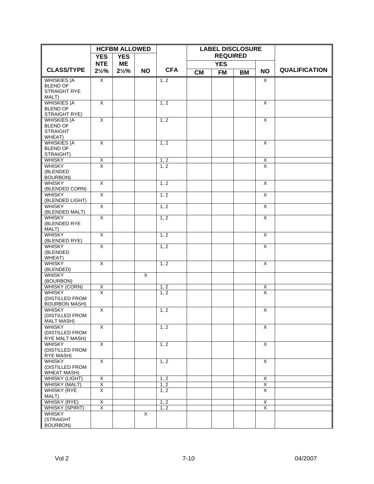|                                          |                         | <b>HCFBM ALLOWED</b> |                         |            |           | <b>LABEL DISCLOSURE</b> |           |                         |                      |
|------------------------------------------|-------------------------|----------------------|-------------------------|------------|-----------|-------------------------|-----------|-------------------------|----------------------|
|                                          | <b>YES</b>              | <b>YES</b>           |                         |            |           | <b>REQUIRED</b>         |           |                         |                      |
|                                          | <b>NTE</b>              | ΜE                   |                         |            |           | <b>YES</b>              |           |                         |                      |
| <b>CLASS/TYPE</b>                        | $2\frac{1}{2}\%$        | $2\frac{1}{2}\%$     | <b>NO</b>               | <b>CFA</b> | <b>CM</b> | <b>FM</b>               | <b>BM</b> | <b>NO</b>               | <b>QUALIFICATION</b> |
| <b>WHISKIES (A</b>                       | X                       |                      |                         | 1, 2       |           |                         |           | X                       |                      |
| <b>BLEND OF</b>                          |                         |                      |                         |            |           |                         |           |                         |                      |
| STRAIGHT RYE<br>MALT)                    |                         |                      |                         |            |           |                         |           |                         |                      |
| <b>WHISKIES (A</b>                       | X                       |                      |                         | 1, 2       |           |                         |           | $\overline{X}$          |                      |
| <b>BLEND OF</b>                          |                         |                      |                         |            |           |                         |           |                         |                      |
| STRAIGHT RYE)                            |                         |                      |                         |            |           |                         |           |                         |                      |
| <b>WHISKIES (A</b><br><b>BLEND OF</b>    | X                       |                      |                         | 1, 2       |           |                         |           | $\overline{X}$          |                      |
| <b>STRAIGHT</b>                          |                         |                      |                         |            |           |                         |           |                         |                      |
| WHEAT)                                   |                         |                      |                         |            |           |                         |           |                         |                      |
| <b>WHISKIES (A</b>                       | $\overline{\mathsf{x}}$ |                      |                         | 1, 2       |           |                         |           | $\overline{\mathsf{x}}$ |                      |
| <b>BLEND OF</b>                          |                         |                      |                         |            |           |                         |           |                         |                      |
| STRAIGHT)<br><b>WHISKY</b>               | Χ                       |                      |                         | 1, 2       |           |                         |           | $\mathsf X$             |                      |
| <b>WHISKY</b>                            | $\overline{\mathsf{x}}$ |                      |                         | 1, 2       |           |                         |           | X                       |                      |
| (BLENDED                                 |                         |                      |                         |            |           |                         |           |                         |                      |
| <b>BOURBON)</b>                          |                         |                      |                         |            |           |                         |           |                         |                      |
| <b>WHISKY</b><br>(BLENDED CORN)          | $\overline{\mathsf{x}}$ |                      |                         | 1, 2       |           |                         |           | $\overline{\mathsf{x}}$ |                      |
| <b>WHISKY</b>                            | X                       |                      |                         | 1, 2       |           |                         |           | X                       |                      |
| (BLENDED LIGHT)                          |                         |                      |                         |            |           |                         |           |                         |                      |
| <b>WHISKY</b>                            | X                       |                      |                         | 1, 2       |           |                         |           | $\overline{\mathsf{x}}$ |                      |
| (BLENDED MALT)                           |                         |                      |                         |            |           |                         |           |                         |                      |
| <b>WHISKY</b><br>(BLENDED RYE            | $\overline{X}$          |                      |                         | 1, 2       |           |                         |           | $\overline{X}$          |                      |
| MALT)                                    |                         |                      |                         |            |           |                         |           |                         |                      |
| <b>WHISKY</b>                            | χ                       |                      |                         | 1, 2       |           |                         |           | $\overline{\mathsf{x}}$ |                      |
| (BLENDED RYE)                            |                         |                      |                         |            |           |                         |           |                         |                      |
| <b>WHISKY</b><br>(BLENDED                | X                       |                      |                         | 1, 2       |           |                         |           | X                       |                      |
| WHEAT)                                   |                         |                      |                         |            |           |                         |           |                         |                      |
| WHISKY                                   | $\overline{\mathsf{x}}$ |                      |                         | 1, 2       |           |                         |           | $\overline{\mathsf{x}}$ |                      |
| (BLENDED)                                |                         |                      |                         |            |           |                         |           |                         |                      |
| <b>WHISKY</b><br>(BOURBON)               |                         |                      | $\overline{\mathsf{x}}$ |            |           |                         |           |                         |                      |
| <b>WHISKY (CORN)</b>                     | <u>X</u>                |                      |                         | 1, 2       |           |                         |           | <u>X</u>                |                      |
| <b>WHISKY</b>                            | $\overline{\mathsf{x}}$ |                      |                         | 1, 2       |           |                         |           | $\overline{\mathsf{x}}$ |                      |
| (DISTILLED FROM                          |                         |                      |                         |            |           |                         |           |                         |                      |
| <b>BOURBON MASH)</b><br><b>WHISKY</b>    | X                       |                      |                         | 1, 2       |           |                         |           | $\overline{\mathsf{x}}$ |                      |
| (DISTILLED FROM                          |                         |                      |                         |            |           |                         |           |                         |                      |
| <b>MALT MASH)</b>                        |                         |                      |                         |            |           |                         |           |                         |                      |
| <b>WHISKY</b>                            | X                       |                      |                         | 1, 2       |           |                         |           | $\overline{\mathsf{x}}$ |                      |
| (DISTILLED FROM<br><b>RYE MALT MASH)</b> |                         |                      |                         |            |           |                         |           |                         |                      |
| <b>WHISKY</b>                            | $\overline{X}$          |                      |                         | 1, 2       |           |                         |           | $\overline{X}$          |                      |
| (DISTILLED FROM                          |                         |                      |                         |            |           |                         |           |                         |                      |
| <b>RYE MASH)</b>                         |                         |                      |                         |            |           |                         |           |                         |                      |
| <b>WHISKY</b><br>(DISTILLED FROM         | X                       |                      |                         | 1, 2       |           |                         |           | X                       |                      |
| <b>WHEAT MASH)</b>                       |                         |                      |                         |            |           |                         |           |                         |                      |
| WHISKY (LIGHT)                           | Χ                       |                      |                         | 1, 2       |           |                         |           | X                       |                      |
| <b>WHISKY (MALT)</b>                     | Χ                       |                      |                         | 1, 2       |           |                         |           | $\overline{\mathsf{x}}$ |                      |
| <b>WHISKY (RYE</b>                       | X                       |                      |                         | 1, 2       |           |                         |           | X                       |                      |
| MALT)<br><b>WHISKY (RYE)</b>             | X                       |                      |                         | 1, 2       |           |                         |           | X                       |                      |
| <b>WHISKY (SPIRIT)</b>                   | X                       |                      |                         | 1, 2       |           |                         |           | X                       |                      |
| <b>WHISKY</b>                            |                         |                      | X                       |            |           |                         |           |                         |                      |
| (STRAIGHT                                |                         |                      |                         |            |           |                         |           |                         |                      |
| <b>BOURBON)</b>                          |                         |                      |                         |            |           |                         |           |                         |                      |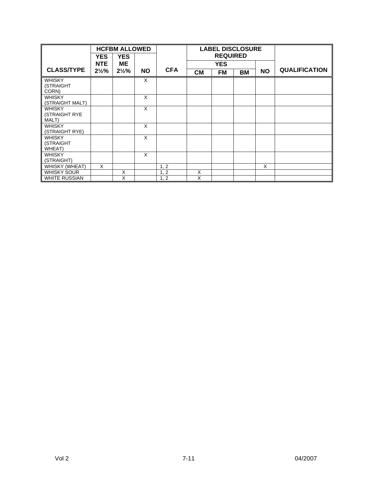|                                 |                  | <b>HCFBM ALLOWED</b> |           |            | <b>LABEL DISCLOSURE</b> |                 |    |           |                      |
|---------------------------------|------------------|----------------------|-----------|------------|-------------------------|-----------------|----|-----------|----------------------|
|                                 | <b>YES</b>       | <b>YES</b>           |           |            |                         | <b>REQUIRED</b> |    |           |                      |
|                                 | <b>NTE</b>       | ΜE                   |           |            |                         | <b>YES</b>      |    |           |                      |
| <b>CLASS/TYPE</b>               | $2\frac{1}{2}\%$ | $2\frac{1}{2}\%$     | <b>NO</b> | <b>CFA</b> | <b>CM</b>               | <b>FM</b>       | BM | <b>NO</b> | <b>QUALIFICATION</b> |
| <b>WHISKY</b>                   |                  |                      | X         |            |                         |                 |    |           |                      |
| (STRAIGHT<br>CORN)              |                  |                      |           |            |                         |                 |    |           |                      |
| <b>WHISKY</b>                   |                  |                      | X         |            |                         |                 |    |           |                      |
| (STRAIGHT MALT)                 |                  |                      |           |            |                         |                 |    |           |                      |
| <b>WHISKY</b>                   |                  |                      | X         |            |                         |                 |    |           |                      |
| (STRAIGHT RYE                   |                  |                      |           |            |                         |                 |    |           |                      |
| MALT)                           |                  |                      |           |            |                         |                 |    |           |                      |
| <b>WHISKY</b><br>(STRAIGHT RYE) |                  |                      | $\times$  |            |                         |                 |    |           |                      |
| <b>WHISKY</b>                   |                  |                      | $\times$  |            |                         |                 |    |           |                      |
| (STRAIGHT                       |                  |                      |           |            |                         |                 |    |           |                      |
| WHEAT)                          |                  |                      |           |            |                         |                 |    |           |                      |
| <b>WHISKY</b>                   |                  |                      | X         |            |                         |                 |    |           |                      |
| (STRAIGHT)                      |                  |                      |           |            |                         |                 |    |           |                      |
| <b>WHISKY (WHEAT)</b>           | X                |                      |           | 1, 2       |                         |                 |    | X         |                      |
| <b>WHISKY SOUR</b>              |                  | X                    |           | 1, 2       | X                       |                 |    |           |                      |
| <b>WHITE RUSSIAN</b>            |                  | X                    |           | 1, 2       | X                       |                 |    |           |                      |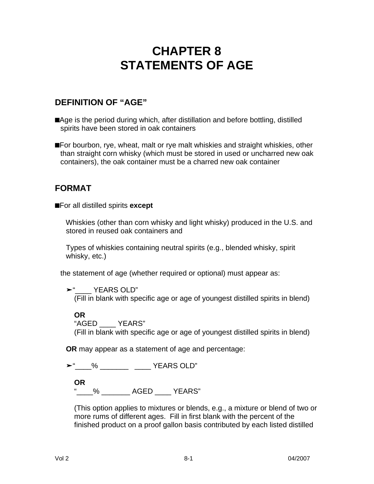# **CHAPTER 8 STATEMENTS OF AGE**

## **DEFINITION OF "AGE"**

■Age is the period during which, after distillation and before bottling, distilled spirits have been stored in oak containers

**n**For bourbon, rye, wheat, malt or rye malt whiskies and straight whiskies, other than straight corn whisky (which must be stored in used or uncharred new oak containers), the oak container must be a charred new oak container

## **FORMAT**

**n**For all distilled spirits **except**

Whiskies (other than corn whisky and light whisky) produced in the U.S. and stored in reused oak containers and

Types of whiskies containing neutral spirits (e.g., blended whisky, spirit whisky, etc.)

the statement of age (whether required or optional) must appear as:

**‰**"\_\_\_\_ YEARS OLD"

(Fill in blank with specific age or age of youngest distilled spirits in blend)

**OR**

"AGED \_\_\_\_ YEARS" (Fill in blank with specific age or age of youngest distilled spirits in blend)

**OR** may appear as a statement of age and percentage:

**‰**"\_\_\_\_% \_\_\_\_\_\_\_ \_\_\_\_ YEARS OLD"

**OR**

" % AGED YEARS"

(This option applies to mixtures or blends, e.g., a mixture or blend of two or more rums of different ages. Fill in first blank with the percent of the finished product on a proof gallon basis contributed by each listed distilled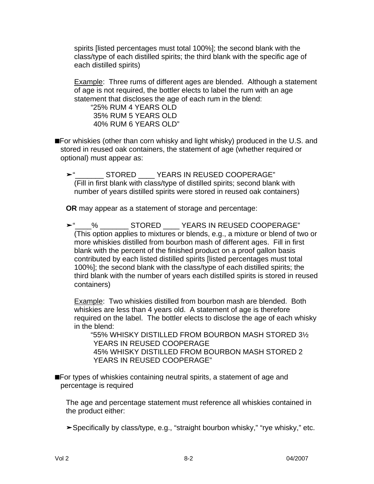spirits [listed percentages must total 100%]; the second blank with the class/type of each distilled spirits; the third blank with the specific age of each distilled spirits)

Example: Three rums of different ages are blended. Although a statement of age is not required, the bottler elects to label the rum with an age statement that discloses the age of each rum in the blend:

"25% RUM 4 YEARS OLD 35% RUM 5 YEARS OLD 40% RUM 6 YEARS OLD"

**n**For whiskies (other than corn whisky and light whisky) produced in the U.S. and stored in reused oak containers, the statement of age (whether required or optional) must appear as:

**‰**"\_\_\_\_\_\_\_ STORED \_\_\_\_ YEARS IN REUSED COOPERAGE" (Fill in first blank with class/type of distilled spirits; second blank with number of years distilled spirits were stored in reused oak containers)

**OR** may appear as a statement of storage and percentage:

**►** % STORED YEARS IN REUSED COOPERAGE" (This option applies to mixtures or blends, e.g., a mixture or blend of two or more whiskies distilled from bourbon mash of different ages. Fill in first blank with the percent of the finished product on a proof gallon basis contributed by each listed distilled spirits [listed percentages must total 100%]; the second blank with the class/type of each distilled spirits; the third blank with the number of years each distilled spirits is stored in reused containers)

Example: Two whiskies distilled from bourbon mash are blended. Both whiskies are less than 4 years old. A statement of age is therefore required on the label. The bottler elects to disclose the age of each whisky in the blend:

"55% WHISKY DISTILLED FROM BOURBON MASH STORED 3½ YEARS IN REUSED COOPERAGE 45% WHISKY DISTILLED FROM BOURBON MASH STORED 2 YEARS IN REUSED COOPERAGE"

**n**For types of whiskies containing neutral spirits, a statement of age and percentage is required

The age and percentage statement must reference all whiskies contained in the product either:

**‰**Specifically by class/type, e.g., "straight bourbon whisky," "rye whisky," etc.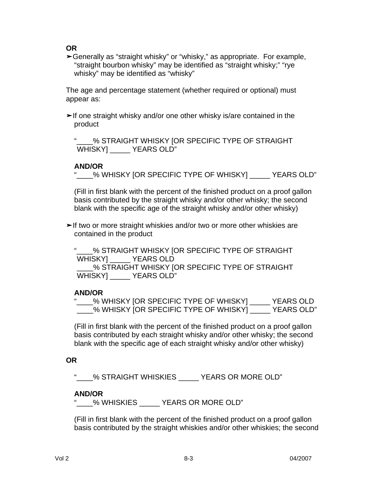**OR**

**‰**Generally as "straight whisky" or "whisky," as appropriate. For example, "straight bourbon whisky" may be identified as "straight whisky;" "rye whisky" may be identified as "whisky"

The age and percentage statement (whether required or optional) must appear as:

**‰**If one straight whisky and/or one other whisky is/are contained in the product

We STRAIGHT WHISKY [OR SPECIFIC TYPE OF STRAIGHT WHISKY] \_\_\_\_\_ YEARS OLD"

#### **AND/OR**

"\_\_\_\_% WHISKY [OR SPECIFIC TYPE OF WHISKY] \_\_\_\_\_ YEARS OLD"

(Fill in first blank with the percent of the finished product on a proof gallon basis contributed by the straight whisky and/or other whisky; the second blank with the specific age of the straight whisky and/or other whisky)

►If two or more straight whiskies and/or two or more other whiskies are contained in the product

% STRAIGHT WHISKY [OR SPECIFIC TYPE OF STRAIGHT WHISKY] \_\_\_\_\_ YEARS OLD

\_\_\_\_% STRAIGHT WHISKY [OR SPECIFIC TYPE OF STRAIGHT WHISKY] \_\_\_\_\_ YEARS OLD"

#### **AND/OR**

|  | _% WHISKY [OR SPECIFIC TYPE OF WHISKY] _ |  | <b>YEARS OLD</b>  |
|--|------------------------------------------|--|-------------------|
|  | % WHISKY [OR SPECIFIC TYPE OF WHISKY]    |  | <b>YEARS OLD"</b> |

(Fill in first blank with the percent of the finished product on a proof gallon basis contributed by each straight whisky and/or other whisky; the second blank with the specific age of each straight whisky and/or other whisky)

#### **OR**

% STRAIGHT WHISKIES YEARS OR MORE OLD"

#### **AND/OR**

"\_\_\_\_% WHISKIES \_\_\_\_\_ YEARS OR MORE OLD"

(Fill in first blank with the percent of the finished product on a proof gallon basis contributed by the straight whiskies and/or other whiskies; the second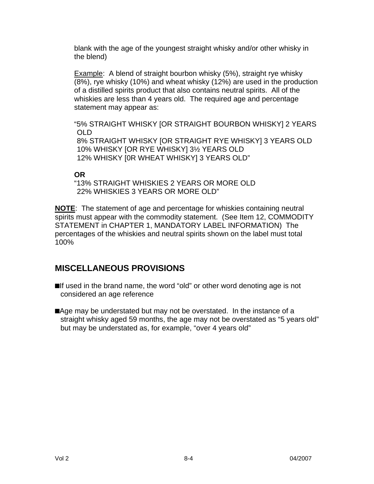blank with the age of the youngest straight whisky and/or other whisky in the blend)

**Example:** A blend of straight bourbon whisky (5%), straight rye whisky (8%), rye whisky (10%) and wheat whisky (12%) are used in the production of a distilled spirits product that also contains neutral spirits. All of the whiskies are less than 4 years old. The required age and percentage statement may appear as:

"5% STRAIGHT WHISKY [OR STRAIGHT BOURBON WHISKY] 2 YEARS OLD 8% STRAIGHT WHISKY [OR STRAIGHT RYE WHISKY] 3 YEARS OLD 10% WHISKY [OR RYE WHISKY] 3½ YEARS OLD 12% WHISKY [0R WHEAT WHISKY] 3 YEARS OLD"

#### **OR**

"13% STRAIGHT WHISKIES 2 YEARS OR MORE OLD 22% WHISKIES 3 YEARS OR MORE OLD"

**NOTE**: The statement of age and percentage for whiskies containing neutral spirits must appear with the commodity statement. (See Item 12, COMMODITY STATEMENT in CHAPTER 1, MANDATORY LABEL INFORMATION) The percentages of the whiskies and neutral spirits shown on the label must total 100%

## **MISCELLANEOUS PROVISIONS**

**n**If used in the brand name, the word "old" or other word denoting age is not considered an age reference

■Age may be understated but may not be overstated. In the instance of a straight whisky aged 59 months, the age may not be overstated as "5 years old" but may be understated as, for example, "over 4 years old"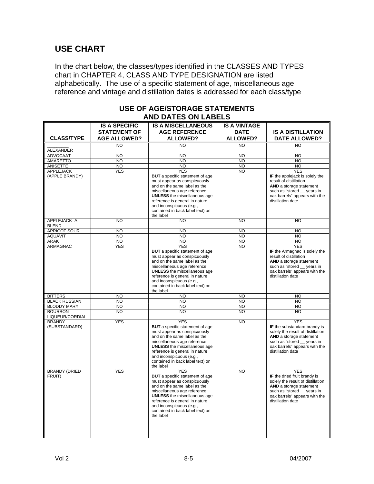## **USE CHART**

In the chart below, the classes/types identified in the CLASSES AND TYPES chart in CHAPTER 4, CLASS AND TYPE DESIGNATION are listed alphabetically. The use of a specific statement of age, miscellaneous age reference and vintage and distillation dates is addressed for each class/type

|                                   | J DAILJ VII L                                                      |                                                                                                                                                                                                                                                                                                           |                                                       |                                                                                                                                                                                                 |  |  |  |
|-----------------------------------|--------------------------------------------------------------------|-----------------------------------------------------------------------------------------------------------------------------------------------------------------------------------------------------------------------------------------------------------------------------------------------------------|-------------------------------------------------------|-------------------------------------------------------------------------------------------------------------------------------------------------------------------------------------------------|--|--|--|
| <b>CLASS/TYPE</b>                 | <b>IS A SPECIFIC</b><br><b>STATEMENT OF</b><br><b>AGE ALLOWED?</b> | <b>IS A MISCELLANEOUS</b><br><b>AGE REFERENCE</b><br><b>ALLOWED?</b>                                                                                                                                                                                                                                      | <b>IS A VINTAGE</b><br><b>DATE</b><br><b>ALLOWED?</b> | <b>IS A DISTILLATION</b><br>DATE ALLOWED?                                                                                                                                                       |  |  |  |
| ALEXANDER                         | <b>NO</b>                                                          | NO                                                                                                                                                                                                                                                                                                        | <b>NO</b>                                             | <b>NO</b>                                                                                                                                                                                       |  |  |  |
| <b>ADVOCAAT</b>                   | <b>NO</b>                                                          | <b>NO</b>                                                                                                                                                                                                                                                                                                 | <b>NO</b>                                             | <b>NO</b>                                                                                                                                                                                       |  |  |  |
| <b>AMARETTO</b>                   | NO                                                                 | <b>NO</b>                                                                                                                                                                                                                                                                                                 | N <sub>O</sub>                                        | <b>NO</b>                                                                                                                                                                                       |  |  |  |
| ANISETTE                          | <b>NO</b>                                                          | <b>NO</b>                                                                                                                                                                                                                                                                                                 | <b>NO</b>                                             | <b>NO</b>                                                                                                                                                                                       |  |  |  |
| <b>APPLEJACK</b>                  | <b>YES</b>                                                         | <b>YES</b>                                                                                                                                                                                                                                                                                                | <b>NO</b>                                             | <b>YES</b>                                                                                                                                                                                      |  |  |  |
| (APPLE BRANDY)                    |                                                                    | <b>BUT</b> a specific statement of age<br>must appear as conspicuously<br>and on the same label as the<br>miscellaneous age reference<br><b>UNLESS</b> the miscellaneous age<br>reference is general in nature<br>and inconspicuous (e.g.,<br>contained in back label text) on<br>the label               |                                                       | IF the applejack is solely the<br>result of distillation<br>AND a storage statement<br>such as "stored _ years in<br>oak barrels" appears with the<br>distillation date                         |  |  |  |
| APPLEJACK-A<br><b>BLEND</b>       | NO                                                                 | NO.                                                                                                                                                                                                                                                                                                       | <b>NO</b>                                             | <b>NO</b>                                                                                                                                                                                       |  |  |  |
| <b>APRICOT SOUR</b>               | <b>NO</b>                                                          | <b>NO</b>                                                                                                                                                                                                                                                                                                 | <b>NO</b>                                             | <b>NO</b>                                                                                                                                                                                       |  |  |  |
| <b>AQUAVIT</b>                    | $\overline{10}$                                                    | <b>NO</b>                                                                                                                                                                                                                                                                                                 | N <sub>O</sub>                                        | <b>NO</b>                                                                                                                                                                                       |  |  |  |
| <b>ARAK</b>                       | NO <sub>1</sub>                                                    | <b>NO</b>                                                                                                                                                                                                                                                                                                 | N <sub>O</sub>                                        | <b>NO</b>                                                                                                                                                                                       |  |  |  |
| ARMAGNAC                          | <b>YES</b>                                                         | <b>YES</b><br><b>BUT</b> a specific statement of age<br>must appear as conspicuously<br>and on the same label as the<br>miscellaneous age reference<br><b>UNLESS</b> the miscellaneous age<br>reference is general in nature<br>and inconspicuous (e.g.,<br>contained in back label text) on<br>the label | <b>NO</b>                                             | <b>YES</b><br>IF the Armagnac is solely the<br>result of distillation<br>AND a storage statement<br>such as "stored _ years in<br>oak barrels" appears with the<br>distillation date            |  |  |  |
| <b>BITTERS</b>                    | <b>NO</b>                                                          | <b>NO</b>                                                                                                                                                                                                                                                                                                 | <b>NO</b>                                             | <b>NO</b>                                                                                                                                                                                       |  |  |  |
| <b>BLACK RUSSIAN</b>              | <b>NO</b>                                                          | <b>NO</b>                                                                                                                                                                                                                                                                                                 | <b>NO</b>                                             | <b>NO</b>                                                                                                                                                                                       |  |  |  |
| <b>BLODDY MARY</b>                | $\overline{NO}$                                                    | <b>NO</b>                                                                                                                                                                                                                                                                                                 | N <sub>O</sub>                                        | <b>NO</b>                                                                                                                                                                                       |  |  |  |
| <b>BOURBON</b><br>LIQUEUR/CORDIAL | <b>NO</b>                                                          | NO                                                                                                                                                                                                                                                                                                        | <b>NO</b>                                             | <b>NO</b>                                                                                                                                                                                       |  |  |  |
| <b>BRANDY</b><br>(SUBSTANDARD)    | <b>YES</b>                                                         | <b>YES</b><br><b>BUT</b> a specific statement of age<br>must appear as conspicuously<br>and on the same label as the<br>miscellaneous age reference<br><b>UNLESS</b> the miscellaneous age<br>reference is general in nature<br>and inconspicuous (e.g.,<br>contained in back label text) on<br>the label | <b>NO</b>                                             | <b>YES</b><br>IF the substandard brandy is<br>solely the result of distillation<br>AND a storage statement<br>such as "stored __ years in<br>oak barrels" appears with the<br>distillation date |  |  |  |
| <b>BRANDY (DRIED</b><br>FRUIT)    | <b>YES</b>                                                         | <b>YES</b><br><b>BUT</b> a specific statement of age<br>must appear as conspicuously<br>and on the same label as the<br>miscellaneous age reference<br><b>UNLESS</b> the miscellaneous age<br>reference is general in nature<br>and inconspicuous (e.g.,<br>contained in back label text) on<br>the label | <b>NO</b>                                             | <b>YFS</b><br>IF the dried fruit brandy is<br>solely the result of distillation<br>AND a storage statement<br>such as "stored _ years in<br>oak barrels" appears with the<br>distillation date  |  |  |  |

#### **USE OF AGE/STORAGE STATEMENTS AND DATES ON LABELS**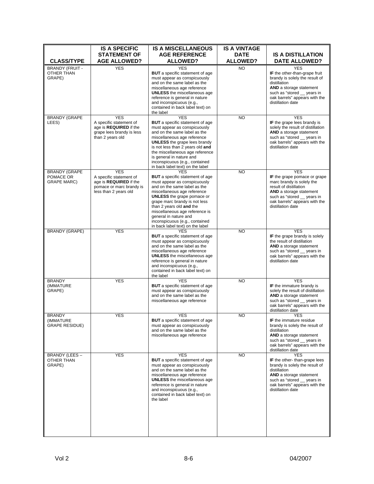| <b>CLASS/TYPE</b>                                       | <b>IS A SPECIFIC</b><br><b>STATEMENT OF</b><br><b>AGE ALLOWED?</b>                                                   | <b>IS A MISCELLANEOUS</b><br><b>AGE REFERENCE</b><br><b>ALLOWED?</b>                                                                                                                                                                                                                                                                                                                   | <b>IS A VINTAGE</b><br><b>DATE</b><br><b>ALLOWED?</b> | <b>IS A DISTILLATION</b><br><b>DATE ALLOWED?</b>                                                                                                                                                                  |
|---------------------------------------------------------|----------------------------------------------------------------------------------------------------------------------|----------------------------------------------------------------------------------------------------------------------------------------------------------------------------------------------------------------------------------------------------------------------------------------------------------------------------------------------------------------------------------------|-------------------------------------------------------|-------------------------------------------------------------------------------------------------------------------------------------------------------------------------------------------------------------------|
| <b>BRANDY (FRUIT -</b><br>OTHER THAN<br>GRAPE)          | <b>YES</b>                                                                                                           | <b>YES</b><br><b>BUT</b> a specific statement of age<br>must appear as conspicuously<br>and on the same label as the<br>miscellaneous age reference<br><b>UNLESS</b> the miscellaneous age<br>reference is general in nature<br>and inconspicuous (e.g.,<br>contained in back label text) on<br>the label                                                                              | <b>NO</b>                                             | <b>YES</b><br>IF the other-than-grape fruit<br>brandy is solely the result of<br>distillation<br>AND a storage statement<br>such as "stored __ years in<br>oak barrels" appears with the<br>distillation date     |
| <b>BRANDY (GRAPE</b><br>LEES)                           | <b>YES</b><br>A specific statement of<br>age is REQUIRED if the<br>grape lees brandy is less<br>than 2 years old     | <b>YES</b><br><b>BUT</b> a specific statement of age<br>must appear as conspicuously<br>and on the same label as the<br>miscellaneous age reference<br><b>UNLESS</b> the grape lees brandy<br>is not less than 2 years old and<br>the miscellaneous age reference<br>is general in nature and<br>inconspicuous (e.g., contained<br>in back label text) on the label                    | <b>NO</b>                                             | <b>YES</b><br>IF the grape lees brandy is<br>solely the result of distillation<br><b>AND</b> a storage statement<br>such as "stored __ years in<br>oak barrels" appears with the<br>distillation date             |
| <b>BRANDY (GRAPE</b><br>POMACE OR<br><b>GRAPE MARC)</b> | <b>YES</b><br>A specific statement of<br>age is REQUIRED if the<br>pomace or marc brandy is<br>less than 2 years old | <b>YES</b><br><b>BUT</b> a specific statement of age<br>must appear as conspicuously<br>and on the same label as the<br>miscellaneous age reference<br><b>UNLESS</b> the grape pomace or<br>grape marc brandy is not less<br>than 2 years old and the<br>miscellaneous age reference is<br>general in nature and<br>inconspicuous (e.g., contained<br>in back label text) on the label | N <sub>O</sub>                                        | <b>YES</b><br>IF the grape pomace or grape<br>marc brandy is solely the<br>result of distillation<br>AND a storage statement<br>such as "stored __ years in<br>oak barrels" appears with the<br>distillation date |
| <b>BRANDY (GRAPE)</b>                                   | <b>YES</b>                                                                                                           | <b>YES</b><br><b>BUT</b> a specific statement of age<br>must appear as conspicuously<br>and on the same label as the<br>miscellaneous age reference<br><b>UNLESS</b> the miscellaneous age<br>reference is general in nature<br>and inconspicuous (e.g.,<br>contained in back label text) on<br>the label                                                                              | <b>NO</b>                                             | <b>YES</b><br>IF the grape brandy is solely<br>the result of distillation<br><b>AND</b> a storage statement<br>such as "stored __ years in<br>oak barrels" appears with the<br>distillation date                  |
| <b>BRANDY</b><br>(IMMATURE<br>GRAPE)                    | <b>YES</b>                                                                                                           | <b>YES</b><br><b>BUT</b> a specific statement of age<br>must appear as conspicuously<br>and on the same label as the<br>miscellaneous age reference                                                                                                                                                                                                                                    | <b>NO</b>                                             | <b>YES</b><br>IF the immature brandy is<br>solely the result of distillation<br>AND a storage statement<br>such as "stored __ years in<br>oak barrels" appears with the<br>distillation date                      |
| <b>BRANDY</b><br>(IMMATURE<br><b>GRAPE RESIDUE)</b>     | YES                                                                                                                  | <b>YES</b><br><b>BUT</b> a specific statement of age<br>must appear as conspicuously<br>and on the same label as the<br>miscellaneous age reference                                                                                                                                                                                                                                    | <b>NO</b>                                             | <b>YES</b><br>IF the immature residue<br>brandy is solely the result of<br>distillation<br>AND a storage statement<br>such as "stored _ years in<br>oak barrels" appears with the<br>distillation date            |
| <b>BRANDY (LEES -</b><br>OTHER THAN<br>GRAPE)           | <b>YES</b>                                                                                                           | <b>YES</b><br><b>BUT</b> a specific statement of age<br>must appear as conspicuously<br>and on the same label as the<br>miscellaneous age reference<br><b>UNLESS</b> the miscellaneous age<br>reference is general in nature<br>and inconspicuous (e.g.,<br>contained in back label text) on<br>the label                                                                              | <b>NO</b>                                             | <b>YES</b><br>IF the other-than-grape lees<br>brandy is solely the result of<br>distillation<br>AND a storage statement<br>such as "stored _ years in<br>oak barrels" appears with the<br>distillation date       |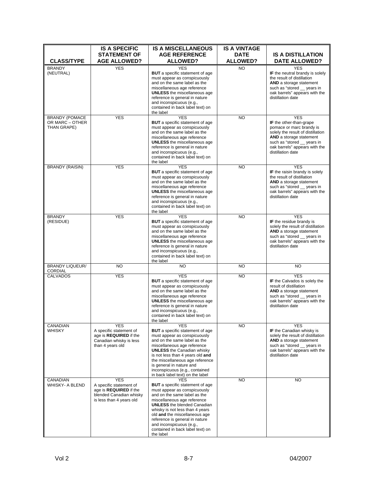| <b>CLASS/TYPE</b>                                       | <b>IS A SPECIFIC</b><br><b>STATEMENT OF</b><br><b>AGE ALLOWED?</b>                                                     | <b>IS A MISCELLANEOUS</b><br><b>AGE REFERENCE</b><br><b>ALLOWED?</b>                                                                                                                                                                                                                                                                                                         | <b>IS A VINTAGE</b><br><b>DATE</b><br><b>ALLOWED?</b> | <b>IS A DISTILLATION</b><br><b>DATE ALLOWED?</b>                                                                                                                                                                       |
|---------------------------------------------------------|------------------------------------------------------------------------------------------------------------------------|------------------------------------------------------------------------------------------------------------------------------------------------------------------------------------------------------------------------------------------------------------------------------------------------------------------------------------------------------------------------------|-------------------------------------------------------|------------------------------------------------------------------------------------------------------------------------------------------------------------------------------------------------------------------------|
| <b>BRANDY</b><br>(NEUTRAL)                              | <b>YES</b>                                                                                                             | <b>YES</b><br><b>BUT</b> a specific statement of age<br>must appear as conspicuously<br>and on the same label as the<br>miscellaneous age reference<br><b>UNLESS</b> the miscellaneous age<br>reference is general in nature<br>and inconspicuous (e.g.,<br>contained in back label text) on<br>the label                                                                    | <b>NO</b>                                             | <b>YES</b><br>IF the neutral brandy is solely<br>the result of distillation<br><b>AND</b> a storage statement<br>such as "stored __ years in<br>oak barrels" appears with the<br>distillation date                     |
| <b>BRANDY (POMACE</b><br>OR MARC - OTHER<br>THAN GRAPE) | <b>YES</b>                                                                                                             | <b>YES</b><br><b>BUT</b> a specific statement of age<br>must appear as conspicuously<br>and on the same label as the<br>miscellaneous age reference<br><b>UNLESS</b> the miscellaneous age<br>reference is general in nature<br>and inconspicuous (e.g.,<br>contained in back label text) on<br>the label                                                                    | <b>NO</b>                                             | <b>YES</b><br>IF the other-than-grape<br>pomace or marc brandy is<br>solely the result of distillation<br>AND a storage statement<br>such as "stored __ years in<br>oak barrels" appears with the<br>distillation date |
| <b>BRANDY (RAISIN)</b>                                  | <b>YES</b>                                                                                                             | <b>YES</b><br><b>BUT</b> a specific statement of age<br>must appear as conspicuously<br>and on the same label as the<br>miscellaneous age reference<br><b>UNLESS</b> the miscellaneous age<br>reference is general in nature<br>and inconspicuous (e.g.,<br>contained in back label text) on<br>the label                                                                    | <b>NO</b>                                             | <b>YES</b><br>IF the raisin brandy is solely<br>the result of distillation<br>AND a storage statement<br>such as "stored __ years in<br>oak barrels" appears with the<br>distillation date                             |
| <b>BRANDY</b><br>(RESIDUE)                              | <b>YES</b>                                                                                                             | <b>YES</b><br><b>BUT</b> a specific statement of age<br>must appear as conspicuously<br>and on the same label as the<br>miscellaneous age reference<br><b>UNLESS</b> the miscellaneous age<br>reference is general in nature<br>and inconspicuous (e.g.,<br>contained in back label text) on<br>the label                                                                    | <b>NO</b>                                             | <b>YES</b><br>IF the residue brandy is<br>solely the result of distillation<br>AND a storage statement<br>such as "stored __ years in<br>oak barrels" appears with the<br>distillation date                            |
| <b>BRANDY LIQUEUR/</b><br>CORDIAL                       | <b>NO</b>                                                                                                              | <b>NO</b>                                                                                                                                                                                                                                                                                                                                                                    | <b>NO</b>                                             | <b>NO</b>                                                                                                                                                                                                              |
| <b>CALVADOS</b>                                         | <b>YES</b>                                                                                                             | <b>YES</b><br><b>BUT</b> a specific statement of age<br>must appear as conspicuously<br>and on the same label as the<br>miscellaneous age reference<br><b>UNLESS</b> the miscellaneous age<br>reference is general in nature<br>and inconspicuous (e.g.,<br>contained in back label text) on<br>the label                                                                    | <b>NO</b>                                             | <b>YES</b><br>IF the Calvados is solely the<br>result of distillation<br>AND a storage statement<br>such as "stored _ years in<br>oak barrels" appears with the<br>distillation date                                   |
| CANADIAN<br><b>WHISKY</b>                               | <b>YES</b><br>A specific statement of<br>age is <b>REQUIRED</b> if the<br>Canadian whisky is less<br>than 4 years old  | <b>YES</b><br><b>BUT</b> a specific statement of age<br>must appear as conspicuously<br>and on the same label as the<br>miscellaneous age reference<br><b>UNLESS</b> the Canadian whisky<br>is not less than 4 years old and<br>the miscellaneous age reference<br>is general in nature and<br>inconspicuous (e.g., contained<br>in back label text) on the label            | <b>NO</b>                                             | <b>YES</b><br><b>IF</b> the Canadian whisky is<br>solely the result of distillation<br><b>AND</b> a storage statement<br>such as "stored _ years in<br>oak barrels" appears with the<br>distillation date              |
| CANADIAN<br>WHISKY- A BLEND                             | <b>YES</b><br>A specific statement of<br>age is REQUIRED if the<br>blended Canadian whisky<br>is less than 4 years old | <b>YES</b><br><b>BUT</b> a specific statement of age<br>must appear as conspicuously<br>and on the same label as the<br>miscellaneous age reference<br><b>UNLESS</b> the blended Canadian<br>whisky is not less than 4 years<br>old and the miscellaneous age<br>reference is general in nature<br>and inconspicuous (e.g.,<br>contained in back label text) on<br>the label | <b>NO</b>                                             | <b>NO</b>                                                                                                                                                                                                              |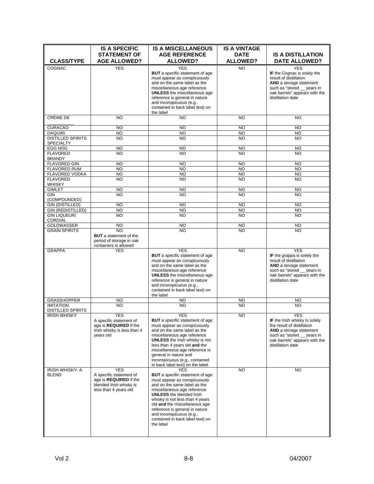|                                                 | <b>IS A SPECIFIC</b>                              | <b>IS A MISCELLANEOUS</b>                                          | <b>IS A VINTAGE</b>            |                                                              |
|-------------------------------------------------|---------------------------------------------------|--------------------------------------------------------------------|--------------------------------|--------------------------------------------------------------|
| <b>CLASS/TYPE</b>                               | <b>STATEMENT OF</b><br><b>AGE ALLOWED?</b>        | <b>AGE REFERENCE</b><br><b>ALLOWED?</b>                            | <b>DATE</b><br><b>ALLOWED?</b> | <b>IS A DISTILLATION</b><br><b>DATE ALLOWED?</b>             |
| <b>COGNAC</b>                                   | <b>YES</b>                                        | <b>YES</b>                                                         | <b>NO</b>                      | <b>YES</b>                                                   |
|                                                 |                                                   | <b>BUT</b> a specific statement of age                             |                                | IF the Cognac is solely the                                  |
|                                                 |                                                   | must appear as conspicuously                                       |                                | result of distillation                                       |
|                                                 |                                                   | and on the same label as the<br>miscellaneous age reference        |                                | <b>AND</b> a storage statement<br>such as "stored _ years in |
|                                                 |                                                   | <b>UNLESS</b> the miscellaneous age                                |                                | oak barrels" appears with the                                |
|                                                 |                                                   | reference is general in nature                                     |                                | distillation date                                            |
|                                                 |                                                   | and inconspicuous (e.g.,                                           |                                |                                                              |
|                                                 |                                                   | contained in back label text) on<br>the label                      |                                |                                                              |
| CRÈME DE                                        | <b>NO</b>                                         | <b>NO</b>                                                          | <b>NO</b>                      | <b>NO</b>                                                    |
| <b>CURACAO</b>                                  | <b>NO</b>                                         | <b>NO</b>                                                          | <b>NO</b>                      | <b>NO</b>                                                    |
| <b>DAQUIRI</b>                                  | <b>NO</b>                                         | <b>NO</b>                                                          | <b>NO</b>                      | <b>NO</b>                                                    |
| <b>DISTILLED SPIRITS</b><br><b>SPECIALTY</b>    | <b>NO</b>                                         | <b>NO</b>                                                          | <b>NO</b>                      | <b>NO</b>                                                    |
| <b>EGG NOG</b>                                  | <b>NO</b>                                         | <b>NO</b>                                                          | <b>NO</b>                      | <b>NO</b>                                                    |
| <b>FLAVORED</b>                                 | <b>NO</b>                                         | <b>NO</b>                                                          | <b>NO</b>                      | <b>NO</b>                                                    |
| <b>BRANDY</b>                                   |                                                   |                                                                    |                                |                                                              |
| <b>FLAVORED GIN</b>                             | <b>NO</b>                                         | <b>NO</b>                                                          | <b>NO</b>                      | <b>NO</b>                                                    |
| <b>FLAVORED RUM</b>                             | <b>NO</b>                                         | <b>NO</b>                                                          | <b>NO</b>                      | <b>NO</b>                                                    |
| FLAVORED VODKA<br><b>FLAVORED</b>               | <b>NO</b><br><b>NO</b>                            | <b>NO</b><br><b>NO</b>                                             | <b>NO</b><br><b>NO</b>         | <b>NO</b><br><b>NO</b>                                       |
| <b>WHISKY</b>                                   |                                                   |                                                                    |                                |                                                              |
| <b>GIMLET</b>                                   | <b>NO</b>                                         | <b>NO</b>                                                          | <b>NO</b>                      | <b>NO</b>                                                    |
| <b>GIN</b>                                      | <b>NO</b>                                         | <b>NO</b>                                                          | <b>NO</b>                      | <b>NO</b>                                                    |
| (COMPOUNDED)                                    |                                                   |                                                                    |                                |                                                              |
| <b>GIN (DISTILLED)</b>                          | <b>NO</b>                                         | <b>NO</b>                                                          | <b>NO</b>                      | <b>NO</b>                                                    |
| <b>GIN (REDISTILLED)</b><br><b>GIN LIQUEUR/</b> | <b>NO</b><br><b>NO</b>                            | <b>NO</b><br><b>NO</b>                                             | <b>NO</b><br><b>NO</b>         | <b>NO</b><br><b>NO</b>                                       |
| <b>CORDIAL</b>                                  |                                                   |                                                                    |                                |                                                              |
| <b>GOLDWASSER</b>                               | <b>NO</b>                                         | <b>NO</b>                                                          | <b>NO</b>                      | <b>NO</b>                                                    |
| <b>GRAIN SPIRITS</b>                            | <b>NO</b>                                         | N <sub>O</sub>                                                     | <b>NO</b>                      | <b>NO</b>                                                    |
|                                                 | <b>BUT</b> a statement of the                     |                                                                    |                                |                                                              |
|                                                 | period of storage in oak<br>containers is allowed |                                                                    |                                |                                                              |
| <b>GRAPPA</b>                                   | <b>YES</b>                                        | <b>YES</b>                                                         | <b>NO</b>                      | <b>YES</b>                                                   |
|                                                 |                                                   | <b>BUT</b> a specific statement of age                             |                                | IF the grappa is solely the                                  |
|                                                 |                                                   | must appear as conspicuously                                       |                                | result of distillation                                       |
|                                                 |                                                   | and on the same label as the                                       |                                | <b>AND</b> a storage statement                               |
|                                                 |                                                   | miscellaneous age reference<br><b>UNLESS</b> the miscellaneous age |                                | such as "stored _ years in<br>oak barrels" appears with the  |
|                                                 |                                                   | reference is general in nature                                     |                                | distillation date                                            |
|                                                 |                                                   | and inconspicuous (e.g.,                                           |                                |                                                              |
|                                                 |                                                   | contained in back label text) on                                   |                                |                                                              |
|                                                 |                                                   | the label                                                          |                                |                                                              |
| <b>GRASSHOPPER</b><br><b>IMITATION</b>          | <b>NO</b><br><b>NO</b>                            | <b>NO</b><br><b>NO</b>                                             | NO<br><b>NO</b>                | <b>NO</b><br><b>NO</b>                                       |
| <b>DISTILLED SPIRITS</b>                        |                                                   |                                                                    |                                |                                                              |
| <b>IRISH WHISKY</b>                             | <b>YES</b>                                        | <b>YES</b>                                                         | <b>NO</b>                      | <b>YES</b>                                                   |
|                                                 | A specific statement of                           | <b>BUT</b> a specific statement of age                             |                                | IF the Irish whisky is solely                                |
|                                                 | age is <b>REQUIRED</b> if the                     | must appear as conspicuously                                       |                                | the result of distillation                                   |
|                                                 | Irish whisky is less than 4<br>years old          | and on the same label as the<br>miscellaneous age reference        |                                | AND a storage statement<br>such as "stored __ years in       |
|                                                 |                                                   | <b>UNLESS</b> the Irish whisky is not                              |                                | oak barrels" appears with the                                |
|                                                 |                                                   | less than 4 years old and the                                      |                                | distillation date                                            |
|                                                 |                                                   | miscellaneous age reference is                                     |                                |                                                              |
|                                                 |                                                   | general in nature and                                              |                                |                                                              |
|                                                 |                                                   | inconspicuous (e.g., contained<br>in back label text) on the label |                                |                                                              |
| <b>IRISH WHISKY-A</b>                           | <b>YES</b>                                        | <b>YES</b>                                                         | <b>NO</b>                      | <b>NO</b>                                                    |
| <b>BLEND</b>                                    | A specific statement of                           | <b>BUT</b> a specific statement of age                             |                                |                                                              |
|                                                 | age is REQUIRED if the                            | must appear as conspicuously                                       |                                |                                                              |
|                                                 | blended Irish whisky is                           | and on the same label as the                                       |                                |                                                              |
|                                                 | less than 4 years old                             | miscellaneous age reference<br><b>UNLESS</b> the blended Irish     |                                |                                                              |
|                                                 |                                                   | whisky is not less than 4 years                                    |                                |                                                              |
|                                                 |                                                   | old and the miscellaneous age                                      |                                |                                                              |
|                                                 |                                                   | reference is general in nature                                     |                                |                                                              |
|                                                 |                                                   | and inconspicuous (e.g.,                                           |                                |                                                              |
|                                                 |                                                   | contained in back label text) on<br>the label                      |                                |                                                              |
|                                                 |                                                   |                                                                    |                                |                                                              |
|                                                 |                                                   |                                                                    |                                |                                                              |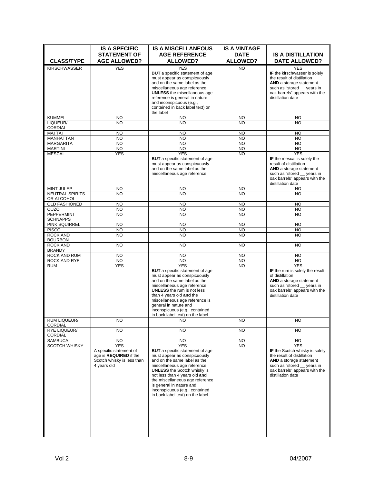|                                         | <b>IS A SPECIFIC</b><br><b>STATEMENT OF</b>          | <b>IS A MISCELLANEOUS</b><br><b>AGE REFERENCE</b>                      | <b>IS A VINTAGE</b><br><b>DATE</b> | <b>IS A DISTILLATION</b>                                            |
|-----------------------------------------|------------------------------------------------------|------------------------------------------------------------------------|------------------------------------|---------------------------------------------------------------------|
| <b>CLASS/TYPE</b>                       | <b>AGE ALLOWED?</b>                                  | <b>ALLOWED?</b>                                                        | <b>ALLOWED?</b>                    | <b>DATE ALLOWED?</b>                                                |
| <b>KIRSCHWASSER</b>                     | YES                                                  | <b>YES</b>                                                             | NO.                                | <b>YES</b>                                                          |
|                                         |                                                      | <b>BUT</b> a specific statement of age<br>must appear as conspicuously |                                    | IF the kirschwasser is solely<br>the result of distillation         |
|                                         |                                                      | and on the same label as the                                           |                                    | AND a storage statement                                             |
|                                         |                                                      | miscellaneous age reference                                            |                                    | such as "stored __ years in                                         |
|                                         |                                                      | <b>UNLESS</b> the miscellaneous age                                    |                                    | oak barrels" appears with the<br>distillation date                  |
|                                         |                                                      | reference is general in nature<br>and inconspicuous (e.g.,             |                                    |                                                                     |
|                                         |                                                      | contained in back label text) on                                       |                                    |                                                                     |
|                                         |                                                      | the label                                                              |                                    |                                                                     |
| <b>KUMMEL</b><br>LIQUEUR/               | <b>NO</b><br><b>NO</b>                               | <b>NO</b><br><b>NO</b>                                                 | <b>NO</b><br><b>NO</b>             | NO<br><b>NO</b>                                                     |
| <b>CORDIAL</b>                          |                                                      |                                                                        |                                    |                                                                     |
| <b>MAI TAI</b>                          | <b>NO</b>                                            | <b>NO</b>                                                              | <b>NO</b>                          | <b>NO</b>                                                           |
| <b>MANHATTAN</b><br><b>MARGARITA</b>    | <b>NO</b><br><b>NO</b>                               | <b>NO</b><br><b>NO</b>                                                 | <b>NO</b><br><b>NO</b>             | <b>NO</b><br><b>NO</b>                                              |
| <b>MARTINI</b>                          | $\overline{10}$                                      | <b>NO</b>                                                              | <b>NO</b>                          | <b>NO</b>                                                           |
| <b>MESCAL</b>                           | YES                                                  | <b>YES</b>                                                             | <b>NO</b>                          | <b>YES</b>                                                          |
|                                         |                                                      | <b>BUT</b> a specific statement of age<br>must appear as conspicuously |                                    | IF the mescal is solely the<br>result of distillation               |
|                                         |                                                      | and on the same label as the                                           |                                    | AND a storage statement                                             |
|                                         |                                                      | miscellaneous age reference                                            |                                    | such as "stored __ years in                                         |
|                                         |                                                      |                                                                        |                                    | oak barrels" appears with the<br>distillation date                  |
| <b>MINT JULEP</b>                       | NO                                                   | <b>NO</b>                                                              | <b>NO</b>                          | <b>NO</b>                                                           |
| <b>NEUTRAL SPIRITS</b>                  | <b>NO</b>                                            | <b>NO</b>                                                              | <b>NO</b>                          | <b>NO</b>                                                           |
| OR ALCOHOL<br><b>OLD FASHIONED</b>      | <b>NO</b>                                            | <b>NO</b>                                                              | <b>NO</b>                          | <b>NO</b>                                                           |
| <b>OUZO</b>                             | <b>NO</b>                                            | <b>NO</b>                                                              | <b>NO</b>                          | <b>NO</b>                                                           |
| PEPPERMINT                              | <b>NO</b>                                            | N <sub>O</sub>                                                         | <b>NO</b>                          | <b>NO</b>                                                           |
| <b>SCHNAPPS</b><br><b>PINK SQUIRREL</b> | <b>NO</b>                                            | <b>NO</b>                                                              | <b>NO</b>                          | <b>NO</b>                                                           |
| <b>PISCO</b>                            | <b>NO</b>                                            | <b>NO</b>                                                              | <b>NO</b>                          | <b>NO</b>                                                           |
| <b>ROCK AND</b>                         | <b>NO</b>                                            | <b>NO</b>                                                              | <b>NO</b>                          | <b>NO</b>                                                           |
| <b>BOURBON</b>                          |                                                      |                                                                        |                                    |                                                                     |
| <b>ROCK AND</b><br><b>BRANDY</b>        | <b>NO</b>                                            | <b>NO</b>                                                              | <b>NO</b>                          | <b>NO</b>                                                           |
| ROCK AND RUM                            | <b>NO</b>                                            | <b>NO</b>                                                              | <b>NO</b>                          | <b>NO</b>                                                           |
| ROCK AND RYE                            | N <sub>O</sub>                                       | <b>NO</b>                                                              | <b>NO</b>                          | <b>NO</b>                                                           |
| <b>RUM</b>                              | <b>YES</b>                                           | <b>YES</b><br><b>BUT</b> a specific statement of age                   | <b>NO</b>                          | <b>YES</b><br>IF the rum is solely the result                       |
|                                         |                                                      | must appear as conspicuously                                           |                                    | of distillation                                                     |
|                                         |                                                      | and on the same label as the                                           |                                    | AND a storage statement                                             |
|                                         |                                                      | miscellaneous age reference<br><b>UNLESS</b> the rum is not less       |                                    | such as "stored __ years in<br>oak barrels" appears with the        |
|                                         |                                                      | than 4 years old and the                                               |                                    | distillation date                                                   |
|                                         |                                                      | miscellaneous age reference is                                         |                                    |                                                                     |
|                                         |                                                      | general in nature and                                                  |                                    |                                                                     |
|                                         |                                                      | inconspicuous (e.g., contained<br>in back label text) on the label     |                                    |                                                                     |
| RUM LIQUEUR/<br>CORDIAL                 | NO.                                                  | NO.                                                                    | NO.                                | NO.                                                                 |
| <b>RYE LIQUEUR/</b><br><b>CORDIAL</b>   | <b>NO</b>                                            | <b>NO</b>                                                              | <b>NO</b>                          | <b>NO</b>                                                           |
| <b>SAMBUCA</b>                          | <b>NO</b>                                            | <b>NO</b>                                                              | NO.                                | NO.                                                                 |
| <b>SCOTCH WHISKY</b>                    | <b>YES</b>                                           | <b>YES</b>                                                             | <b>NO</b>                          | <b>YES</b>                                                          |
|                                         | A specific statement of                              | <b>BUT</b> a specific statement of age<br>must appear as conspicuously |                                    | <b>IF</b> the Scotch whisky is solely<br>the result of distillation |
|                                         | age is REQUIRED if the<br>Scotch whisky is less than | and on the same label as the                                           |                                    | <b>AND</b> a storage statement                                      |
|                                         | 4 years old                                          | miscellaneous age reference                                            |                                    | such as "stored __ years in                                         |
|                                         |                                                      | <b>UNLESS</b> the Scotch whisky is                                     |                                    | oak barrels" appears with the                                       |
|                                         |                                                      | not less than 4 years old and<br>the miscellaneous age reference       |                                    | distillation date                                                   |
|                                         |                                                      | is general in nature and                                               |                                    |                                                                     |
|                                         |                                                      | inconspicuous (e.g., contained                                         |                                    |                                                                     |
|                                         |                                                      | in back label text) on the label                                       |                                    |                                                                     |
|                                         |                                                      |                                                                        |                                    |                                                                     |
|                                         |                                                      |                                                                        |                                    |                                                                     |
|                                         |                                                      |                                                                        |                                    |                                                                     |
|                                         |                                                      |                                                                        |                                    |                                                                     |
|                                         |                                                      |                                                                        |                                    |                                                                     |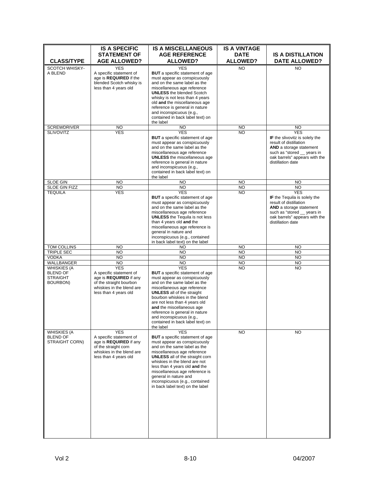|                                                                                           | <b>IS A SPECIFIC</b>                                                                                                                                          | <b>IS A MISCELLANEOUS</b>                                                                                                                                                                                                                                                                                                                                                                                           | <b>IS A VINTAGE</b>            |                                                                                                                                                                                              |
|-------------------------------------------------------------------------------------------|---------------------------------------------------------------------------------------------------------------------------------------------------------------|---------------------------------------------------------------------------------------------------------------------------------------------------------------------------------------------------------------------------------------------------------------------------------------------------------------------------------------------------------------------------------------------------------------------|--------------------------------|----------------------------------------------------------------------------------------------------------------------------------------------------------------------------------------------|
| <b>CLASS/TYPE</b>                                                                         | <b>STATEMENT OF</b><br><b>AGE ALLOWED?</b>                                                                                                                    | <b>AGE REFERENCE</b><br><b>ALLOWED?</b>                                                                                                                                                                                                                                                                                                                                                                             | <b>DATE</b><br><b>ALLOWED?</b> | <b>IS A DISTILLATION</b><br><b>DATE ALLOWED?</b>                                                                                                                                             |
| SCOTCH WHISKY-<br>A BLEND                                                                 | <b>YES</b><br>A specific statement of<br>age is <b>REQUIRED</b> if the<br>blended Scotch whisky is<br>less than 4 years old                                   | <b>YES</b><br><b>BUT</b> a specific statement of age<br>must appear as conspicuously<br>and on the same label as the<br>miscellaneous age reference<br><b>UNLESS</b> the blended Scotch<br>whisky is not less than 4 years<br>old and the miscellaneous age<br>reference is general in nature<br>and inconspicuous (e.g.,                                                                                           | <b>NO</b>                      | <b>NO</b>                                                                                                                                                                                    |
|                                                                                           |                                                                                                                                                               | contained in back label text) on<br>the label                                                                                                                                                                                                                                                                                                                                                                       |                                |                                                                                                                                                                                              |
| <b>SCREWDRIVER</b>                                                                        | <b>NO</b>                                                                                                                                                     | NO.                                                                                                                                                                                                                                                                                                                                                                                                                 | <b>NO</b>                      | NO.                                                                                                                                                                                          |
| <b>SLIVOVITZ</b>                                                                          | <b>YES</b>                                                                                                                                                    | <b>YES</b><br><b>BUT</b> a specific statement of age<br>must appear as conspicuously<br>and on the same label as the<br>miscellaneous age reference<br><b>UNLESS</b> the miscellaneous age<br>reference is general in nature<br>and inconspicuous (e.g.,<br>contained in back label text) on<br>the label                                                                                                           | <b>NO</b>                      | <b>YES</b><br>IF the slivovitz is solely the<br>result of distillation<br><b>AND</b> a storage statement<br>such as "stored _ years in<br>oak barrels" appears with the<br>distillation date |
| <b>SLOE GIN</b>                                                                           | NO                                                                                                                                                            | NO                                                                                                                                                                                                                                                                                                                                                                                                                  | <b>NO</b>                      | <b>NO</b>                                                                                                                                                                                    |
| SLOE GIN FIZZ                                                                             | <b>NO</b>                                                                                                                                                     | <b>NO</b>                                                                                                                                                                                                                                                                                                                                                                                                           | <b>NO</b>                      | <b>NO</b>                                                                                                                                                                                    |
| <b>TEQUILA</b>                                                                            | <b>YES</b>                                                                                                                                                    | <b>YES</b><br><b>BUT</b> a specific statement of age<br>must appear as conspicuously<br>and on the same label as the<br>miscellaneous age reference<br><b>UNLESS</b> the Tequila is not less<br>than 4 years old and the<br>miscellaneous age reference is<br>general in nature and<br>inconspicuous (e.g., contained<br>in back label text) on the label                                                           | <b>NO</b>                      | <b>YES</b><br>IF the Tequila is solely the<br>result of distillation<br><b>AND</b> a storage statement<br>such as "stored _ years in<br>oak barrels" appears with the<br>distillation date   |
| TOM COLLINS                                                                               | <b>NO</b>                                                                                                                                                     | <b>NO</b>                                                                                                                                                                                                                                                                                                                                                                                                           | <b>NO</b>                      | <b>NO</b>                                                                                                                                                                                    |
| <b>TRIPLE SEC</b>                                                                         | <b>NO</b>                                                                                                                                                     | <b>NO</b>                                                                                                                                                                                                                                                                                                                                                                                                           | <b>NO</b>                      | <b>NO</b>                                                                                                                                                                                    |
| <b>VODKA</b>                                                                              | <b>NO</b>                                                                                                                                                     | <b>NO</b>                                                                                                                                                                                                                                                                                                                                                                                                           | <b>NO</b>                      | <b>NO</b>                                                                                                                                                                                    |
| WALLBANGER<br><b>WHISKIES (A</b><br><b>BLEND OF</b><br><b>STRAIGHT</b><br><b>BOURBON)</b> | <b>NO</b><br><b>YES</b><br>A specific statement of<br>age is REQUIRED if any<br>of the straight bourbon<br>whiskies in the blend are<br>less than 4 years old | <b>NO</b><br><b>YES</b><br><b>BUT</b> a specific statement of age<br>must appear as conspicuously<br>and on the same label as the<br>miscellaneous age reference<br><b>UNLESS</b> all of the straight<br>bourbon whiskies in the blend<br>are not less than 4 years old<br>and the miscellaneous age<br>reference is general in nature<br>and inconspicuous (e.g.,<br>contained in back label text) on<br>the label | <b>NO</b><br><b>NO</b>         | <b>NO</b><br><b>NO</b>                                                                                                                                                                       |
| <b>WHISKIES (A</b><br><b>BLEND OF</b><br>STRAIGHT CORN)                                   | <b>YES</b><br>A specific statement of<br>age is REQUIRED if any<br>of the straight corn<br>whiskies in the blend are<br>less than 4 years old                 | <b>YES</b><br><b>BUT</b> a specific statement of age<br>must appear as conspicuously<br>and on the same label as the<br>miscellaneous age reference<br><b>UNLESS</b> all of the straight corn<br>whiskies in the blend are not<br>less than 4 years old and the<br>miscellaneous age reference is<br>general in nature and<br>inconspicuous (e.g., contained<br>in back label text) on the label                    | <b>NO</b>                      | <b>NO</b>                                                                                                                                                                                    |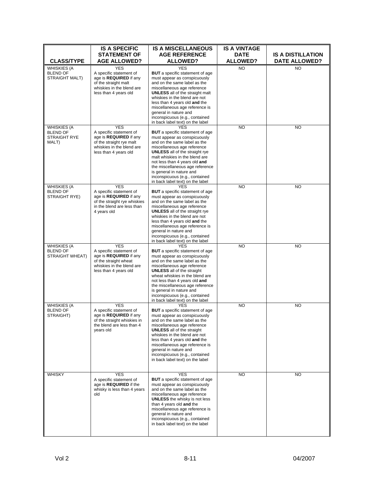|                                                                       | <b>IS A SPECIFIC</b>                                                                                                                                  | <b>IS A MISCELLANEOUS</b>                                                                                                                                                                                                                                                                                                                                                                            | <b>IS A VINTAGE</b>            |                                                  |
|-----------------------------------------------------------------------|-------------------------------------------------------------------------------------------------------------------------------------------------------|------------------------------------------------------------------------------------------------------------------------------------------------------------------------------------------------------------------------------------------------------------------------------------------------------------------------------------------------------------------------------------------------------|--------------------------------|--------------------------------------------------|
| <b>CLASS/TYPE</b>                                                     | <b>STATEMENT OF</b><br><b>AGE ALLOWED?</b>                                                                                                            | <b>AGE REFERENCE</b><br><b>ALLOWED?</b>                                                                                                                                                                                                                                                                                                                                                              | <b>DATE</b><br><b>ALLOWED?</b> | <b>IS A DISTILLATION</b><br><b>DATE ALLOWED?</b> |
| <b>WHISKIES (A</b><br><b>BLEND OF</b><br>STRAIGHT MALT)               | <b>YES</b><br>A specific statement of<br>age is <b>REQUIRED</b> if any<br>of the straight malt<br>whiskies in the blend are<br>less than 4 years old  | <b>YES</b><br><b>BUT</b> a specific statement of age<br>must appear as conspicuously<br>and on the same label as the<br>miscellaneous age reference<br><b>UNLESS</b> all of the straight malt<br>whiskies in the blend are not<br>less than 4 years old and the<br>miscellaneous age reference is<br>general in nature and<br>inconspicuous (e.g., contained<br>in back label text) on the label     | <b>NO</b>                      | <b>NO</b>                                        |
| <b>WHISKIES (A</b><br><b>BLEND OF</b><br><b>STRAIGHT RYE</b><br>MALT) | <b>YES</b><br>A specific statement of<br>age is REQUIRED if any<br>of the straight rye malt<br>whiskies in the blend are<br>less than 4 years old     | <b>YES</b><br><b>BUT</b> a specific statement of age<br>must appear as conspicuously<br>and on the same label as the<br>miscellaneous age reference<br><b>UNLESS</b> all of the straight rye<br>malt whiskies in the blend are<br>not less than 4 years old and<br>the miscellaneous age reference<br>is general in nature and<br>inconspicuous (e.g., contained<br>in back label text) on the label | <b>NO</b>                      | <b>NO</b>                                        |
| <b>WHISKIES (A</b><br><b>BLEND OF</b><br>STRAIGHT RYE)                | <b>YES</b><br>A specific statement of<br>age is REQUIRED if any<br>of the straight rye whiskies<br>in the blend are less than<br>4 years old          | <b>YES</b><br><b>BUT</b> a specific statement of age<br>must appear as conspicuously<br>and on the same label as the<br>miscellaneous age reference<br><b>UNLESS</b> all of the straight rye<br>whiskies in the blend are not<br>less than 4 years old and the<br>miscellaneous age reference is<br>general in nature and<br>inconspicuous (e.g., contained<br>in back label text) on the label      | <b>NO</b>                      | <b>NO</b>                                        |
| <b>WHISKIES (A</b><br><b>BLEND OF</b><br>STRAIGHT WHEAT)              | <b>YES</b><br>A specific statement of<br>age is <b>REQUIRED</b> if any<br>of the straight wheat<br>whiskies in the blend are<br>less than 4 years old | <b>YES</b><br><b>BUT</b> a specific statement of age<br>must appear as conspicuously<br>and on the same label as the<br>miscellaneous age reference<br><b>UNLESS</b> all of the straight<br>wheat whiskies in the blend are<br>not less than 4 years old and<br>the miscellaneous age reference<br>is general in nature and<br>inconspicuous (e.g., contained<br>in back label text) on the label    | <b>NO</b>                      | <b>NO</b>                                        |
| <b>WHISKIES (A</b><br><b>BLEND OF</b><br>STRAIGHT)                    | <b>YES</b><br>A specific statement of<br>age is REQUIRED if any<br>of the straight whiskies in<br>the blend are less than 4<br>years old              | YES<br><b>BUT</b> a specific statement of age<br>must appear as conspicuously<br>and on the same label as the<br>miscellaneous age reference<br><b>UNLESS</b> all of the straight<br>whiskies in the blend are not<br>less than 4 years old and the<br>miscellaneous age reference is<br>general in nature and<br>inconspicuous (e.g., contained<br>in back label text) on the label                 | <b>NO</b>                      | <b>NO</b>                                        |
| WHISKY                                                                | <b>YES</b><br>A specific statement of<br>age is REQUIRED if the<br>whisky is less than 4 years<br>old                                                 | <b>YES</b><br><b>BUT</b> a specific statement of age<br>must appear as conspicuously<br>and on the same label as the<br>miscellaneous age reference<br><b>UNLESS</b> the whisky is not less<br>than 4 years old and the<br>miscellaneous age reference is<br>general in nature and<br>inconspicuous (e.g., contained<br>in back label text) on the label                                             | <b>NO</b>                      | <b>NO</b>                                        |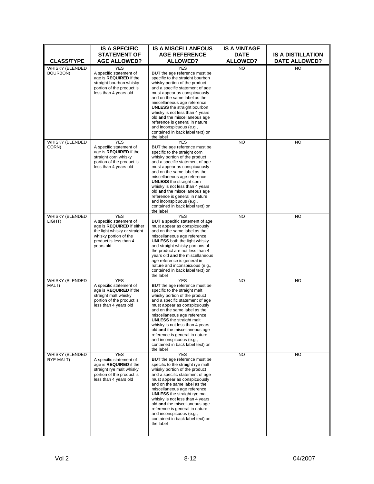|                                  | <b>IS A SPECIFIC</b>                                                                                                                                               | <b>IS A MISCELLANEOUS</b>                                                                                                                                                                                                                                                                                                                                                                                                                                                            | <b>IS A VINTAGE</b>            |                                                  |
|----------------------------------|--------------------------------------------------------------------------------------------------------------------------------------------------------------------|--------------------------------------------------------------------------------------------------------------------------------------------------------------------------------------------------------------------------------------------------------------------------------------------------------------------------------------------------------------------------------------------------------------------------------------------------------------------------------------|--------------------------------|--------------------------------------------------|
| <b>CLASS/TYPE</b>                | <b>STATEMENT OF</b><br><b>AGE ALLOWED?</b>                                                                                                                         | <b>AGE REFERENCE</b><br><b>ALLOWED?</b>                                                                                                                                                                                                                                                                                                                                                                                                                                              | <b>DATE</b><br><b>ALLOWED?</b> | <b>IS A DISTILLATION</b><br><b>DATE ALLOWED?</b> |
| WHISKY (BLENDED<br>BOURBON)      | <b>YES</b><br>A specific statement of<br>age is REQUIRED if the<br>straight bourbon whisky<br>portion of the product is<br>less than 4 years old                   | YES<br><b>BUT</b> the age reference must be<br>specific to the straight bourbon<br>whisky portion of the product<br>and a specific statement of age<br>must appear as conspicuously<br>and on the same label as the<br>miscellaneous age reference<br><b>UNLESS</b> the straight bourbon<br>whisky is not less than 4 years<br>old and the miscellaneous age<br>reference is general in nature<br>and inconspicuous (e.g.,<br>contained in back label text) on<br>the label          | <b>NO</b>                      | <b>NO</b>                                        |
| WHISKY (BLENDED<br>CORN)         | <b>YES</b><br>A specific statement of<br>age is <b>REQUIRED</b> if the<br>straight corn whisky<br>portion of the product is<br>less than 4 years old               | <b>YES</b><br><b>BUT</b> the age reference must be<br>specific to the straight corn<br>whisky portion of the product<br>and a specific statement of age<br>must appear as conspicuously<br>and on the same label as the<br>miscellaneous age reference<br><b>UNLESS</b> the straight corn<br>whisky is not less than 4 years<br>old and the miscellaneous age<br>reference is general in nature<br>and inconspicuous (e.g.,<br>contained in back label text) on<br>the label         | <b>NO</b>                      | <b>NO</b>                                        |
| <b>WHISKY (BLENDED</b><br>LIGHT) | <b>YES</b><br>A specific statement of<br>age is REQUIRED if either<br>the light whisky or straight<br>whisky portion of the<br>product is less than 4<br>years old | <b>YES</b><br><b>BUT</b> a specific statement of age<br>must appear as conspicuously<br>and on the same label as the<br>miscellaneous age reference<br><b>UNLESS</b> both the light whisky<br>and straight whisky portions of<br>the product are not less than 4<br>years old and the miscellaneous<br>age reference is general in<br>nature and inconspicuous (e.g.,<br>contained in back label text) on<br>the label                                                               | <b>NO</b>                      | <b>NO</b>                                        |
| WHISKY (BLENDED<br>MALT)         | <b>YES</b><br>A specific statement of<br>age is REQUIRED if the<br>straight malt whisky<br>portion of the product is<br>less than 4 years old                      | <b>YES</b><br><b>BUT</b> the age reference must be<br>specific to the straight malt<br>whisky portion of the product<br>and a specific statement of age<br>must appear as conspicuously<br>and on the same label as the<br>miscellaneous age reference<br><b>UNLESS</b> the straight malt<br>whisky is not less than 4 years<br>old and the miscellaneous age<br>reference is general in nature<br>and inconspicuous (e.g.,<br>contained in back label text) on<br>the label         | <b>NO</b>                      | <b>NO</b>                                        |
| WHISKY (BLENDED<br>RYE MALT)     | <b>YES</b><br>A specific statement of<br>age is REQUIRED if the<br>straight rye malt whisky<br>portion of the product is<br>less than 4 years old                  | <b>YES</b><br><b>BUT</b> the age reference must be<br>specific to the straight rye malt<br>whisky portion of the product<br>and a specific statement of age<br>must appear as conspicuously<br>and on the same label as the<br>miscellaneous age reference<br><b>UNLESS</b> the straight rye malt<br>whisky is not less than 4 years<br>old and the miscellaneous age<br>reference is general in nature<br>and inconspicuous (e.g.,<br>contained in back label text) on<br>the label | <b>NO</b>                      | <b>NO</b>                                        |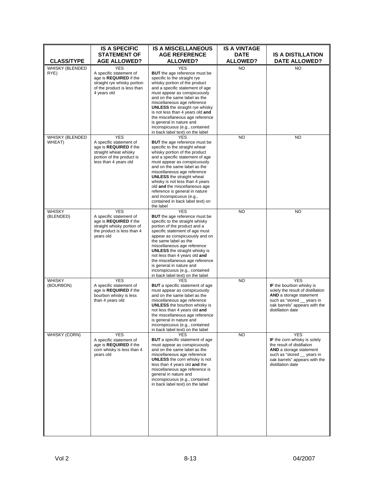| <b>CLASS/TYPE</b>         | <b>IS A SPECIFIC</b><br><b>STATEMENT OF</b><br><b>AGE ALLOWED?</b>                                                                                    | <b>IS A MISCELLANEOUS</b><br><b>AGE REFERENCE</b><br><b>ALLOWED?</b>                                                                                                                                                                                                                                                                                                                                                                                                    | <b>IS A VINTAGE</b><br><b>DATE</b><br><b>ALLOWED?</b> | <b>IS A DISTILLATION</b><br><b>DATE ALLOWED?</b>                                                                                                                                               |
|---------------------------|-------------------------------------------------------------------------------------------------------------------------------------------------------|-------------------------------------------------------------------------------------------------------------------------------------------------------------------------------------------------------------------------------------------------------------------------------------------------------------------------------------------------------------------------------------------------------------------------------------------------------------------------|-------------------------------------------------------|------------------------------------------------------------------------------------------------------------------------------------------------------------------------------------------------|
| WHISKY (BLENDED<br>RYE)   | <b>YES</b><br>A specific statement of<br>age is <b>REQUIRED</b> if the<br>straight rye whisky portion<br>of the product is less than<br>4 years old   | YES<br><b>BUT</b> the age reference must be<br>specific to the straight rye<br>whisky portion of the product<br>and a specific statement of age<br>must appear as conspicuously<br>and on the same label as the<br>miscellaneous age reference<br><b>UNLESS</b> the straight rye whisky<br>is not less than 4 years old and<br>the miscellaneous age reference<br>is general in nature and<br>inconspicuous (e.g., contained<br>in back label text) on the label        | NO                                                    | <b>NO</b>                                                                                                                                                                                      |
| WHISKY (BLENDED<br>WHEAT) | <b>YES</b><br>A specific statement of<br>age is <b>REQUIRED</b> if the<br>straight wheat whisky<br>portion of the product is<br>less than 4 years old | YES<br><b>BUT</b> the age reference must be<br>specific to the straight wheat<br>whisky portion of the product<br>and a specific statement of age<br>must appear as conspicuously<br>and on the same label as the<br>miscellaneous age reference<br><b>UNLESS</b> the straight wheat<br>whisky is not less than 4 years<br>old and the miscellaneous age<br>reference is general in nature<br>and inconspicuous (e.g.,<br>contained in back label text) on<br>the label | <b>NO</b>                                             | <b>NO</b>                                                                                                                                                                                      |
| WHISKY<br>(BLENDED)       | <b>YES</b><br>A specific statement of<br>age is <b>REQUIRED</b> if the<br>straight whisky portion of<br>the product is less than 4<br>years old       | <b>YES</b><br><b>BUT</b> the age reference must be<br>specific to the straight whisky<br>portion of the product and a<br>specific statement of age must<br>appear as conspicuously and on<br>the same label as the<br>miscellaneous age reference<br><b>UNLESS</b> the straight whisky is<br>not less than 4 years old and<br>the miscellaneous age reference<br>is general in nature and<br>inconspicuous (e.g., contained<br>in back label text) on the label         | <b>NO</b>                                             | <b>NO</b>                                                                                                                                                                                      |
| WHISKY<br>(BOURBON)       | <b>YES</b><br>A specific statement of<br>age is REQUIRED if the<br>bourbon whisky is less<br>than 4 years old                                         | <b>YES</b><br><b>BUT</b> a specific statement of age<br>must appear as conspicuously<br>and on the same label as the<br>miscellaneous age reference<br><b>UNLESS</b> the bourbon whisky is<br>not less than 4 years old and<br>the miscellaneous age reference<br>is general in nature and<br>inconspicuous (e.g., contained<br>in back label text) on the label                                                                                                        | <b>NO</b>                                             | <b>YES</b><br>IF the bourbon whisky is<br>solely the result of distillation<br>AND a storage statement<br>such as "stored __ years in<br>oak barrels" appears with the<br>distillation date    |
| WHISKY (CORN)             | <b>YES</b><br>A specific statement of<br>age is <b>REQUIRED</b> if the<br>corn whisky is less than 4<br>years old                                     | YES<br><b>BUT</b> a specific statement of age<br>must appear as conspicuously<br>and on the same label as the<br>miscellaneous age reference<br><b>UNLESS</b> the corn whisky is not<br>less than 4 years old and the<br>miscellaneous age reference is<br>general in nature and<br>inconspicuous (e.g., contained<br>in back label text) on the label                                                                                                                  | <b>NO</b>                                             | <b>YES</b><br>IF the corn whisky is solely<br>the result of distillation<br><b>AND</b> a storage statement<br>such as "stored _ years in<br>oak barrels" appears with the<br>distillation date |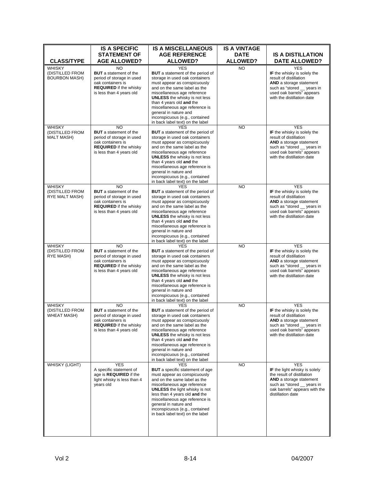| <b>CLASS/TYPE</b>                                      | <b>IS A SPECIFIC</b><br><b>STATEMENT OF</b><br><b>AGE ALLOWED?</b>                                                                                             | <b>IS A MISCELLANEOUS</b><br><b>AGE REFERENCE</b><br><b>ALLOWED?</b>                                                                                                                                                                                                                                                                                                                        | <b>IS A VINTAGE</b><br><b>DATE</b><br><b>ALLOWED?</b> | <b>IS A DISTILLATION</b><br><b>DATE ALLOWED?</b>                                                                                                                                                       |
|--------------------------------------------------------|----------------------------------------------------------------------------------------------------------------------------------------------------------------|---------------------------------------------------------------------------------------------------------------------------------------------------------------------------------------------------------------------------------------------------------------------------------------------------------------------------------------------------------------------------------------------|-------------------------------------------------------|--------------------------------------------------------------------------------------------------------------------------------------------------------------------------------------------------------|
| WHISKY<br>(DISTILLED FROM<br><b>BOURBON MASH)</b>      | <b>NO</b><br><b>BUT</b> a statement of the<br>period of storage in used<br>oak containers is<br><b>REQUIRED</b> if the whisky<br>is less than 4 years old      | <b>YES</b><br><b>BUT</b> a statement of the period of<br>storage in used oak containers<br>must appear as conspicuously<br>and on the same label as the<br>miscellaneous age reference<br><b>UNLESS</b> the whisky is not less<br>than 4 years old and the<br>miscellaneous age reference is<br>general in nature and<br>inconspicuous (e.g., contained<br>in back label text) on the label | <b>NO</b>                                             | <b>YES</b><br>IF the whisky is solely the<br>result of distillation<br>AND a storage statement<br>such as "stored __ years in<br>used oak barrels" appears<br>with the distillation date               |
| <b>WHISKY</b><br>(DISTILLED FROM<br><b>MALT MASH)</b>  | <b>NO</b><br><b>BUT</b> a statement of the<br>period of storage in used<br>oak containers is<br><b>REQUIRED</b> if the whisky<br>is less than 4 years old      | <b>YES</b><br><b>BUT</b> a statement of the period of<br>storage in used oak containers<br>must appear as conspicuously<br>and on the same label as the<br>miscellaneous age reference<br><b>UNLESS</b> the whisky is not less<br>than 4 years old and the<br>miscellaneous age reference is<br>general in nature and<br>inconspicuous (e.g., contained<br>in back label text) on the label | <b>NO</b>                                             | <b>YES</b><br>IF the whisky is solely the<br>result of distillation<br><b>AND</b> a storage statement<br>such as "stored __ years in<br>used oak barrels" appears<br>with the distillation date        |
| <b>WHISKY</b><br>(DISTILLED FROM<br>RYE MALT MASH)     | <b>NO</b><br><b>BUT</b> a statement of the<br>period of storage in used<br>oak containers is<br><b>REQUIRED</b> if the whisky<br>is less than 4 years old      | <b>YES</b><br><b>BUT</b> a statement of the period of<br>storage in used oak containers<br>must appear as conspicuously<br>and on the same label as the<br>miscellaneous age reference<br><b>UNLESS</b> the whisky is not less<br>than 4 years old and the<br>miscellaneous age reference is<br>general in nature and<br>inconspicuous (e.g., contained<br>in back label text) on the label | <b>NO</b>                                             | <b>YES</b><br>IF the whisky is solely the<br>result of distillation<br><b>AND</b> a storage statement<br>such as "stored _ years in<br>used oak barrels" appears<br>with the distillation date         |
| <b>WHISKY</b><br>(DISTILLED FROM<br>RYE MASH)          | NO<br><b>BUT</b> a statement of the<br>period of storage in used<br>oak containers is<br><b>REQUIRED</b> if the whisky<br>is less than 4 years old             | <b>YES</b><br><b>BUT</b> a statement of the period of<br>storage in used oak containers<br>must appear as conspicuously<br>and on the same label as the<br>miscellaneous age reference<br><b>UNLESS</b> the whisky is not less<br>than 4 years old and the<br>miscellaneous age reference is<br>general in nature and<br>inconspicuous (e.g., contained<br>in back label text) on the label | <b>NO</b>                                             | <b>YES</b><br>IF the whisky is solely the<br>result of distillation<br>AND a storage statement<br>such as "stored __ years in<br>used oak barrels" appears<br>with the distillation date               |
| <b>WHISKY</b><br>(DISTILLED FROM<br><b>WHEAT MASH)</b> | N <sub>O</sub><br><b>BUT</b> a statement of the<br>period of storage in used<br>oak containers is<br><b>REQUIRED</b> if the whisky<br>is less than 4 years old | <b>YES</b><br><b>BUT</b> a statement of the period of<br>storage in used oak containers<br>must appear as conspicuously<br>and on the same label as the<br>miscellaneous age reference<br><b>UNLESS</b> the whisky is not less<br>than 4 years old and the<br>miscellaneous age reference is<br>general in nature and<br>inconspicuous (e.g., contained<br>in back label text) on the label | <b>NO</b>                                             | <b>YES</b><br>IF the whisky is solely the<br>result of distillation<br><b>AND</b> a storage statement<br>such as "stored __ years in<br>used oak barrels" appears<br>with the distillation date        |
| <b>WHISKY (LIGHT)</b>                                  | <b>YES</b><br>A specific statement of<br>age is REQUIRED if the<br>light whisky is less than 4<br>years old                                                    | <b>YES</b><br><b>BUT</b> a specific statement of age<br>must appear as conspicuously<br>and on the same label as the<br>miscellaneous age reference<br><b>UNLESS</b> the light whisky is not<br>less than 4 years old and the<br>miscellaneous age reference is<br>general in nature and<br>inconspicuous (e.g., contained<br>in back label text) on the label                              | <b>NO</b>                                             | <b>YES</b><br><b>IF</b> the light whisky is solely<br>the result of distillation<br><b>AND</b> a storage statement<br>such as "stored _ years in<br>oak barrels" appears with the<br>distillation date |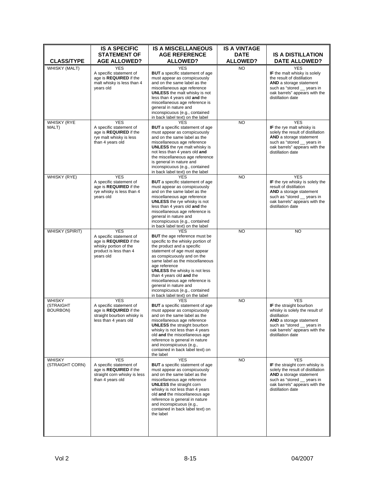| <b>CLASS/TYPE</b>                      | <b>IS A SPECIFIC</b><br><b>STATEMENT OF</b><br><b>AGE ALLOWED?</b>                                                              | <b>IS A MISCELLANEOUS</b><br><b>AGE REFERENCE</b><br><b>ALLOWED?</b>                                                                                                                                                                                                                                                                                                                                                                          | <b>IS A VINTAGE</b><br><b>DATE</b><br><b>ALLOWED?</b> | <b>IS A DISTILLATION</b><br><b>DATE ALLOWED?</b>                                                                                                                                                            |
|----------------------------------------|---------------------------------------------------------------------------------------------------------------------------------|-----------------------------------------------------------------------------------------------------------------------------------------------------------------------------------------------------------------------------------------------------------------------------------------------------------------------------------------------------------------------------------------------------------------------------------------------|-------------------------------------------------------|-------------------------------------------------------------------------------------------------------------------------------------------------------------------------------------------------------------|
|                                        |                                                                                                                                 | <b>YES</b>                                                                                                                                                                                                                                                                                                                                                                                                                                    |                                                       | <b>YES</b>                                                                                                                                                                                                  |
| WHISKY (MALT)                          | <b>YES</b><br>A specific statement of<br>age is <b>REQUIRED</b> if the<br>malt whisky is less than 4<br>years old               | <b>BUT</b> a specific statement of age<br>must appear as conspicuously<br>and on the same label as the<br>miscellaneous age reference<br><b>UNLESS</b> the malt whisky is not<br>less than 4 years old and the<br>miscellaneous age reference is<br>general in nature and<br>inconspicuous (e.g., contained<br>in back label text) on the label                                                                                               | NO.                                                   | IF the malt whisky is solely<br>the result of distillation<br><b>AND</b> a storage statement<br>such as "stored __ years in<br>oak barrels" appears with the<br>distillation date                           |
| <b>WHISKY (RYE</b><br>MALT)            | <b>YES</b><br>A specific statement of<br>age is <b>REQUIRED</b> if the<br>rye malt whisky is less<br>than 4 years old           | <b>YES</b><br><b>BUT</b> a specific statement of age<br>must appear as conspicuously<br>and on the same label as the<br>miscellaneous age reference<br><b>UNLESS</b> the rye malt whisky is<br>not less than 4 years old and<br>the miscellaneous age reference<br>is general in nature and<br>inconspicuous (e.g., contained<br>in back label text) on the label                                                                             | <b>NO</b>                                             | <b>YES</b><br>IF the rye malt whisky is<br>solely the result of distillation<br>AND a storage statement<br>such as "stored __ years in<br>oak barrels" appears with the<br>distillation date                |
| WHISKY (RYE)                           | <b>YES</b><br>A specific statement of<br>age is REQUIRED if the<br>rye whisky is less than 4<br>vears old                       | <b>YES</b><br><b>BUT</b> a specific statement of age<br>must appear as conspicuously<br>and on the same label as the<br>miscellaneous age reference<br><b>UNLESS</b> the rye whisky is not<br>less than 4 years old and the<br>miscellaneous age reference is<br>general in nature and<br>inconspicuous (e.g., contained<br>in back label text) on the label                                                                                  | <b>NO</b>                                             | <b>YES</b><br>IF the rye whisky is solely the<br>result of distillation<br>AND a storage statement<br>such as "stored __ years in<br>oak barrels" appears with the<br>distillation date                     |
| <b>WHISKY (SPIRIT)</b>                 | <b>YES</b><br>A specific statement of<br>age is REQUIRED if the<br>whisky portion of the<br>product is less than 4<br>years old | <b>YFS</b><br><b>BUT</b> the age reference must be<br>specific to the whisky portion of<br>the product and a specific<br>statement of age must appear<br>as conspicuously and on the<br>same label as the miscellaneous<br>age reference<br><b>UNLESS</b> the whisky is not less<br>than 4 years old and the<br>miscellaneous age reference is<br>general in nature and<br>inconspicuous (e.g., contained<br>in back label text) on the label | <b>NO</b>                                             | <b>NO</b>                                                                                                                                                                                                   |
| <b>WHISKY</b><br>(STRAIGHT<br>BOURBON) | <b>YES</b><br>A specific statement of<br>age is REQUIRED if the<br>straight bourbon whisky is<br>less than 4 years old          | <b>YES</b><br><b>BUT</b> a specific statement of age<br>must appear as conspicuously<br>and on the same label as the<br>miscellaneous age reference<br><b>UNLESS</b> the straight bourbon<br>whisky is not less than 4 years<br>old and the miscellaneous age<br>reference is general in nature<br>and inconspicuous (e.g.,<br>contained in back label text) on<br>the label                                                                  | <b>NO</b>                                             | <b>YES</b><br>IF the straight bourbon<br>whisky is solely the result of<br>distillation<br><b>AND</b> a storage statement<br>such as "stored years in<br>oak barrels" appears with the<br>distillation date |
| <b>WHISKY</b><br>(STRAIGHT CORN)       | <b>YES</b><br>A specific statement of<br>age is <b>REQUIRED</b> if the<br>straight corn whisky is less<br>than 4 years old      | <b>YES</b><br><b>BUT</b> a specific statement of age<br>must appear as conspicuously<br>and on the same label as the<br>miscellaneous age reference<br><b>UNLESS</b> the straight corn<br>whisky is not less than 4 years<br>old and the miscellaneous age<br>reference is general in nature<br>and inconspicuous (e.g.,<br>contained in back label text) on<br>the label                                                                     | NO.                                                   | <b>YES</b><br>IF the straight corn whisky is<br>solely the result of distillation<br><b>AND</b> a storage statement<br>such as "stored __ years in<br>oak barrels" appears with the<br>distillation date    |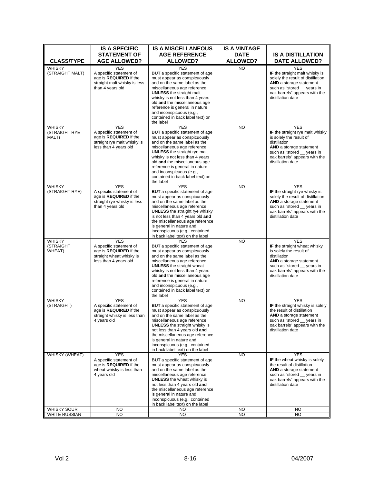| <b>ALLOWED?</b><br><b>ALLOWED?</b><br><b>CLASS/TYPE</b><br><b>AGE ALLOWED?</b><br><b>DATE ALLOWED?</b><br><b>WHISKY</b><br><b>YES</b><br><b>YES</b><br><b>NO</b><br><b>YES</b><br><b>BUT</b> a specific statement of age<br>IF the straight malt whisky is<br>(STRAIGHT MALT)<br>A specific statement of<br>age is REQUIRED if the<br>must appear as conspicuously<br>solely the result of distillation<br>and on the same label as the<br><b>AND</b> a storage statement<br>straight malt whisky is less<br>than 4 years old<br>miscellaneous age reference<br>such as "stored __ years in<br><b>UNLESS</b> the straight malt<br>oak barrels" appears with the<br>distillation date<br>whisky is not less than 4 years<br>old and the miscellaneous age<br>reference is general in nature<br>and inconspicuous (e.g.,<br>contained in back label text) on<br>the label<br><b>YES</b><br><b>YES</b><br><b>YES</b><br><b>WHISKY</b><br><b>NO</b><br><b>(STRAIGHT RYE</b><br>A specific statement of<br><b>BUT</b> a specific statement of age<br>IF the straight rye malt whisky<br>age is REQUIRED if the<br>must appear as conspicuously<br>is solely the result of<br>MALT)<br>and on the same label as the<br>distillation<br>straight rye malt whisky is<br>less than 4 years old<br>miscellaneous age reference<br>AND a storage statement<br><b>UNLESS</b> the straight rye malt<br>such as "stored __ years in<br>oak barrels" appears with the<br>whisky is not less than 4 years<br>old and the miscellaneous age<br>distillation date<br>reference is general in nature<br>and inconspicuous (e.g.,<br>contained in back label text) on<br>the label<br><b>YES</b><br><b>WHISKY</b><br><b>YES</b><br><b>YES</b><br><b>NO</b><br>(STRAIGHT RYE)<br>A specific statement of<br><b>BUT</b> a specific statement of age<br><b>IF</b> the straight rye whisky is<br>age is REQUIRED if the<br>must appear as conspicuously<br>solely the result of distillation<br>and on the same label as the<br>straight rye whisky is less<br><b>AND</b> a storage statement<br>than 4 years old<br>such as "stored _ years in<br>miscellaneous age reference<br>oak barrels" appears with the<br><b>UNLESS</b> the straight rye whisky<br>is not less than 4 years old and<br>distillation date<br>the miscellaneous age reference<br>is general in nature and<br>inconspicuous (e.g., contained<br>in back label text) on the label<br><b>YES</b><br><b>YES</b><br><b>WHISKY</b><br><b>YES</b><br><b>NO</b><br>(STRAIGHT<br><b>BUT</b> a specific statement of age<br>IF the straight wheat whisky<br>A specific statement of<br>must appear as conspicuously<br>is solely the result of<br>WHEAT)<br>age is <b>REQUIRED</b> if the<br>straight wheat whisky is<br>distillation<br>and on the same label as the<br>less than 4 years old<br>miscellaneous age reference<br>AND a storage statement<br><b>UNLESS</b> the straight wheat<br>such as "stored __ years in<br>whisky is not less than 4 years<br>oak barrels" appears with the<br>old and the miscellaneous age<br>distillation date<br>reference is general in nature<br>and inconspicuous (e.g.,<br>contained in back label text) on<br>the label<br><b>WHISKY</b><br><b>YES</b><br><b>YES</b><br><b>NO</b><br><b>YES</b><br><b>BUT</b> a specific statement of age<br>(STRAIGHT)<br>A specific statement of<br>IF the straight whisky is solely<br>age is <b>REQUIRED</b> if the<br>must appear as conspicuously<br>the result of distillation<br>AND a storage statement<br>straight whisky is less than<br>and on the same label as the<br>4 years old<br>miscellaneous age reference<br>such as "stored _ years in<br><b>UNLESS</b> the straight whisky is<br>oak barrels" appears with the<br>not less than 4 years old and<br>distillation date<br>the miscellaneous age reference<br>is general in nature and<br>inconspicuous (e.g., contained<br>in back label text) on the label<br>WHISKY (WHEAT)<br><b>YES</b><br><b>NO</b><br><b>YES</b><br><b>YES</b><br><b>BUT</b> a specific statement of age<br>IF the wheat whisky is solely<br>A specific statement of<br>age is <b>REQUIRED</b> if the<br>must appear as conspicuously<br>the result of distillation<br>wheat whisky is less than<br>and on the same label as the<br>AND a storage statement<br>4 years old<br>miscellaneous age reference<br>such as "stored years in<br>oak barrels" appears with the<br><b>UNLESS</b> the wheat whisky is<br>not less than 4 years old and<br>distillation date<br>the miscellaneous age reference<br>is general in nature and<br>inconspicuous (e.g., contained<br>in back label text) on the label<br>WHISKY SOUR<br><b>NO</b><br>NO.<br>NO.<br>NO. |               | <b>IS A SPECIFIC</b><br><b>STATEMENT OF</b> | <b>IS A MISCELLANEOUS</b><br><b>AGE REFERENCE</b> | <b>IS A VINTAGE</b><br><b>DATE</b> | <b>IS A DISTILLATION</b> |
|----------------------------------------------------------------------------------------------------------------------------------------------------------------------------------------------------------------------------------------------------------------------------------------------------------------------------------------------------------------------------------------------------------------------------------------------------------------------------------------------------------------------------------------------------------------------------------------------------------------------------------------------------------------------------------------------------------------------------------------------------------------------------------------------------------------------------------------------------------------------------------------------------------------------------------------------------------------------------------------------------------------------------------------------------------------------------------------------------------------------------------------------------------------------------------------------------------------------------------------------------------------------------------------------------------------------------------------------------------------------------------------------------------------------------------------------------------------------------------------------------------------------------------------------------------------------------------------------------------------------------------------------------------------------------------------------------------------------------------------------------------------------------------------------------------------------------------------------------------------------------------------------------------------------------------------------------------------------------------------------------------------------------------------------------------------------------------------------------------------------------------------------------------------------------------------------------------------------------------------------------------------------------------------------------------------------------------------------------------------------------------------------------------------------------------------------------------------------------------------------------------------------------------------------------------------------------------------------------------------------------------------------------------------------------------------------------------------------------------------------------------------------------------------------------------------------------------------------------------------------------------------------------------------------------------------------------------------------------------------------------------------------------------------------------------------------------------------------------------------------------------------------------------------------------------------------------------------------------------------------------------------------------------------------------------------------------------------------------------------------------------------------------------------------------------------------------------------------------------------------------------------------------------------------------------------------------------------------------------------------------------------------------------------------------------------------------------------------------------------------------------------------------------------------------------------------------------------------------------------------------------------------------------------------------------------------------------------------------------------------------------------------------------------------------------------------------------------------------------------------------------------------------------------------------------------------------------------------------------------------------------------------------------------------------------------------------------------------------------------------------------------------------------------------------------------------------------------------------------------------------------------------------------------------------------------------------------------------------------------------------------------------------------------------------------------------------------------------|---------------|---------------------------------------------|---------------------------------------------------|------------------------------------|--------------------------|
|                                                                                                                                                                                                                                                                                                                                                                                                                                                                                                                                                                                                                                                                                                                                                                                                                                                                                                                                                                                                                                                                                                                                                                                                                                                                                                                                                                                                                                                                                                                                                                                                                                                                                                                                                                                                                                                                                                                                                                                                                                                                                                                                                                                                                                                                                                                                                                                                                                                                                                                                                                                                                                                                                                                                                                                                                                                                                                                                                                                                                                                                                                                                                                                                                                                                                                                                                                                                                                                                                                                                                                                                                                                                                                                                                                                                                                                                                                                                                                                                                                                                                                                                                                                                                                                                                                                                                                                                                                                                                                                                                                                                                                                                                                                      |               |                                             |                                                   |                                    |                          |
|                                                                                                                                                                                                                                                                                                                                                                                                                                                                                                                                                                                                                                                                                                                                                                                                                                                                                                                                                                                                                                                                                                                                                                                                                                                                                                                                                                                                                                                                                                                                                                                                                                                                                                                                                                                                                                                                                                                                                                                                                                                                                                                                                                                                                                                                                                                                                                                                                                                                                                                                                                                                                                                                                                                                                                                                                                                                                                                                                                                                                                                                                                                                                                                                                                                                                                                                                                                                                                                                                                                                                                                                                                                                                                                                                                                                                                                                                                                                                                                                                                                                                                                                                                                                                                                                                                                                                                                                                                                                                                                                                                                                                                                                                                                      |               |                                             |                                                   |                                    |                          |
|                                                                                                                                                                                                                                                                                                                                                                                                                                                                                                                                                                                                                                                                                                                                                                                                                                                                                                                                                                                                                                                                                                                                                                                                                                                                                                                                                                                                                                                                                                                                                                                                                                                                                                                                                                                                                                                                                                                                                                                                                                                                                                                                                                                                                                                                                                                                                                                                                                                                                                                                                                                                                                                                                                                                                                                                                                                                                                                                                                                                                                                                                                                                                                                                                                                                                                                                                                                                                                                                                                                                                                                                                                                                                                                                                                                                                                                                                                                                                                                                                                                                                                                                                                                                                                                                                                                                                                                                                                                                                                                                                                                                                                                                                                                      |               |                                             |                                                   |                                    |                          |
|                                                                                                                                                                                                                                                                                                                                                                                                                                                                                                                                                                                                                                                                                                                                                                                                                                                                                                                                                                                                                                                                                                                                                                                                                                                                                                                                                                                                                                                                                                                                                                                                                                                                                                                                                                                                                                                                                                                                                                                                                                                                                                                                                                                                                                                                                                                                                                                                                                                                                                                                                                                                                                                                                                                                                                                                                                                                                                                                                                                                                                                                                                                                                                                                                                                                                                                                                                                                                                                                                                                                                                                                                                                                                                                                                                                                                                                                                                                                                                                                                                                                                                                                                                                                                                                                                                                                                                                                                                                                                                                                                                                                                                                                                                                      |               |                                             |                                                   |                                    |                          |
|                                                                                                                                                                                                                                                                                                                                                                                                                                                                                                                                                                                                                                                                                                                                                                                                                                                                                                                                                                                                                                                                                                                                                                                                                                                                                                                                                                                                                                                                                                                                                                                                                                                                                                                                                                                                                                                                                                                                                                                                                                                                                                                                                                                                                                                                                                                                                                                                                                                                                                                                                                                                                                                                                                                                                                                                                                                                                                                                                                                                                                                                                                                                                                                                                                                                                                                                                                                                                                                                                                                                                                                                                                                                                                                                                                                                                                                                                                                                                                                                                                                                                                                                                                                                                                                                                                                                                                                                                                                                                                                                                                                                                                                                                                                      |               |                                             |                                                   |                                    |                          |
|                                                                                                                                                                                                                                                                                                                                                                                                                                                                                                                                                                                                                                                                                                                                                                                                                                                                                                                                                                                                                                                                                                                                                                                                                                                                                                                                                                                                                                                                                                                                                                                                                                                                                                                                                                                                                                                                                                                                                                                                                                                                                                                                                                                                                                                                                                                                                                                                                                                                                                                                                                                                                                                                                                                                                                                                                                                                                                                                                                                                                                                                                                                                                                                                                                                                                                                                                                                                                                                                                                                                                                                                                                                                                                                                                                                                                                                                                                                                                                                                                                                                                                                                                                                                                                                                                                                                                                                                                                                                                                                                                                                                                                                                                                                      |               |                                             |                                                   |                                    |                          |
|                                                                                                                                                                                                                                                                                                                                                                                                                                                                                                                                                                                                                                                                                                                                                                                                                                                                                                                                                                                                                                                                                                                                                                                                                                                                                                                                                                                                                                                                                                                                                                                                                                                                                                                                                                                                                                                                                                                                                                                                                                                                                                                                                                                                                                                                                                                                                                                                                                                                                                                                                                                                                                                                                                                                                                                                                                                                                                                                                                                                                                                                                                                                                                                                                                                                                                                                                                                                                                                                                                                                                                                                                                                                                                                                                                                                                                                                                                                                                                                                                                                                                                                                                                                                                                                                                                                                                                                                                                                                                                                                                                                                                                                                                                                      |               |                                             |                                                   |                                    |                          |
|                                                                                                                                                                                                                                                                                                                                                                                                                                                                                                                                                                                                                                                                                                                                                                                                                                                                                                                                                                                                                                                                                                                                                                                                                                                                                                                                                                                                                                                                                                                                                                                                                                                                                                                                                                                                                                                                                                                                                                                                                                                                                                                                                                                                                                                                                                                                                                                                                                                                                                                                                                                                                                                                                                                                                                                                                                                                                                                                                                                                                                                                                                                                                                                                                                                                                                                                                                                                                                                                                                                                                                                                                                                                                                                                                                                                                                                                                                                                                                                                                                                                                                                                                                                                                                                                                                                                                                                                                                                                                                                                                                                                                                                                                                                      | WHITE RUSSIAN | <b>NO</b>                                   | <b>NO</b>                                         | <b>NO</b>                          | <b>NO</b>                |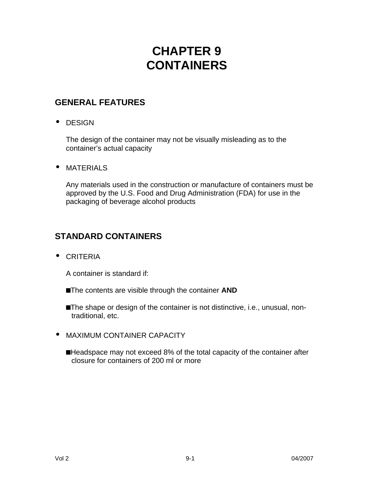## **CHAPTER 9 CONTAINERS**

## **GENERAL FEATURES**

**·** DESIGN

The design of the container may not be visually misleading as to the container's actual capacity

**·** MATERIALS

Any materials used in the construction or manufacture of containers must be approved by the U.S. Food and Drug Administration (FDA) for use in the packaging of beverage alcohol products

## **STANDARD CONTAINERS**

**·** CRITERIA

A container is standard if:

- ■The contents are visible through the container **AND**
- **n**The shape or design of the container is not distinctive, i.e., unusual, nontraditional, etc.
- **·** MAXIMUM CONTAINER CAPACITY
	- ■Headspace may not exceed 8% of the total capacity of the container after closure for containers of 200 ml or more